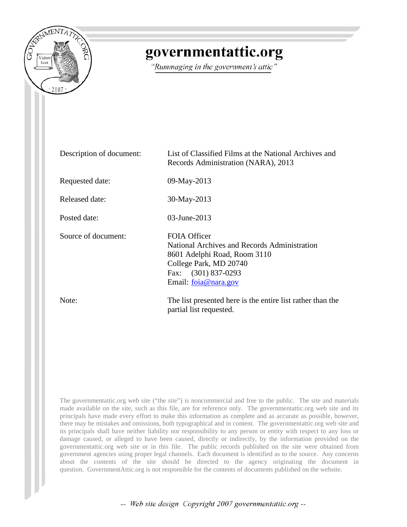

## governmentattic.org

"Rummaging in the government's attic"

| Description of document: | List of Classified Films at the National Archives and<br>Records Administration (NARA), 2013                                                                          |
|--------------------------|-----------------------------------------------------------------------------------------------------------------------------------------------------------------------|
| Requested date:          | 09-May-2013                                                                                                                                                           |
| Released date:           | 30-May-2013                                                                                                                                                           |
| Posted date:             | 03-June-2013                                                                                                                                                          |
| Source of document:      | FOIA Officer<br>National Archives and Records Administration<br>8601 Adelphi Road, Room 3110<br>College Park, MD 20740<br>Fax: (301) 837-0293<br>Email: foia@nara.gov |
| Note:                    | The list presented here is the entire list rather than the<br>partial list requested.                                                                                 |

The governmentattic.org web site ("the site") is noncommercial and free to the public. The site and materials made available on the site, such as this file, are for reference only. The governmentattic.org web site and its principals have made every effort to make this information as complete and as accurate as possible, however, there may be mistakes and omissions, both typographical and in content. The governmentattic.org web site and its principals shall have neither liability nor responsibility to any person or entity with respect to any loss or damage caused, or alleged to have been caused, directly or indirectly, by the information provided on the governmentattic.org web site or in this file. The public records published on the site were obtained from government agencies using proper legal channels. Each document is identified as to the source. Any concerns about the contents of the site should be directed to the agency originating the document in question. GovernmentAttic.org is not responsible for the contents of documents published on the website.

-- Web site design Copyright 2007 governmentattic.org --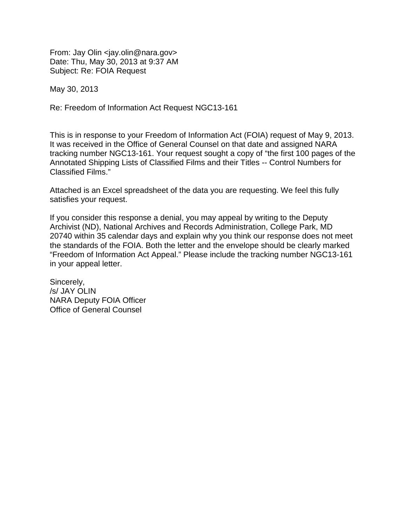From: Jay Olin <jay.olin@nara.gov> Date: Thu, May 30, 2013 at 9:37 AM Subject: Re: FOIA Request

May 30, 2013

Re: Freedom of Information Act Request NGC13-161

This is in response to your Freedom of Information Act (FOIA) request of May 9, 2013. It was received in the Office of General Counsel on that date and assigned NARA tracking number NGC13-161. Your request sought a copy of "the first 100 pages of the Annotated Shipping Lists of Classified Films and their Titles -- Control Numbers for Classified Films."

Attached is an Excel spreadsheet of the data you are requesting. We feel this fully satisfies your request.

If you consider this response a denial, you may appeal by writing to the Deputy Archivist (ND), National Archives and Records Administration, College Park, MD 20740 within 35 calendar days and explain why you think our response does not meet the standards of the FOIA. Both the letter and the envelope should be clearly marked "Freedom of Information Act Appeal." Please include the tracking number NGC13-161 in your appeal letter.

Sincerely, /s/ JAY OLIN NARA Deputy FOIA Officer Office of General Counsel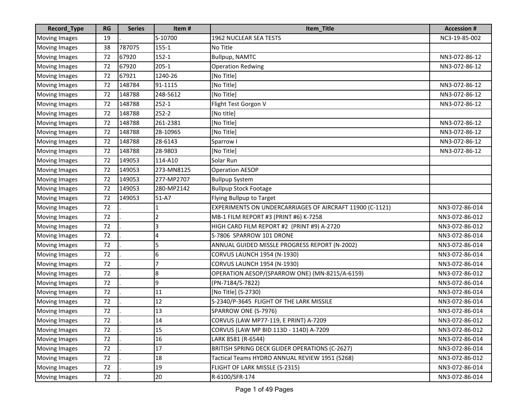| Record_Type          | <b>RG</b> | <b>Series</b> | Item#      | Item_Title                                               | <b>Accession #</b> |
|----------------------|-----------|---------------|------------|----------------------------------------------------------|--------------------|
| <b>Moving Images</b> | 19        |               | S-10700    | 1962 NUCLEAR SEA TESTS                                   | NC3-19-85-002      |
| <b>Moving Images</b> | 38        | 787075        | $155 - 1$  | No Title                                                 |                    |
| <b>Moving Images</b> | 72        | 67920         | $152 - 1$  | <b>Bullpup, NAMTC</b>                                    | NN3-072-86-12      |
| <b>Moving Images</b> | 72        | 67920         | $205 - 1$  | <b>Operation Redwing</b>                                 | NN3-072-86-12      |
| <b>Moving Images</b> | 72        | 67921         | 1240-26    | [No Title]                                               |                    |
| Moving Images        | 72        | 148784        | 91-1115    | [No Title]                                               | NN3-072-86-12      |
| <b>Moving Images</b> | 72        | 148788        | 248-5612   | [No Title]                                               | NN3-072-86-12      |
| <b>Moving Images</b> | 72        | 148788        | $252 - 1$  | Flight Test Gorgon V                                     | NN3-072-86-12      |
| <b>Moving Images</b> | 72        | 148788        | $252 - 2$  | [No title]                                               |                    |
| <b>Moving Images</b> | 72        | 148788        | 261-2381   | [No Title]                                               | NN3-072-86-12      |
| <b>Moving Images</b> | 72        | 148788        | 28-10965   | [No Title]                                               | NN3-072-86-12      |
| <b>Moving Images</b> | 72        | 148788        | 28-6143    | Sparrow I                                                | NN3-072-86-12      |
| <b>Moving Images</b> | 72        | 148788        | 28-9803    | [No Title]                                               | NN3-072-86-12      |
| <b>Moving Images</b> | 72        | 149053        | 114-A10    | Solar Run                                                |                    |
| <b>Moving Images</b> | 72        | 149053        | 273-MN8125 | <b>Operation AESOP</b>                                   |                    |
| <b>Moving Images</b> | 72        | 149053        | 277-MP2707 | <b>Bullpup System</b>                                    |                    |
| Moving Images        | 72        | 149053        | 280-MP2142 | <b>Bullpup Stock Footage</b>                             |                    |
| <b>Moving Images</b> | 72        | 149053        | 51-A7      | Flying Bullpup to Target                                 |                    |
| <b>Moving Images</b> | 72        |               |            | EXPERIMENTS ON UNDERCARRIAGES OF AIRCRAFT 11900 (C-1121) | NN3-072-86-014     |
| <b>Moving Images</b> | 72        |               | 2          | MB-1 FILM REPORT #3 (PRINT #6) K-7258                    | NN3-072-86-012     |
| <b>Moving Images</b> | 72        |               | 3          | HIGH CARD FILM REPORT #2 (PRINT #9) A-2720               | NN3-072-86-012     |
| <b>Moving Images</b> | 72        |               | 4          | S-7806 SPARROW 101 DRONE                                 | NN3-072-86-014     |
| <b>Moving Images</b> | 72        |               | 5          | ANNUAL GUIDED MISSLE PROGRESS REPORT (N-2002)            | NN3-072-86-014     |
| <b>Moving Images</b> | 72        |               | 6          | <b>CORVUS LAUNCH 1954 (N-1930)</b>                       | NN3-072-86-014     |
| <b>Moving Images</b> | 72        |               | 7          | <b>CORVUS LAUNCH 1954 (N-1930)</b>                       | NN3-072-86-014     |
| <b>Moving Images</b> | 72        |               | 8          | OPERATION AESOP/(SPARROW ONE) (MN-8215/A-6159)           | NN3-072-86-012     |
| Moving Images        | 72        |               | 9          | (PN-7184/S-7822)                                         | NN3-072-86-014     |
| <b>Moving Images</b> | 72        |               | 11         | [No Title] (S-2730)                                      | NN3-072-86-014     |
| <b>Moving Images</b> | 72        |               | 12         | S-2340/P-3645 FLIGHT OF THE LARK MISSILE                 | NN3-072-86-014     |
| Moving Images        | 72        |               | 13         | SPARROW ONE (S-7976)                                     | NN3-072-86-014     |
| Moving Images        | 72        |               | 14         | CORVUS (LAW MP77-119, E PRINT) A-7209                    | NN3-072-86-012     |
| <b>Moving Images</b> | 72        |               | 15         | CORVUS (LAW MP BID 113D - 114D) A-7209                   | NN3-072-86-012     |
| <b>Moving Images</b> | 72        |               | 16         | LARK 8581 (R-6544)                                       | NN3-072-86-014     |
| <b>Moving Images</b> | 72        |               | 17         | BRITISH SPRING DECK GLIDER OPERATIONS (C-2627)           | NN3-072-86-014     |
| <b>Moving Images</b> | 72        |               | 18         | Tactical Teams HYDRO ANNUAL REVIEW 1951 (5268)           | NN3-072-86-012     |
| <b>Moving Images</b> | 72        |               | 19         | FLIGHT OF LARK MISSLE (S-2315)                           | NN3-072-86-014     |
| <b>Moving Images</b> | 72        |               | 20         | R-6100/SFR-174                                           | NN3-072-86-014     |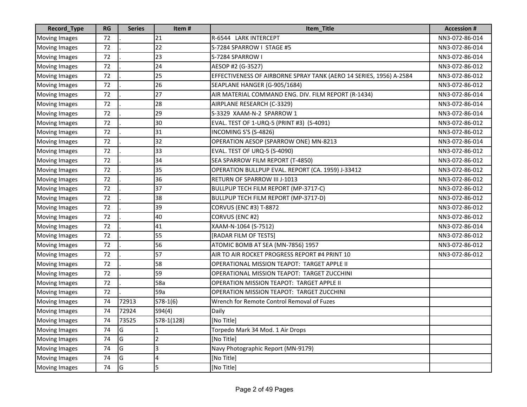| Record_Type          | RG | <b>Series</b> | Item#        | Item_Title                                                         | <b>Accession #</b> |
|----------------------|----|---------------|--------------|--------------------------------------------------------------------|--------------------|
| <b>Moving Images</b> | 72 |               | 21           | R-6544 LARK INTERCEPT                                              | NN3-072-86-014     |
| <b>Moving Images</b> | 72 |               | 22           | S-7284 SPARROW I STAGE #5                                          | NN3-072-86-014     |
| <b>Moving Images</b> | 72 |               | 23           | S-7284 SPARROW I                                                   | NN3-072-86-014     |
| <b>Moving Images</b> | 72 |               | 24           | AESOP #2 (G-3527)                                                  | NN3-072-86-012     |
| <b>Moving Images</b> | 72 |               | 25           | EFFECTIVENESS OF AIRBORNE SPRAY TANK (AERO 14 SERIES, 1956) A-2584 | NN3-072-86-012     |
| <b>Moving Images</b> | 72 |               | 26           | SEAPLANE HANGER (G-905/1684)                                       | NN3-072-86-012     |
| <b>Moving Images</b> | 72 |               | 27           | AIR MATERIAL COMMAND ENG. DIV. FILM REPORT (R-1434)                | NN3-072-86-014     |
| <b>Moving Images</b> | 72 |               | 28           | AIRPLANE RESEARCH (C-3329)                                         | NN3-072-86-014     |
| <b>Moving Images</b> | 72 |               | 29           | S-3329 XAAM-N-2 SPARROW 1                                          | NN3-072-86-014     |
| <b>Moving Images</b> | 72 |               | 30           | EVAL. TEST OF 1-URQ-5 (PRINT #3) (S-4091)                          | NN3-072-86-012     |
| <b>Moving Images</b> | 72 |               | 31           | INCOMING S'S (S-4826)                                              | NN3-072-86-012     |
| <b>Moving Images</b> | 72 |               | 32           | OPERATION AESOP (SPARROW ONE) MN-8213                              | NN3-072-86-014     |
| <b>Moving Images</b> | 72 |               | 33           | <b>EVAL. TEST OF URQ-5 (S-4090)</b>                                | NN3-072-86-012     |
| <b>Moving Images</b> | 72 |               | 34           | SEA SPARROW FILM REPORT (T-4850)                                   | NN3-072-86-012     |
| <b>Moving Images</b> | 72 |               | 35           | OPERATION BULLPUP EVAL. REPORT (CA. 1959) J-33412                  | NN3-072-86-012     |
| <b>Moving Images</b> | 72 |               | 36           | RETURN OF SPARROW III J-1013                                       | NN3-072-86-012     |
| <b>Moving Images</b> | 72 |               | 37           | BULLPUP TECH FILM REPORT (MP-3717-C)                               | NN3-072-86-012     |
| <b>Moving Images</b> | 72 |               | 38           | BULLPUP TECH FILM REPORT (MP-3717-D)                               | NN3-072-86-012     |
| <b>Moving Images</b> | 72 |               | 39           | <b>CORVUS (ENC #3) T-8872</b>                                      | NN3-072-86-012     |
| <b>Moving Images</b> | 72 |               | 40           | CORVUS (ENC #2)                                                    | NN3-072-86-012     |
| <b>Moving Images</b> | 72 |               | 41           | XAAM-N-1064 (S-7512)                                               | NN3-072-86-014     |
| <b>Moving Images</b> | 72 |               | 55           | [RADAR FILM OF TESTS]                                              | NN3-072-86-012     |
| <b>Moving Images</b> | 72 |               | 56           | ATOMIC BOMB AT SEA (MN-7856) 1957                                  | NN3-072-86-012     |
| <b>Moving Images</b> | 72 |               | 57           | AIR TO AIR ROCKET PROGRESS REPORT #4 PRINT 10                      | NN3-072-86-012     |
| <b>Moving Images</b> | 72 |               | 58           | <b>OPERATIONAL MISSION TEAPOT: TARGET APPLE II</b>                 |                    |
| <b>Moving Images</b> | 72 |               | 59           | OPERATIONAL MISSION TEAPOT: TARGET ZUCCHINI                        |                    |
| <b>Moving Images</b> | 72 |               | 58a          | <b>OPERATION MISSION TEAPOT: TARGET APPLE II</b>                   |                    |
| <b>Moving Images</b> | 72 |               | 59a          | <b>OPERATION MISSION TEAPOT: TARGET ZUCCHINI</b>                   |                    |
| <b>Moving Images</b> | 74 | 72913         | $S78-1(6)$   | Wrench for Remote Control Removal of Fuzes                         |                    |
| <b>Moving Images</b> | 74 | 72924         | S94(4)       | Daily                                                              |                    |
| Moving Images        | 74 | 73525         | S78-1(128)   | [No Title]                                                         |                    |
| <b>Moving Images</b> | 74 | G             | $\mathbf{1}$ | Torpedo Mark 34 Mod. 1 Air Drops                                   |                    |
| <b>Moving Images</b> | 74 | G             | 2            | [No Title]                                                         |                    |
| <b>Moving Images</b> | 74 | G             | 3            | Navy Photographic Report (MN-9179)                                 |                    |
| <b>Moving Images</b> | 74 | G             | 4            | [No Title]                                                         |                    |
| <b>Moving Images</b> | 74 | G             | 5            | [No Title]                                                         |                    |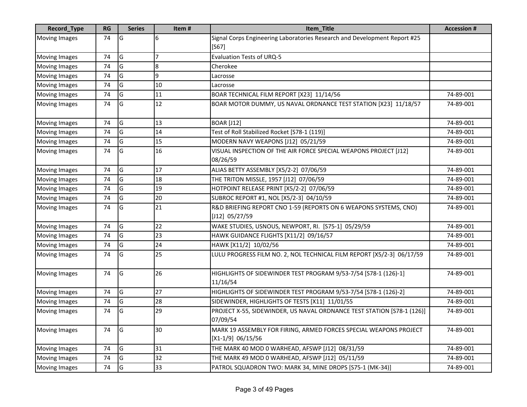| Record_Type          | <b>RG</b> | <b>Series</b> | Item#            | Item_Title                                                                               | <b>Accession#</b> |
|----------------------|-----------|---------------|------------------|------------------------------------------------------------------------------------------|-------------------|
| <b>Moving Images</b> | 74        | G             | 6                | Signal Corps Engineering Laboratories Research and Development Report #25<br>$[S67]$     |                   |
| <b>Moving Images</b> | 74        | G             | 7                | Evaluation Tests of URQ-5                                                                |                   |
| Moving Images        | 74        | G             | $\boldsymbol{8}$ | Cherokee                                                                                 |                   |
| <b>Moving Images</b> | 74        | G             | 9                | Lacrosse                                                                                 |                   |
| <b>Moving Images</b> | 74        | G             | 10               | Lacrosse                                                                                 |                   |
| <b>Moving Images</b> | 74        | G             | 11               | BOAR TECHNICAL FILM REPORT [X23] 11/14/56                                                | 74-89-001         |
| <b>Moving Images</b> | 74        | G             | 12               | BOAR MOTOR DUMMY, US NAVAL ORDNANCE TEST STATION [X23] 11/18/57                          | 74-89-001         |
| <b>Moving Images</b> | 74        | G             | 13               | <b>BOAR [J12]</b>                                                                        | 74-89-001         |
| <b>Moving Images</b> | 74        | G             | 14               | Test of Roll Stabilized Rocket [S78-1 (119)]                                             | 74-89-001         |
| Moving Images        | 74        | G             | 15               | MODERN NAVY WEAPONS [J12] 05/21/59                                                       | 74-89-001         |
| Moving Images        | 74        | G             | 16               | VISUAL INSPECTION OF THE AIR FORCE SPECIAL WEAPONS PROJECT [J12]<br>08/26/59             | 74-89-001         |
| <b>Moving Images</b> | 74        | G             | 17               | ALIAS BETTY ASSEMBLY [X5/2-2] 07/06/59                                                   | 74-89-001         |
| <b>Moving Images</b> | 74        | G             | 18               | THE TRITON MISSLE, 1957 [J12] 07/06/59                                                   | 74-89-001         |
| <b>Moving Images</b> | 74        | G             | 19               | HOTPOINT RELEASE PRINT [X5/2-2] 07/06/59                                                 | 74-89-001         |
| <b>Moving Images</b> | 74        | G             | 20               | SUBROC REPORT #1, NOL [X5/2-3] 04/10/59                                                  | 74-89-001         |
| <b>Moving Images</b> | 74        | G             | 21               | R&D BRIEFING REPORT CNO 1-59 (REPORTS ON 6 WEAPONS SYSTEMS, CNO)<br>[J12] 05/27/59       | 74-89-001         |
| <b>Moving Images</b> | 74        | G             | 22               | WAKE STUDIES, USNOUS, NEWPORT, RI. [S75-1] 05/29/59                                      | 74-89-001         |
| <b>Moving Images</b> | 74        | G             | 23               | HAWK GUIDANCE FLIGHTS [X11/2] 09/16/57                                                   | 74-89-001         |
| <b>Moving Images</b> | 74        | G             | 24               | HAWK [X11/2] 10/02/56                                                                    | 74-89-001         |
| <b>Moving Images</b> | 74        | G             | 25               | LULU PROGRESS FILM NO. 2, NOL TECHNICAL FILM REPORT [X5/2-3] 06/17/59                    | 74-89-001         |
| <b>Moving Images</b> | 74        | G             | 26               | HIGHLIGHTS OF SIDEWINDER TEST PROGRAM 9/53-7/54 [S78-1 (126)-1]<br>11/16/54              | 74-89-001         |
| <b>Moving Images</b> | 74        | G             | 27               | HIGHLIGHTS OF SIDEWINDER TEST PROGRAM 9/53-7/54 [S78-1 (126)-2]                          | 74-89-001         |
| <b>Moving Images</b> | 74        | G             | 28               | SIDEWINDER, HIGHLIGHTS OF TESTS [X11] 11/01/55                                           | 74-89-001         |
| <b>Moving Images</b> | 74        | G             | 29               | PROJECT X-55, SIDEWINDER, US NAVAL ORDNANCE TEST STATION [S78-1 (126)]<br>07/09/54       | 74-89-001         |
| <b>Moving Images</b> | 74        | G             | 30               | MARK 19 ASSEMBLY FOR FIRING, ARMED FORCES SPECIAL WEAPONS PROJECT<br>$[X1-1/9] 06/15/56$ | 74-89-001         |
| <b>Moving Images</b> | 74        | G             | 31               | THE MARK 40 MOD 0 WARHEAD, AFSWP [J12] 08/31/59                                          | 74-89-001         |
| <b>Moving Images</b> | 74        | G             | 32               | THE MARK 49 MOD 0 WARHEAD, AFSWP [J12] 05/11/59                                          | 74-89-001         |
| <b>Moving Images</b> | 74        | G             | 33               | PATROL SQUADRON TWO: MARK 34, MINE DROPS [S75-1 (MK-34)]                                 | 74-89-001         |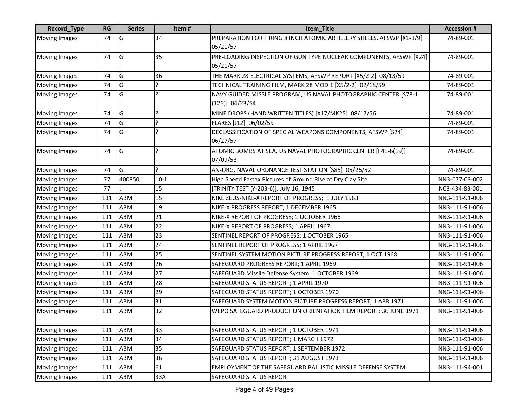| <b>Record_Type</b>   | <b>RG</b> | <b>Series</b> | Item#         | Item_Title                                                                            | <b>Accession #</b> |
|----------------------|-----------|---------------|---------------|---------------------------------------------------------------------------------------|--------------------|
| <b>Moving Images</b> | 74        | G             | 34            | PREPARATION FOR FIRING 8 INCH ATOMIC ARTILLERY SHELLS, AFSWP [X1-1/9]<br>05/21/57     | 74-89-001          |
| <b>Moving Images</b> | 74        | G             | 35            | PRE-LOADING INSPECTION OF GUN TYPE NUCLEAR COMPONENTS, AFSWP [X24]<br>05/21/57        | 74-89-001          |
| <b>Moving Images</b> | 74        | G             | 36            | THE MARK 28 ELECTRICAL SYSTEMS, AFSWP REPORT [X5/2-2] 08/13/59                        | 74-89-001          |
| <b>Moving Images</b> | 74        | G             | ς             | TECHNICAL TRAINING FILM, MARK 28 MOD 1 [X5/2-2] 02/18/59                              | 74-89-001          |
| <b>Moving Images</b> | 74        | G             | ?             | NAVY GUIDED MISSLE PROGRAM, US NAVAL PHOTOGRAPHIC CENTER [S78-1<br>$(126)$ ] 04/23/54 | 74-89-001          |
| Moving Images        | 74        | G             | 5.            | MINE DROPS (HAND WRITTEN TITLES) [X17/MK25] 08/17/56                                  | 74-89-001          |
| <b>Moving Images</b> | 74        | G             | 5.            | FLARES [J12] 06/02/59                                                                 | 74-89-001          |
| Moving Images        | 74        | G             | ŗ             | DECLASSIFICATION OF SPECIAL WEAPONS COMPONENTS, AFSWP [S24]<br>06/27/57               | 74-89-001          |
| <b>Moving Images</b> | 74        | G             | ?             | ATOMIC BOMBS AT SEA, US NAVAL PHOTOGRAPHIC CENTER [F41-6(19)]<br>07/09/53             | 74-89-001          |
| <b>Moving Images</b> | 74        | G             | $\mathcal{P}$ | AN-URG, NAVAL ORDNANCE TEST STATION [S85] 05/26/52                                    | 74-89-001          |
| <b>Moving Images</b> | 77        | 400850        | $10-1$        | High Speed Fastax Pictures of Ground Rise at Dry Clay Site                            | NN3-077-03-002     |
| <b>Moving Images</b> | 77        |               | 15            | [TRINITY TEST (Y-203-6)], July 16, 1945                                               | NC3-434-83-001     |
| <b>Moving Images</b> | 111       | ABM           | 15            | NIKE ZEUS-NIKE-X REPORT OF PROGRESS; 1 JULY 1963                                      | NN3-111-91-006     |
| <b>Moving Images</b> | 111       | ABM           | 19            | NIKE-X PROGRESS REPORT; 1 DECEMBER 1965                                               | NN3-111-91-006     |
| <b>Moving Images</b> | 111       | ABM           | 21            | NIKE-X REPORT OF PROGRESS; 1 OCTOBER 1966                                             | NN3-111-91-006     |
| <b>Moving Images</b> | 111       | ABM           | 22            | NIKE-X REPORT OF PROGRESS; 1 APRIL 1967                                               | NN3-111-91-006     |
| <b>Moving Images</b> | 111       | ABM           | 23            | SENTINEL REPORT OF PROGRESS; 1 OCTOBER 1965                                           | NN3-111-91-006     |
| <b>Moving Images</b> | 111       | ABM           | 24            | SENTINEL REPORT OF PROGRESS; 1 APRIL 1967                                             | NN3-111-91-006     |
| <b>Moving Images</b> | 111       | ABM           | 25            | SENTINEL SYSTEM MOTION PICTURE PROGRESS REPORT; 1 OCT 1968                            | NN3-111-91-006     |
| <b>Moving Images</b> | 111       | ABM           | 26            | SAFEGUARD PROGRESS REPORT; 1 APRIL 1969                                               | NN3-111-91-006     |
| <b>Moving Images</b> | 111       | <b>ABM</b>    | 27            | SAFEGUARD Missile Defense System, 1 OCTOBER 1969                                      | NN3-111-91-006     |
| <b>Moving Images</b> | 111       | ABM           | 28            | SAFEGUARD STATUS REPORT; 1 APRIL 1970                                                 | NN3-111-91-006     |
| <b>Moving Images</b> | 111       | ABM           | 29            | SAFEGUARD STATUS REPORT; 1 OCTOBER 1970                                               | NN3-111-91-006     |
| <b>Moving Images</b> | 111       | ABM           | 31            | SAFEGUARD SYSTEM MOTION PICTURE PROGRESS REPORT; 1 APR 1971                           | NN3-111-91-006     |
| <b>Moving Images</b> | 111       | ABM           | 32            | WEPO SAFEGUARD PRODUCTION ORIENTATION FILM REPORT; 30 JUNE 1971                       | NN3-111-91-006     |
| <b>Moving Images</b> | 111       | <b>ABM</b>    | 33            | SAFEGUARD STATUS REPORT; 1 OCTOBER 1971                                               | NN3-111-91-006     |
| <b>Moving Images</b> | 111       | ABM           | 34            | SAFEGUARD STATUS REPORT; 1 MARCH 1972                                                 | NN3-111-91-006     |
| <b>Moving Images</b> | 111       | ABM           | 35            | SAFEGUARD STATUS REPORT; 1 SEPTEMBER 1972                                             | NN3-111-91-006     |
| <b>Moving Images</b> | 111       | ABM           | 36            | SAFEGUARD STATUS REPORT; 31 AUGUST 1973                                               | NN3-111-91-006     |
| <b>Moving Images</b> | 111       | ABM           | 61            | EMPLOYMENT OF THE SAFEGUARD BALLISTIC MISSILE DEFENSE SYSTEM                          | NN3-111-94-001     |
| <b>Moving Images</b> | 111       | ABM           | 33A           | <b>SAFEGUARD STATUS REPORT</b>                                                        |                    |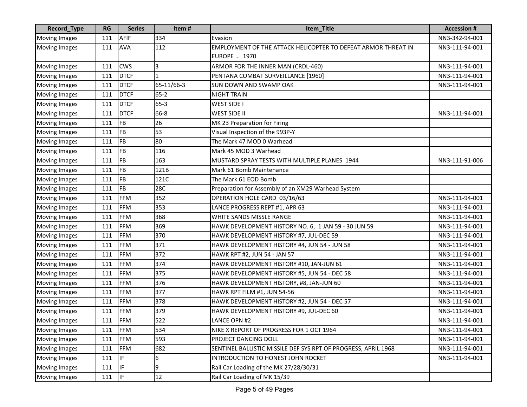| Record_Type          | <b>RG</b> | <b>Series</b> | Item#        | Item_Title                                                     | <b>Accession#</b> |
|----------------------|-----------|---------------|--------------|----------------------------------------------------------------|-------------------|
| <b>Moving Images</b> | 111       | <b>AFIF</b>   | 334          | Evasion                                                        | NN3-342-94-001    |
| <b>Moving Images</b> | 111       | <b>AVA</b>    | 112          | EMPLOYMENT OF THE ATTACK HELICOPTER TO DEFEAT ARMOR THREAT IN  | NN3-111-94-001    |
|                      |           |               |              | <b>EUROPE  1970</b>                                            |                   |
| <b>Moving Images</b> | 111       | <b>CWS</b>    | 3            | ARMOR FOR THE INNER MAN (CRDL-460)                             | NN3-111-94-001    |
| <b>Moving Images</b> | 111       | <b>DTCF</b>   | $\mathbf{1}$ | PENTANA COMBAT SURVEILLANCE [1960]                             | NN3-111-94-001    |
| <b>Moving Images</b> | 111       | <b>DTCF</b>   | 65-11/66-3   | <b>SUN DOWN AND SWAMP OAK</b>                                  | NN3-111-94-001    |
| <b>Moving Images</b> | 111       | <b>DTCF</b>   | $65 - 2$     | <b>NIGHT TRAIN</b>                                             |                   |
| <b>Moving Images</b> | 111       | <b>DTCF</b>   | $65-3$       | WEST SIDE I                                                    |                   |
| <b>Moving Images</b> | 111       | <b>DTCF</b>   | 66-8         | <b>WEST SIDE II</b>                                            | NN3-111-94-001    |
| Moving Images        | 111       | <b>FB</b>     | 26           | MK 23 Preparation for Firing                                   |                   |
| <b>Moving Images</b> | 111       | <b>FB</b>     | 53           | Visual Inspection of the 993P-Y                                |                   |
| <b>Moving Images</b> | 111       | <b>FB</b>     | 80           | The Mark 47 MOD 0 Warhead                                      |                   |
| <b>Moving Images</b> | 111       | <b>FB</b>     | 116          | Mark 45 MOD 3 Warhead                                          |                   |
| <b>Moving Images</b> | 111       | <b>FB</b>     | 163          | MUSTARD SPRAY TESTS WITH MULTIPLE PLANES 1944                  | NN3-111-91-006    |
| <b>Moving Images</b> | 111       | <b>FB</b>     | 121B         | Mark 61 Bomb Maintenance                                       |                   |
| <b>Moving Images</b> | 111       | <b>FB</b>     | 121C         | The Mark 61 EOD Bomb                                           |                   |
| <b>Moving Images</b> | 111       | <b>FB</b>     | 28C          | Preparation for Assembly of an XM29 Warhead System             |                   |
| <b>Moving Images</b> | 111       | <b>FFM</b>    | 352          | OPERATION HOLE CARD 03/16/63                                   | NN3-111-94-001    |
| <b>Moving Images</b> | 111       | <b>FFM</b>    | 353          | LANCE PROGRESS REPT #1, APR 63                                 | NN3-111-94-001    |
| <b>Moving Images</b> | 111       | <b>FFM</b>    | 368          | WHITE SANDS MISSLE RANGE                                       | NN3-111-94-001    |
| Moving Images        | 111       | <b>FFM</b>    | 369          | HAWK DEVELOPMENT HISTORY NO. 6, 1 JAN 59 - 30 JUN 59           | NN3-111-94-001    |
| <b>Moving Images</b> | 111       | <b>FFM</b>    | 370          | HAWK DEVELOPMENT HISTORY #7, JUL-DEC 59                        | NN3-111-94-001    |
| <b>Moving Images</b> | 111       | <b>FFM</b>    | 371          | HAWK DEVELOPMENT HISTORY #4, JUN 54 - JUN 58                   | NN3-111-94-001    |
| <b>Moving Images</b> | 111       | <b>FFM</b>    | 372          | HAWK RPT #2, JUN 54 - JAN 57                                   | NN3-111-94-001    |
| <b>Moving Images</b> | 111       | <b>FFM</b>    | 374          | HAWK DEVELOPMENT HISTORY #10, JAN-JUN 61                       | NN3-111-94-001    |
| <b>Moving Images</b> | 111       | <b>FFM</b>    | 375          | HAWK DEVELOPMENT HISTORY #5, JUN 54 - DEC 58                   | NN3-111-94-001    |
| <b>Moving Images</b> | 111       | <b>FFM</b>    | 376          | HAWK DEVELOPMENT HISTORY, #8, JAN-JUN 60                       | NN3-111-94-001    |
| <b>Moving Images</b> | 111       | <b>FFM</b>    | 377          | HAWK RPT FILM #1, JUN 54-56                                    | NN3-111-94-001    |
| <b>Moving Images</b> | 111       | <b>FFM</b>    | 378          | HAWK DEVELOPMENT HISTORY #2, JUN 54 - DEC 57                   | NN3-111-94-001    |
| <b>Moving Images</b> | 111       | <b>FFM</b>    | 379          | HAWK DEVELOPMENT HISTORY #9, JUL-DEC 60                        | NN3-111-94-001    |
| <b>Moving Images</b> | 111       | FFM           | 522          | <b>LANCE OPN #2</b>                                            | NN3-111-94-001    |
| <b>Moving Images</b> | 111       | <b>FFM</b>    | 534          | NIKE X REPORT OF PROGRESS FOR 1 OCT 1964                       | NN3-111-94-001    |
| <b>Moving Images</b> | 111       | <b>FFM</b>    | 593          | PROJECT DANCING DOLL                                           | NN3-111-94-001    |
| <b>Moving Images</b> | 111       | <b>FFM</b>    | 682          | SENTINEL BALLISTIC MISSILE DEF SYS RPT OF PROGRESS, APRIL 1968 | NN3-111-94-001    |
| <b>Moving Images</b> | 111       | IF.           | 6            | INTRODUCTION TO HONEST JOHN ROCKET                             | NN3-111-94-001    |
| <b>Moving Images</b> | 111       | IF.           | 9            | Rail Car Loading of the MK 27/28/30/31                         |                   |
| <b>Moving Images</b> | 111       | IF.           | 12           | Rail Car Loading of MK 15/39                                   |                   |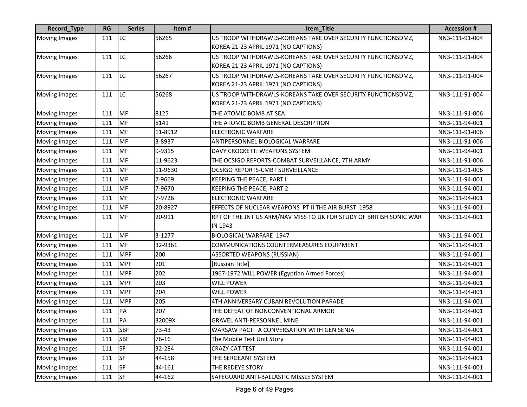| <b>Record_Type</b>   | <b>RG</b> | <b>Series</b> | Item#   | Item_Title                                                          | <b>Accession #</b> |
|----------------------|-----------|---------------|---------|---------------------------------------------------------------------|--------------------|
| <b>Moving Images</b> | 111       | <b>LC</b>     | 56265   | US TROOP WITHDRAWLS-KOREANS TAKE OVER SECURITY FUNCTIONSDMZ,        | NN3-111-91-004     |
|                      |           |               |         | KOREA 21-23 APRIL 1971 (NO CAPTIONS)                                |                    |
| <b>Moving Images</b> | 111       | <b>LC</b>     | 56266   | US TROOP WITHDRAWLS-KOREANS TAKE OVER SECURITY FUNCTIONSDMZ,        | NN3-111-91-004     |
|                      |           |               |         | KOREA 21-23 APRIL 1971 (NO CAPTIONS)                                |                    |
| <b>Moving Images</b> | 111       | LC            | 56267   | US TROOP WITHDRAWLS-KOREANS TAKE OVER SECURITY FUNCTIONSDMZ,        | NN3-111-91-004     |
|                      |           |               |         | KOREA 21-23 APRIL 1971 (NO CAPTIONS)                                |                    |
| <b>Moving Images</b> | 111       | LC            | 56268   | US TROOP WITHDRAWLS-KOREANS TAKE OVER SECURITY FUNCTIONSDMZ,        | NN3-111-91-004     |
|                      |           |               |         | KOREA 21-23 APRIL 1971 (NO CAPTIONS)                                |                    |
| <b>Moving Images</b> | 111       | MF            | 8125    | THE ATOMIC BOMB AT SEA                                              | NN3-111-91-006     |
| <b>Moving Images</b> | 111       | MF            | 8141    | THE ATOMIC BOMB GENERAL DESCRIPTION                                 | NN3-111-94-001     |
| <b>Moving Images</b> | 111       | MF            | 11-8912 | <b>ELECTRONIC WARFARE</b>                                           | NN3-111-91-006     |
| <b>Moving Images</b> | 111       | MF            | 3-8937  | ANTIPERSONNEL BIOLOGICAL WARFARE                                    | NN3-111-91-006     |
| <b>Moving Images</b> | 111       | MF            | 9-9315  | DAVY CROCKETT: WEAPONS SYSTEM                                       | NN3-111-94-001     |
| <b>Moving Images</b> | 111       | MF            | 11-9623 | THE OCSIGO REPORTS-COMBAT SURVEILLANCE, 7TH ARMY                    | NN3-111-91-006     |
| <b>Moving Images</b> | 111       | MF            | 11-9630 | OCSIGO REPORTS-CMBT SURVEILLANCE                                    | NN3-111-91-006     |
| <b>Moving Images</b> | 111       | MF            | 7-9669  | KEEPING THE PEACE, PART I                                           | NN3-111-94-001     |
| <b>Moving Images</b> | 111       | MF            | 7-9670  | <b>KEEPING THE PEACE, PART 2</b>                                    | NN3-111-94-001     |
| <b>Moving Images</b> | 111       | MF            | 7-9726  | <b>ELECTRONIC WARFARE</b>                                           | NN3-111-94-001     |
| <b>Moving Images</b> | 111       | MF            | 20-8927 | EFFECTS OF NUCLEAR WEAPONS PT II THE AIR BURST 1958                 | NN3-111-94-001     |
| <b>Moving Images</b> | 111       | MF            | 20-911  | RPT OF THE JNT US ARM/NAV MISS TO UK FOR STUDY OF BRITISH SONIC WAR | NN3-111-94-001     |
|                      |           |               |         | IN 1943                                                             |                    |
| <b>Moving Images</b> | 111       | MF            | 3-1277  | <b>BIOLOGICAL WARFARE 1947</b>                                      | NN3-111-94-001     |
| <b>Moving Images</b> | 111       | MF            | 32-9361 | COMMUNICATIONS COUNTERMEASURES EQUIPMENT                            | NN3-111-94-001     |
| <b>Moving Images</b> | 111       | <b>MPF</b>    | 200     | <b>ASSORTED WEAPONS (RUSSIAN)</b>                                   | NN3-111-94-001     |
| <b>Moving Images</b> | 111       | <b>MPF</b>    | 201     | [Russian Title]                                                     | NN3-111-94-001     |
| <b>Moving Images</b> | 111       | <b>MPF</b>    | 202     | 1967-1972 WILL POWER (Egyptian Armed Forces)                        | NN3-111-94-001     |
| <b>Moving Images</b> | 111       | <b>MPF</b>    | 203     | <b>WILL POWER</b>                                                   | NN3-111-94-001     |
| <b>Moving Images</b> | 111       | <b>MPF</b>    | 204     | <b>WILL POWER</b>                                                   | NN3-111-94-001     |
| <b>Moving Images</b> | 111       | <b>MPF</b>    | 205     | 4TH ANNIVERSARY CUBAN REVOLUTION PARADE                             | NN3-111-94-001     |
| Moving Images        | 111       | PA            | 207     | THE DEFEAT OF NONCONVENTIONAL ARMOR                                 | NN3-111-94-001     |
| <b>Moving Images</b> | 111       | PA            | 32009X  | <b>GRAVEL ANTI-PERSONNEL MINE</b>                                   | NN3-111-94-001     |
| <b>Moving Images</b> | 111       | <b>SBF</b>    | 73-43   | WARSAW PACT: A CONVERSATION WITH GEN SENJA                          | NN3-111-94-001     |
| <b>Moving Images</b> | 111       | <b>SBF</b>    | 76-16   | The Mobile Test Unit Story                                          | NN3-111-94-001     |
| <b>Moving Images</b> | 111       | <b>SF</b>     | 32-284  | CRAZY CAT TEST                                                      | NN3-111-94-001     |
| Moving Images        | 111       | SF            | 44-158  | THE SERGEANT SYSTEM                                                 | NN3-111-94-001     |
| <b>Moving Images</b> | 111       | <b>SF</b>     | 44-161  | THE REDEYE STORY                                                    | NN3-111-94-001     |
| <b>Moving Images</b> | 111       | <b>SF</b>     | 44-162  | SAFEGUARD ANTI-BALLASTIC MISSLE SYSTEM                              | NN3-111-94-001     |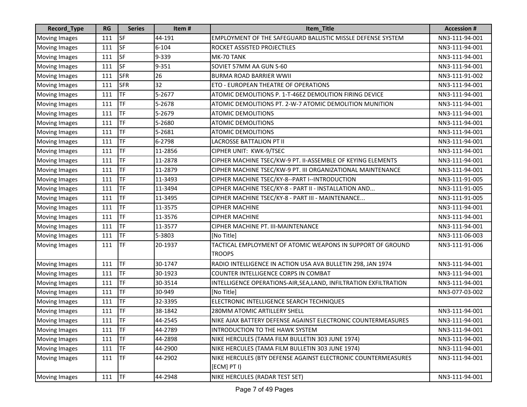| Record_Type          | RG  | <b>Series</b> | Item#     | Item_Title                                                                   | <b>Accession #</b> |
|----------------------|-----|---------------|-----------|------------------------------------------------------------------------------|--------------------|
| <b>Moving Images</b> | 111 | SF            | 44-191    | EMPLOYMENT OF THE SAFEGUARD BALLISTIC MISSLE DEFENSE SYSTEM                  | NN3-111-94-001     |
| <b>Moving Images</b> | 111 | SF            | $6 - 104$ | ROCKET ASSISTED PROJECTILES                                                  | NN3-111-94-001     |
| <b>Moving Images</b> | 111 | <b>SF</b>     | 9-339     | MK-70 TANK                                                                   | NN3-111-94-001     |
| <b>Moving Images</b> | 111 | <b>SF</b>     | 9-351     | SOVIET 57MM AA GUN S-60                                                      | NN3-111-94-001     |
| <b>Moving Images</b> | 111 | <b>SFR</b>    | 26        | <b>BURMA ROAD BARRIER WWII</b>                                               | NN3-111-91-002     |
| <b>Moving Images</b> | 111 | <b>SFR</b>    | 32        | ETO - EUROPEAN THEATRE OF OPERATIONS                                         | NN3-111-94-001     |
| <b>Moving Images</b> | 111 | TF            | 5-2677    | ATOMIC DEMOLITIONS P. 1-T-46EZ DEMOLITION FIRING DEVICE                      | NN3-111-94-001     |
| <b>Moving Images</b> | 111 | TF            | 5-2678    | ATOMIC DEMOLITIONS PT. 2-W-7 ATOMIC DEMOLITION MUNITION                      | NN3-111-94-001     |
| <b>Moving Images</b> | 111 | TF            | 5-2679    | <b>ATOMIC DEMOLITIONS</b>                                                    | NN3-111-94-001     |
| <b>Moving Images</b> | 111 | TF            | 5-2680    | <b>ATOMIC DEMOLITIONS</b>                                                    | NN3-111-94-001     |
| <b>Moving Images</b> | 111 | <b>TF</b>     | 5-2681    | <b>ATOMIC DEMOLITIONS</b>                                                    | NN3-111-94-001     |
| <b>Moving Images</b> | 111 | TF            | 6-2798    | <b>LACROSSE BATTALION PT II</b>                                              | NN3-111-94-001     |
| <b>Moving Images</b> | 111 | TF            | 11-2856   | CIPHER UNIT: KWK-9/TSEC                                                      | NN3-111-94-001     |
| <b>Moving Images</b> | 111 | TF            | 11-2878   | CIPHER MACHINE TSEC/KW-9 PT. II-ASSEMBLE OF KEYING ELEMENTS                  | NN3-111-94-001     |
| <b>Moving Images</b> | 111 | TF            | 11-2879   | CIPHER MACHINE TSEC/KW-9 PT. III ORGANIZATIONAL MAINTENANCE                  | NN3-111-94-001     |
| <b>Moving Images</b> | 111 | <b>TF</b>     | 11-3493   | CIPHER MACHINE TSEC/KY-8--PART I--INTRODUCTION                               | NN3-111-91-005     |
| <b>Moving Images</b> | 111 | TF            | 11-3494   | CIPHER MACHINE TSEC/KY-8 - PART II - INSTALLATION AND                        | NN3-111-91-005     |
| <b>Moving Images</b> | 111 | TF            | 11-3495   | CIPHER MACHINE TSEC/KY-8 - PART III - MAINTENANCE                            | NN3-111-91-005     |
| <b>Moving Images</b> | 111 | TF            | 11-3575   | <b>CIPHER MACHINE</b>                                                        | NN3-111-94-001     |
| <b>Moving Images</b> | 111 | TF            | 11-3576   | <b>CIPHER MACHINE</b>                                                        | NN3-111-94-001     |
| <b>Moving Images</b> | 111 | TF            | 11-3577   | CIPHER MACHINE PT. III-MAINTENANCE                                           | NN3-111-94-001     |
| <b>Moving Images</b> | 111 | <b>TF</b>     | 5-3803    | [No Title]                                                                   | NN3-111-06-003     |
| <b>Moving Images</b> | 111 | <b>TF</b>     | 20-1937   | TACTICAL EMPLOYMENT OF ATOMIC WEAPONS IN SUPPORT OF GROUND                   | NN3-111-91-006     |
|                      |     |               |           | <b>TROOPS</b>                                                                |                    |
| <b>Moving Images</b> | 111 | <b>TF</b>     | 30-1747   | RADIO INTELLIGENCE IN ACTION USA AVA BULLETIN 298, JAN 1974                  | NN3-111-94-001     |
| <b>Moving Images</b> | 111 | TF            | 30-1923   | COUNTER INTELLIGENCE CORPS IN COMBAT                                         | NN3-111-94-001     |
| <b>Moving Images</b> | 111 | TF            | 30-3514   | INTELLIGENCE OPERATIONS-AIR, SEA, LAND, INFILTRATION EXFILTRATION            | NN3-111-94-001     |
| <b>Moving Images</b> | 111 | <b>TF</b>     | 30-949    | [No Title]                                                                   | NN3-077-03-002     |
| <b>Moving Images</b> | 111 | <b>TF</b>     | 32-3395   | ELECTRONIC INTELLIGENCE SEARCH TECHNIQUES                                    |                    |
| <b>Moving Images</b> | 111 | TF            | 38-1842   | 280MM ATOMIC ARTILLERY SHELL                                                 | NN3-111-94-001     |
| Moving Images        | 111 | TF            | 44-2545   | NIKE AJAX BATTERY DEFENSE AGAINST ELECTRONIC COUNTERMEASURES                 | NN3-111-94-001     |
| <b>Moving Images</b> | 111 | <b>TF</b>     | 44-2789   | INTRODUCTION TO THE HAWK SYSTEM                                              | NN3-111-94-001     |
| <b>Moving Images</b> | 111 | TF            | 44-2898   | NIKE HERCULES (TAMA FILM BULLETIN 303 JUNE 1974)                             | NN3-111-94-001     |
| <b>Moving Images</b> | 111 | <b>TF</b>     | 44-2900   | NIKE HERCULES (TAMA FILM BULLETIN 303 JUNE 1974)                             | NN3-111-94-001     |
| <b>Moving Images</b> | 111 | <b>TF</b>     | 44-2902   | NIKE HERCULES (BTY DEFENSE AGAINST ELECTRONIC COUNTERMEASURES<br>[ECM] PT I) | NN3-111-94-001     |
| <b>Moving Images</b> | 111 | <b>TF</b>     | 44-2948   | NIKE HERCULES (RADAR TEST SET)                                               | NN3-111-94-001     |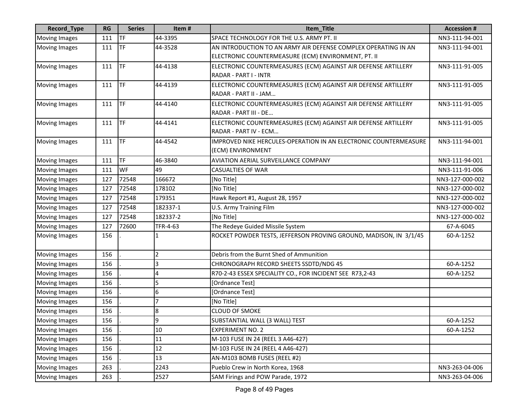| <b>Record_Type</b>   | <b>RG</b> | <b>Series</b> | Item#          | Item_Title                                                                                                            | <b>Accession #</b> |
|----------------------|-----------|---------------|----------------|-----------------------------------------------------------------------------------------------------------------------|--------------------|
| <b>Moving Images</b> | 111       | <b>TF</b>     | 44-3395        | SPACE TECHNOLOGY FOR THE U.S. ARMY PT. II                                                                             | NN3-111-94-001     |
| <b>Moving Images</b> | 111       | <b>TF</b>     | 44-3528        | AN INTRODUCTION TO AN ARMY AIR DEFENSE COMPLEX OPERATING IN AN<br>ELECTRONIC COUNTERMEASURE (ECM) ENVIRONMENT, PT. II | NN3-111-94-001     |
| <b>Moving Images</b> | 111       | <b>TF</b>     | 44-4138        | ELECTRONIC COUNTERMEASURES (ECM) AGAINST AIR DEFENSE ARTILLERY<br>RADAR - PART I - INTR                               | NN3-111-91-005     |
| <b>Moving Images</b> | 111       | <b>TF</b>     | 44-4139        | ELECTRONIC COUNTERMEASURES (ECM) AGAINST AIR DEFENSE ARTILLERY<br>RADAR - PART II - JAM                               | NN3-111-91-005     |
| <b>Moving Images</b> | 111       | <b>TF</b>     | 44-4140        | ELECTRONIC COUNTERMEASURES (ECM) AGAINST AIR DEFENSE ARTILLERY<br>RADAR - PART III - DE                               | NN3-111-91-005     |
| <b>Moving Images</b> | 111       | <b>TF</b>     | 44-4141        | ELECTRONIC COUNTERMEASURES (ECM) AGAINST AIR DEFENSE ARTILLERY<br>RADAR - PART IV - ECM                               | NN3-111-91-005     |
| <b>Moving Images</b> | 111       | <b>TF</b>     | 44-4542        | IMPROVED NIKE HERCULES-OPERATION IN AN ELECTRONIC COUNTERMEASURE<br>(ECM) ENVIRONMENT                                 | NN3-111-94-001     |
| Moving Images        | 111       | <b>TF</b>     | 46-3840        | AVIATION AERIAL SURVEILLANCE COMPANY                                                                                  | NN3-111-94-001     |
| <b>Moving Images</b> | 111       | WF            | 49             | <b>CASUALTIES OF WAR</b>                                                                                              | NN3-111-91-006     |
| <b>Moving Images</b> | 127       | 72548         | 166672         | [No Title]                                                                                                            | NN3-127-000-002    |
| <b>Moving Images</b> | 127       | 72548         | 178102         | [No Title]                                                                                                            | NN3-127-000-002    |
| <b>Moving Images</b> | 127       | 72548         | 179351         | Hawk Report #1, August 28, 1957                                                                                       | NN3-127-000-002    |
| <b>Moving Images</b> | 127       | 72548         | 182337-1       | U.S. Army Training Film                                                                                               | NN3-127-000-002    |
| <b>Moving Images</b> | 127       | 72548         | 182337-2       | [No Title]                                                                                                            | NN3-127-000-002    |
| Moving Images        | 127       | 72600         | TFR-4-63       | The Redeye Guided Missile System                                                                                      | 67-A-6045          |
| <b>Moving Images</b> | 156       |               |                | ROCKET POWDER TESTS, JEFFERSON PROVING GROUND, MADISON, IN 3/1/45                                                     | 60-A-1252          |
| <b>Moving Images</b> | 156       |               | $\overline{2}$ | Debris from the Burnt Shed of Ammunition                                                                              |                    |
| <b>Moving Images</b> | 156       |               | 3              | CHRONOGRAPH RECORD SHEETS SSDTD/NDG 45                                                                                | 60-A-1252          |
| <b>Moving Images</b> | 156       |               | 4              | R70-2-43 ESSEX SPECIALITY CO., FOR INCIDENT SEE R73,2-43                                                              | 60-A-1252          |
| <b>Moving Images</b> | 156       |               | 5              | [Ordnance Test]                                                                                                       |                    |
| <b>Moving Images</b> | 156       |               | 6              | [Ordnance Test]                                                                                                       |                    |
| <b>Moving Images</b> | 156       |               | 7              | [No Title]                                                                                                            |                    |
| <b>Moving Images</b> | 156       |               | 8              | <b>CLOUD OF SMOKE</b>                                                                                                 |                    |
| Moving Images        | 156       |               | $\overline{9}$ | SUBSTANTIAL WALL (3 WALL) TEST                                                                                        | 60-A-1252          |
| <b>Moving Images</b> | 156       |               | 10             | <b>EXPERIMENT NO. 2</b>                                                                                               | 60-A-1252          |
| <b>Moving Images</b> | 156       |               | 11             | M-103 FUSE IN 24 (REEL 3 A46-427)                                                                                     |                    |
| <b>Moving Images</b> | 156       |               | 12             | M-103 FUSE IN 24 (REEL 4 A46-427)                                                                                     |                    |
| <b>Moving Images</b> | 156       |               | 13             | AN-M103 BOMB FUSES (REEL #2)                                                                                          |                    |
| <b>Moving Images</b> | 263       |               | 2243           | Pueblo Crew in North Korea, 1968                                                                                      | NN3-263-04-006     |
| <b>Moving Images</b> | 263       |               | 2527           | SAM Firings and POW Parade, 1972                                                                                      | NN3-263-04-006     |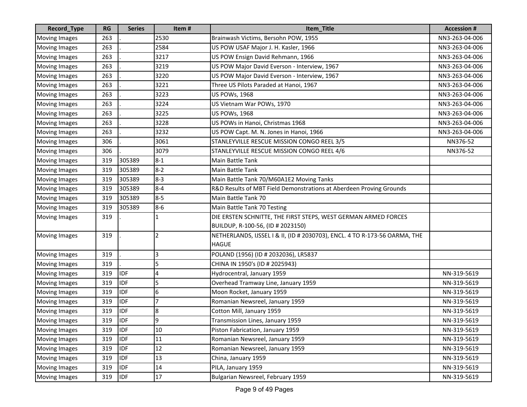| Record_Type          | <b>RG</b> | <b>Series</b> | Item#   | Item_Title                                                                 | <b>Accession #</b> |
|----------------------|-----------|---------------|---------|----------------------------------------------------------------------------|--------------------|
| <b>Moving Images</b> | 263       |               | 2530    | Brainwash Victims, Bersohn POW, 1955                                       | NN3-263-04-006     |
| <b>Moving Images</b> | 263       |               | 2584    | US POW USAF Major J. H. Kasler, 1966                                       | NN3-263-04-006     |
| <b>Moving Images</b> | 263       |               | 3217    | US POW Ensign David Rehmann, 1966                                          | NN3-263-04-006     |
| <b>Moving Images</b> | 263       |               | 3219    | US POW Major David Everson - Interview, 1967                               | NN3-263-04-006     |
| <b>Moving Images</b> | 263       |               | 3220    | US POW Major David Everson - Interview, 1967                               | NN3-263-04-006     |
| <b>Moving Images</b> | 263       |               | 3221    | Three US Pilots Paraded at Hanoi, 1967                                     | NN3-263-04-006     |
| <b>Moving Images</b> | 263       |               | 3223    | <b>US POWs, 1968</b>                                                       | NN3-263-04-006     |
| <b>Moving Images</b> | 263       |               | 3224    | US Vietnam War POWs, 1970                                                  | NN3-263-04-006     |
| <b>Moving Images</b> | 263       |               | 3225    | <b>US POWs, 1968</b>                                                       | NN3-263-04-006     |
| <b>Moving Images</b> | 263       |               | 3228    | US POWs in Hanoi, Christmas 1968                                           | NN3-263-04-006     |
| <b>Moving Images</b> | 263       |               | 3232    | US POW Capt. M. N. Jones in Hanoi, 1966                                    | NN3-263-04-006     |
| <b>Moving Images</b> | 306       |               | 3061    | STANLEYVILLE RESCUE MISSION CONGO REEL 3/5                                 | NN376-52           |
| <b>Moving Images</b> | 306       |               | 3079    | STANLEYVILLE RESCUE MISSION CONGO REEL 4/6                                 | NN376-52           |
| <b>Moving Images</b> | 319       | 305389        | $8 - 1$ | Main Battle Tank                                                           |                    |
| <b>Moving Images</b> | 319       | 305389        | $8 - 2$ | Main Battle Tank                                                           |                    |
| <b>Moving Images</b> | 319       | 305389        | $8 - 3$ | Main Battle Tank 70/M60A1E2 Moving Tanks                                   |                    |
| <b>Moving Images</b> | 319       | 305389        | $8 - 4$ | R&D Results of MBT Field Demonstrations at Aberdeen Proving Grounds        |                    |
| <b>Moving Images</b> | 319       | 305389        | $8 - 5$ | Main Battle Tank 70                                                        |                    |
| <b>Moving Images</b> | 319       | 305389        | $8 - 6$ | Main Battle Tank 70 Testing                                                |                    |
| <b>Moving Images</b> | 319       |               |         | DIE ERSTEN SCHNITTE, THE FIRST STEPS, WEST GERMAN ARMED FORCES             |                    |
|                      |           |               |         | BUILDUP, R-100-56, (ID # 2023150)                                          |                    |
| <b>Moving Images</b> | 319       |               | 2       | NETHERLANDS, IJSSEL I & II, (ID # 2030703), ENCL. 4 TO R-173-56 OARMA, THE |                    |
|                      |           |               |         | <b>HAGUE</b>                                                               |                    |
| <b>Moving Images</b> | 319       |               | 3       | POLAND (1956) (ID # 2032036), LR5837                                       |                    |
| <b>Moving Images</b> | 319       |               | 5       | CHINA IN 1950's (ID # 2025943)                                             |                    |
| <b>Moving Images</b> | 319       | <b>IDF</b>    | 4       | Hydrocentral, January 1959                                                 | NN-319-5619        |
| <b>Moving Images</b> | 319       | <b>IDF</b>    | 5       | Overhead Tramway Line, January 1959                                        | NN-319-5619        |
| <b>Moving Images</b> | 319       | <b>IDF</b>    | 6       | Moon Rocket, January 1959                                                  | NN-319-5619        |
| <b>Moving Images</b> | 319       | <b>IDF</b>    | 7       | Romanian Newsreel, January 1959                                            | NN-319-5619        |
| <b>Moving Images</b> | 319       | <b>IDF</b>    | 8       | Cotton Mill, January 1959                                                  | NN-319-5619        |
| Moving Images        | 319       | <b>I</b> IDF  | I۹      | Transmission Lines, January 1959                                           | NN-319-5619        |
| <b>Moving Images</b> | 319       | <b>IDF</b>    | 10      | Piston Fabrication, January 1959                                           | NN-319-5619        |
| <b>Moving Images</b> | 319       | <b>IDF</b>    | 11      | Romanian Newsreel, January 1959                                            | NN-319-5619        |
| <b>Moving Images</b> | 319       | <b>IDF</b>    | 12      | Romanian Newsreel, January 1959                                            | NN-319-5619        |
| <b>Moving Images</b> | 319       | <b>IDF</b>    | 13      | China, January 1959                                                        | NN-319-5619        |
| <b>Moving Images</b> | 319       | <b>IDF</b>    | 14      | PILA, January 1959                                                         | NN-319-5619        |
| <b>Moving Images</b> | 319       | <b>IDF</b>    | 17      | Bulgarian Newsreel, February 1959                                          | NN-319-5619        |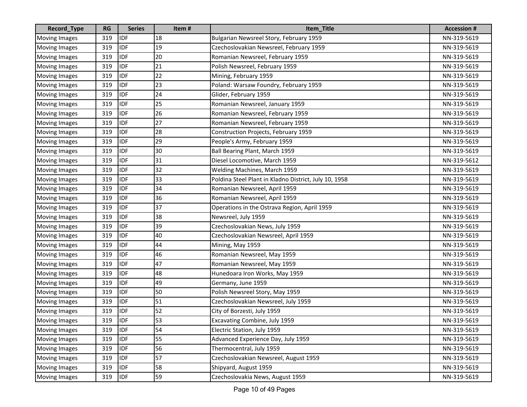| Record_Type          | <b>RG</b> | <b>Series</b> | Item# | Item_Title                                            | <b>Accession #</b> |
|----------------------|-----------|---------------|-------|-------------------------------------------------------|--------------------|
| <b>Moving Images</b> | 319       | <b>IDF</b>    | 18    | Bulgarian Newsreel Story, February 1959               | NN-319-5619        |
| <b>Moving Images</b> | 319       | <b>IDF</b>    | 19    | Czechoslovakian Newsreel, February 1959               | NN-319-5619        |
| <b>Moving Images</b> | 319       | <b>IDF</b>    | 20    | Romanian Newsreel, February 1959                      | NN-319-5619        |
| <b>Moving Images</b> | 319       | <b>IDF</b>    | 21    | Polish Newsreel, February 1959                        | NN-319-5619        |
| <b>Moving Images</b> | 319       | <b>IDF</b>    | 22    | Mining, February 1959                                 | NN-319-5619        |
| <b>Moving Images</b> | 319       | <b>IDF</b>    | 23    | Poland: Warsaw Foundry, February 1959                 | NN-319-5619        |
| <b>Moving Images</b> | 319       | <b>IDF</b>    | 24    | Glider, February 1959                                 | NN-319-5619        |
| <b>Moving Images</b> | 319       | <b>IDF</b>    | 25    | Romanian Newsreel, January 1959                       | NN-319-5619        |
| <b>Moving Images</b> | 319       | <b>IDF</b>    | 26    | Romanian Newsreel, February 1959                      | NN-319-5619        |
| <b>Moving Images</b> | 319       | <b>IDF</b>    | 27    | Romanian Newsreel, February 1959                      | NN-319-5619        |
| <b>Moving Images</b> | 319       | <b>IDF</b>    | 28    | Construction Projects, February 1959                  | NN-319-5619        |
| <b>Moving Images</b> | 319       | <b>IDF</b>    | 29    | People's Army, February 1959                          | NN-319-5619        |
| <b>Moving Images</b> | 319       | <b>IDF</b>    | 30    | Ball Bearing Plant, March 1959                        | NN-319-5619        |
| <b>Moving Images</b> | 319       | <b>IDF</b>    | 31    | Diesel Locomotive, March 1959                         | NN-319-5612        |
| <b>Moving Images</b> | 319       | <b>IDF</b>    | 32    | Welding Machines, March 1959                          | NN-319-5619        |
| <b>Moving Images</b> | 319       | <b>IDF</b>    | 33    | Poldina Steel Plant in Kladno District, July 10, 1958 | NN-319-5619        |
| <b>Moving Images</b> | 319       | <b>IDF</b>    | 34    | Romanian Newsreel, April 1959                         | NN-319-5619        |
| <b>Moving Images</b> | 319       | <b>IDF</b>    | 36    | Romanian Newsreel, April 1959                         | NN-319-5619        |
| <b>Moving Images</b> | 319       | <b>IDF</b>    | 37    | Operations in the Ostrava Region, April 1959          | NN-319-5619        |
| <b>Moving Images</b> | 319       | <b>IDF</b>    | 38    | Newsreel, July 1959                                   | NN-319-5619        |
| <b>Moving Images</b> | 319       | <b>IDF</b>    | 39    | Czechoslovakian News, July 1959                       | NN-319-5619        |
| <b>Moving Images</b> | 319       | <b>IDF</b>    | 40    | Czechoslovakian Newsreel, April 1959                  | NN-319-5619        |
| <b>Moving Images</b> | 319       | <b>IDF</b>    | 44    | Mining, May 1959                                      | NN-319-5619        |
| <b>Moving Images</b> | 319       | <b>IDF</b>    | 46    | Romanian Newsreel, May 1959                           | NN-319-5619        |
| <b>Moving Images</b> | 319       | <b>IDF</b>    | 47    | Romanian Newsreel, May 1959                           | NN-319-5619        |
| <b>Moving Images</b> | 319       | <b>IDF</b>    | 48    | Hunedoara Iron Works, May 1959                        | NN-319-5619        |
| <b>Moving Images</b> | 319       | <b>IDF</b>    | 49    | Germany, June 1959                                    | NN-319-5619        |
| <b>Moving Images</b> | 319       | <b>IDF</b>    | 50    | Polish Newsreel Story, May 1959                       | NN-319-5619        |
| <b>Moving Images</b> | 319       | <b>IDF</b>    | 51    | Czechoslovakian Newsreel, July 1959                   | NN-319-5619        |
| <b>Moving Images</b> | 319       | <b>IDF</b>    | 52    | City of Borzesti, July 1959                           | NN-319-5619        |
| Moving Images        | 319       | <b>IDF</b>    | 53    | Excavating Combine, July 1959                         | NN-319-5619        |
| <b>Moving Images</b> | 319       | <b>IDF</b>    | 54    | Electric Station, July 1959                           | NN-319-5619        |
| <b>Moving Images</b> | 319       | <b>IDF</b>    | 55    | Advanced Experience Day, July 1959                    | NN-319-5619        |
| <b>Moving Images</b> | 319       | <b>IDF</b>    | 56    | Thermocentral, July 1959                              | NN-319-5619        |
| <b>Moving Images</b> | 319       | <b>IDF</b>    | 57    | Czechoslovakian Newsreel, August 1959                 | NN-319-5619        |
| <b>Moving Images</b> | 319       | <b>IDF</b>    | 58    | Shipyard, August 1959                                 | NN-319-5619        |
| <b>Moving Images</b> | 319       | <b>IDF</b>    | 59    | Czechoslovakia News, August 1959                      | NN-319-5619        |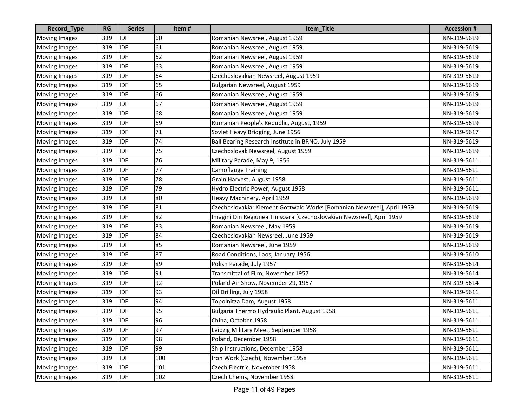| Record_Type          | <b>RG</b> | <b>Series</b> | Item# | Item_Title                                                             | <b>Accession #</b> |
|----------------------|-----------|---------------|-------|------------------------------------------------------------------------|--------------------|
| <b>Moving Images</b> | 319       | <b>IDF</b>    | 60    | Romanian Newsreel, August 1959                                         | NN-319-5619        |
| <b>Moving Images</b> | 319       | <b>IDF</b>    | 61    | Romanian Newsreel, August 1959                                         | NN-319-5619        |
| <b>Moving Images</b> | 319       | <b>IDF</b>    | 62    | Romanian Newsreel, August 1959                                         | NN-319-5619        |
| <b>Moving Images</b> | 319       | <b>IDF</b>    | 63    | Romanian Newsreel, August 1959                                         | NN-319-5619        |
| <b>Moving Images</b> | 319       | <b>IDF</b>    | 64    | Czechoslovakian Newsreel, August 1959                                  | NN-319-5619        |
| <b>Moving Images</b> | 319       | <b>IDF</b>    | 65    | Bulgarian Newsreel, August 1959                                        | NN-319-5619        |
| <b>Moving Images</b> | 319       | <b>IDF</b>    | 66    | Romanian Newsreel, August 1959                                         | NN-319-5619        |
| <b>Moving Images</b> | 319       | <b>IDF</b>    | 67    | Romanian Newsreel, August 1959                                         | NN-319-5619        |
| <b>Moving Images</b> | 319       | <b>IDF</b>    | 68    | Romanian Newsreel, August 1959                                         | NN-319-5619        |
| <b>Moving Images</b> | 319       | <b>IDF</b>    | 69    | Rumanian People's Republic, August, 1959                               | NN-319-5619        |
| <b>Moving Images</b> | 319       | <b>IDF</b>    | 71    | Soviet Heavy Bridging, June 1956                                       | NN-319-5617        |
| <b>Moving Images</b> | 319       | <b>IDF</b>    | 74    | Ball Bearing Research Institute in BRNO, July 1959                     | NN-319-5619        |
| <b>Moving Images</b> | 319       | <b>IDF</b>    | 75    | Czechoslovak Newsreel, August 1959                                     | NN-319-5619        |
| <b>Moving Images</b> | 319       | <b>IDF</b>    | 76    | Military Parade, May 9, 1956                                           | NN-319-5611        |
| <b>Moving Images</b> | 319       | <b>IDF</b>    | 77    | <b>Camoflauge Training</b>                                             | NN-319-5611        |
| <b>Moving Images</b> | 319       | <b>IDF</b>    | 78    | Grain Harvest, August 1958                                             | NN-319-5611        |
| <b>Moving Images</b> | 319       | <b>IDF</b>    | 79    | Hydro Electric Power, August 1958                                      | NN-319-5611        |
| <b>Moving Images</b> | 319       | <b>IDF</b>    | 80    | Heavy Machinery, April 1959                                            | NN-319-5619        |
| <b>Moving Images</b> | 319       | <b>IDF</b>    | 81    | Czechoslovakia: Klement Gottwald Works [Romanian Newsreel], April 1959 | NN-319-5619        |
| <b>Moving Images</b> | 319       | <b>IDF</b>    | 82    | Imagini Din Regiunea Tinisoara [Czechoslovakian Newsreel], April 1959  | NN-319-5619        |
| <b>Moving Images</b> | 319       | <b>IDF</b>    | 83    | Romanian Newsreel, May 1959                                            | NN-319-5619        |
| <b>Moving Images</b> | 319       | <b>IDF</b>    | 84    | Czechoslovakian Newsreel, June 1959                                    | NN-319-5619        |
| <b>Moving Images</b> | 319       | <b>IDF</b>    | 85    | Romanian Newsreel, June 1959                                           | NN-319-5619        |
| <b>Moving Images</b> | 319       | <b>IDF</b>    | 87    | Road Conditions, Laos, January 1956                                    | NN-319-5610        |
| <b>Moving Images</b> | 319       | <b>IDF</b>    | 89    | Polish Parade, July 1957                                               | NN-319-5614        |
| <b>Moving Images</b> | 319       | <b>IDF</b>    | 91    | Transmittal of Film, November 1957                                     | NN-319-5614        |
| <b>Moving Images</b> | 319       | <b>IDF</b>    | 92    | Poland Air Show, November 29, 1957                                     | NN-319-5614        |
| <b>Moving Images</b> | 319       | <b>IDF</b>    | 93    | Oil Drilling, July 1958                                                | NN-319-5611        |
| <b>Moving Images</b> | 319       | <b>IDF</b>    | 94    | Topolnitza Dam, August 1958                                            | NN-319-5611        |
| <b>Moving Images</b> | 319       | <b>IDF</b>    | 95    | Bulgaria Thermo Hydraulic Plant, August 1958                           | NN-319-5611        |
| Moving Images        | 319       | <b>IDF</b>    | 96    | China, October 1958                                                    | NN-319-5611        |
| <b>Moving Images</b> | 319       | <b>IDF</b>    | 97    | Leipzig Military Meet, September 1958                                  | NN-319-5611        |
| <b>Moving Images</b> | 319       | <b>IDF</b>    | 98    | Poland, December 1958                                                  | NN-319-5611        |
| <b>Moving Images</b> | 319       | <b>IDF</b>    | 99    | Ship Instructions, December 1958                                       | NN-319-5611        |
| <b>Moving Images</b> | 319       | <b>IDF</b>    | 100   | Iron Work (Czech), November 1958                                       | NN-319-5611        |
| <b>Moving Images</b> | 319       | <b>IDF</b>    | 101   | Czech Electric, November 1958                                          | NN-319-5611        |
| <b>Moving Images</b> | 319       | <b>IDF</b>    | 102   | Czech Chems, November 1958                                             | NN-319-5611        |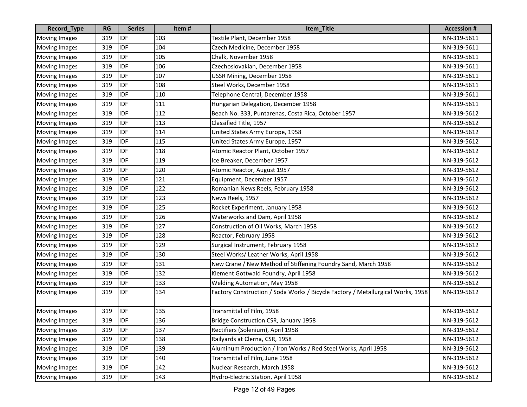| Record_Type          | <b>RG</b> | <b>Series</b> | Item# | Item_Title                                                                      | <b>Accession #</b> |
|----------------------|-----------|---------------|-------|---------------------------------------------------------------------------------|--------------------|
| <b>Moving Images</b> | 319       | <b>IDF</b>    | 103   | Textile Plant, December 1958                                                    | NN-319-5611        |
| <b>Moving Images</b> | 319       | <b>IDF</b>    | 104   | Czech Medicine, December 1958                                                   | NN-319-5611        |
| <b>Moving Images</b> | 319       | <b>IDF</b>    | 105   | Chalk, November 1958                                                            | NN-319-5611        |
| <b>Moving Images</b> | 319       | <b>IDF</b>    | 106   | Czechoslovakian, December 1958                                                  | NN-319-5611        |
| <b>Moving Images</b> | 319       | <b>IDF</b>    | 107   | USSR Mining, December 1958                                                      | NN-319-5611        |
| <b>Moving Images</b> | 319       | <b>IDF</b>    | 108   | Steel Works, December 1958                                                      | NN-319-5611        |
| <b>Moving Images</b> | 319       | <b>IDF</b>    | 110   | Telephone Central, December 1958                                                | NN-319-5611        |
| <b>Moving Images</b> | 319       | <b>IDF</b>    | 111   | Hungarian Delegation, December 1958                                             | NN-319-5611        |
| <b>Moving Images</b> | 319       | <b>IDF</b>    | 112   | Beach No. 333, Puntarenas, Costa Rica, October 1957                             | NN-319-5612        |
| <b>Moving Images</b> | 319       | <b>IDF</b>    | 113   | Classified Title, 1957                                                          | NN-319-5612        |
| <b>Moving Images</b> | 319       | <b>IDF</b>    | 114   | United States Army Europe, 1958                                                 | NN-319-5612        |
| <b>Moving Images</b> | 319       | <b>IDF</b>    | 115   | United States Army Europe, 1957                                                 | NN-319-5612        |
| <b>Moving Images</b> | 319       | <b>IDF</b>    | 118   | Atomic Reactor Plant, October 1957                                              | NN-319-5612        |
| <b>Moving Images</b> | 319       | <b>IDF</b>    | 119   | Ice Breaker, December 1957                                                      | NN-319-5612        |
| <b>Moving Images</b> | 319       | <b>IDF</b>    | 120   | Atomic Reactor, August 1957                                                     | NN-319-5612        |
| <b>Moving Images</b> | 319       | <b>IDF</b>    | 121   | Equipment, December 1957                                                        | NN-319-5612        |
| <b>Moving Images</b> | 319       | <b>IDF</b>    | 122   | Romanian News Reels, February 1958                                              | NN-319-5612        |
| <b>Moving Images</b> | 319       | <b>IDF</b>    | 123   | News Reels, 1957                                                                | NN-319-5612        |
| <b>Moving Images</b> | 319       | <b>IDF</b>    | 125   | Rocket Experiment, January 1958                                                 | NN-319-5612        |
| <b>Moving Images</b> | 319       | <b>IDF</b>    | 126   | Waterworks and Dam, April 1958                                                  | NN-319-5612        |
| <b>Moving Images</b> | 319       | <b>IDF</b>    | 127   | Construction of Oil Works, March 1958                                           | NN-319-5612        |
| <b>Moving Images</b> | 319       | <b>IDF</b>    | 128   | Reactor, February 1958                                                          | NN-319-5612        |
| <b>Moving Images</b> | 319       | <b>IDF</b>    | 129   | Surgical Instrument, February 1958                                              | NN-319-5612        |
| <b>Moving Images</b> | 319       | <b>IDF</b>    | 130   | Steel Works/ Leather Works, April 1958                                          | NN-319-5612        |
| <b>Moving Images</b> | 319       | <b>IDF</b>    | 131   | New Crane / New Method of Stiffening Foundry Sand, March 1958                   | NN-319-5612        |
| <b>Moving Images</b> | 319       | <b>IDF</b>    | 132   | Klement Gottwald Foundry, April 1958                                            | NN-319-5612        |
| Moving Images        | 319       | <b>IDF</b>    | 133   | Welding Automation, May 1958                                                    | NN-319-5612        |
| <b>Moving Images</b> | 319       | <b>IDF</b>    | 134   | Factory Construction / Soda Works / Bicycle Factory / Metallurgical Works, 1958 | NN-319-5612        |
| <b>Moving Images</b> | 319       | <b>IDF</b>    | 135   | Transmittal of Film, 1958                                                       | NN-319-5612        |
| Moving Images        | 319       | <b>IDF</b>    | 136   | Bridge Construction CSR, January 1958                                           | NN-319-5612        |
| <b>Moving Images</b> | 319       | <b>IDF</b>    | 137   | Rectifiers (Solenium), April 1958                                               | NN-319-5612        |
| <b>Moving Images</b> | 319       | <b>IDF</b>    | 138   | Railyards at Clerna, CSR, 1958                                                  | NN-319-5612        |
| <b>Moving Images</b> | 319       | <b>IDF</b>    | 139   | Aluminum Production / Iron Works / Red Steel Works, April 1958                  | NN-319-5612        |
| <b>Moving Images</b> | 319       | <b>IDF</b>    | 140   | Transmittal of Film, June 1958                                                  | NN-319-5612        |
| <b>Moving Images</b> | 319       | <b>IDF</b>    | 142   | Nuclear Research, March 1958                                                    | NN-319-5612        |
| <b>Moving Images</b> | 319       | <b>IDF</b>    | 143   | Hydro-Electric Station, April 1958                                              | NN-319-5612        |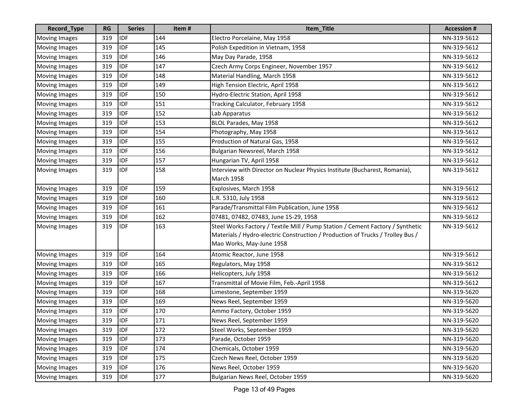| Record_Type          | <b>RG</b> | <b>Series</b> | Item# | Item_Title                                                                     | <b>Accession#</b> |
|----------------------|-----------|---------------|-------|--------------------------------------------------------------------------------|-------------------|
| <b>Moving Images</b> | 319       | <b>IDF</b>    | 144   | Electro Porcelaine, May 1958                                                   | NN-319-5612       |
| <b>Moving Images</b> | 319       | <b>IDF</b>    | 145   | Polish Expedition in Vietnam, 1958                                             | NN-319-5612       |
| <b>Moving Images</b> | 319       | <b>IDF</b>    | 146   | May Day Parade, 1958                                                           | NN-319-5612       |
| <b>Moving Images</b> | 319       | <b>IDF</b>    | 147   | Czech Army Corps Engineer, November 1957                                       | NN-319-5612       |
| <b>Moving Images</b> | 319       | <b>IDF</b>    | 148   | Material Handling, March 1958                                                  | NN-319-5612       |
| <b>Moving Images</b> | 319       | <b>IDF</b>    | 149   | High Tension Electric, April 1958                                              | NN-319-5612       |
| <b>Moving Images</b> | 319       | <b>IDF</b>    | 150   | Hydro-Electric Station, April 1958                                             | NN-319-5612       |
| <b>Moving Images</b> | 319       | <b>IDF</b>    | 151   | Tracking Calculator, February 1958                                             | NN-319-5612       |
| <b>Moving Images</b> | 319       | <b>IDF</b>    | 152   | Lab Apparatus                                                                  | NN-319-5612       |
| <b>Moving Images</b> | 319       | <b>IDF</b>    | 153   | BLOL Parades, May 1958                                                         | NN-319-5612       |
| <b>Moving Images</b> | 319       | <b>IDF</b>    | 154   | Photography, May 1958                                                          | NN-319-5612       |
| <b>Moving Images</b> | 319       | <b>IDF</b>    | 155   | Production of Natural Gas, 1958                                                | NN-319-5612       |
| <b>Moving Images</b> | 319       | <b>IDF</b>    | 156   | Bulgarian Newsreel, March 1958                                                 | NN-319-5612       |
| <b>Moving Images</b> | 319       | <b>IDF</b>    | 157   | Hungarian TV, April 1958                                                       | NN-319-5612       |
| <b>Moving Images</b> | 319       | <b>IDF</b>    | 158   | Interview with Director on Nuclear Physics Institute (Bucharest, Romania),     | NN-319-5612       |
|                      |           |               |       | <b>March 1958</b>                                                              |                   |
| Moving Images        | 319       | <b>IDF</b>    | 159   | Explosives, March 1958                                                         | NN-319-5612       |
| <b>Moving Images</b> | 319       | <b>IDF</b>    | 160   | L.R. 5310, July 1958                                                           | NN-319-5612       |
| <b>Moving Images</b> | 319       | <b>IDF</b>    | 161   | Parade/Transmittal Film Publication, June 1958                                 | NN-319-5612       |
| <b>Moving Images</b> | 319       | <b>IDF</b>    | 162   | 07481, 07482, 07483, June 15-29, 1958                                          | NN-319-5612       |
| <b>Moving Images</b> | 319       | <b>IDF</b>    | 163   | Steel Works Factory / Textile Mill / Pump Station / Cement Factory / Synthetic | NN-319-5612       |
|                      |           |               |       | Materials / Hydro-electric Construction / Production of Trucks / Trolley Bus / |                   |
|                      |           |               |       | Mao Works, May-June 1958                                                       |                   |
| <b>Moving Images</b> | 319       | <b>IDF</b>    | 164   | Atomic Reactor, June 1958                                                      | NN-319-5612       |
| <b>Moving Images</b> | 319       | <b>IDF</b>    | 165   | Regulators, May 1958                                                           | NN-319-5612       |
| <b>Moving Images</b> | 319       | <b>IDF</b>    | 166   | Helicopters, July 1958                                                         | NN-319-5612       |
| <b>Moving Images</b> | 319       | <b>IDF</b>    | 167   | Transmittal of Movie Film, Feb.-April 1958                                     | NN-319-5612       |
| <b>Moving Images</b> | 319       | <b>IDF</b>    | 168   | Limestone, September 1959                                                      | NN-319-5620       |
| <b>Moving Images</b> | 319       | <b>IDF</b>    | 169   | News Reel, September 1959                                                      | NN-319-5620       |
| <b>Moving Images</b> | 319       | <b>IDF</b>    | 170   | Ammo Factory, October 1959                                                     | NN-319-5620       |
| Moving Images        | 319       | <b>IDF</b>    | 171   | News Reel, September 1959                                                      | NN-319-5620       |
| <b>Moving Images</b> | 319       | <b>IDF</b>    | 172   | Steel Works, September 1959                                                    | NN-319-5620       |
| <b>Moving Images</b> | 319       | <b>IDF</b>    | 173   | Parade, October 1959                                                           | NN-319-5620       |
| <b>Moving Images</b> | 319       | <b>IDF</b>    | 174   | Chemicals, October 1959                                                        | NN-319-5620       |
| <b>Moving Images</b> | 319       | <b>IDF</b>    | 175   | Czech News Reel, October 1959                                                  | NN-319-5620       |
| <b>Moving Images</b> | 319       | <b>IDF</b>    | 176   | News Reel, October 1959                                                        | NN-319-5620       |
| <b>Moving Images</b> | 319       | <b>IDF</b>    | 177   | Bulgarian News Reel, October 1959                                              | NN-319-5620       |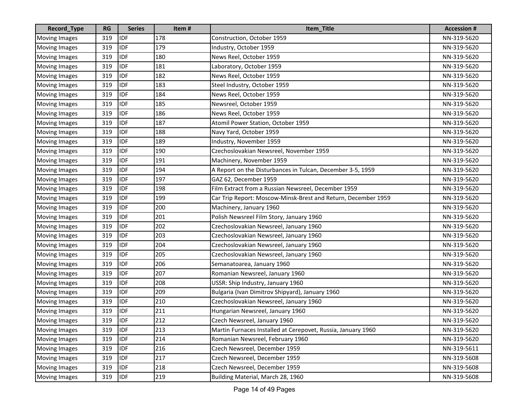| Record_Type          | <b>RG</b> | <b>Series</b> | Item# | Item_Title                                                    | <b>Accession #</b> |
|----------------------|-----------|---------------|-------|---------------------------------------------------------------|--------------------|
| <b>Moving Images</b> | 319       | <b>IDF</b>    | 178   | Construction, October 1959                                    | NN-319-5620        |
| <b>Moving Images</b> | 319       | <b>IDF</b>    | 179   | Industry, October 1959                                        | NN-319-5620        |
| <b>Moving Images</b> | 319       | <b>IDF</b>    | 180   | News Reel, October 1959                                       | NN-319-5620        |
| <b>Moving Images</b> | 319       | <b>IDF</b>    | 181   | Laboratory, October 1959                                      | NN-319-5620        |
| <b>Moving Images</b> | 319       | <b>IDF</b>    | 182   | News Reel, October 1959                                       | NN-319-5620        |
| <b>Moving Images</b> | 319       | <b>IDF</b>    | 183   | Steel Industry, October 1959                                  | NN-319-5620        |
| <b>Moving Images</b> | 319       | <b>IDF</b>    | 184   | News Reel, October 1959                                       | NN-319-5620        |
| <b>Moving Images</b> | 319       | <b>IDF</b>    | 185   | Newsreel, October 1959                                        | NN-319-5620        |
| <b>Moving Images</b> | 319       | <b>IDF</b>    | 186   | News Reel, October 1959                                       | NN-319-5620        |
| <b>Moving Images</b> | 319       | <b>IDF</b>    | 187   | Atomil Power Station, October 1959                            | NN-319-5620        |
| <b>Moving Images</b> | 319       | <b>IDF</b>    | 188   | Navy Yard, October 1959                                       | NN-319-5620        |
| <b>Moving Images</b> | 319       | <b>IDF</b>    | 189   | Industry, November 1959                                       | NN-319-5620        |
| <b>Moving Images</b> | 319       | <b>IDF</b>    | 190   | Czechoslovakian Newsreel, November 1959                       | NN-319-5620        |
| <b>Moving Images</b> | 319       | <b>IDF</b>    | 191   | Machinery, November 1959                                      | NN-319-5620        |
| <b>Moving Images</b> | 319       | <b>IDF</b>    | 194   | A Report on the Disturbances in Tulcan, December 3-5, 1959    | NN-319-5620        |
| <b>Moving Images</b> | 319       | <b>IDF</b>    | 197   | GAZ 62, December 1959                                         | NN-319-5620        |
| <b>Moving Images</b> | 319       | <b>IDF</b>    | 198   | Film Extract from a Russian Newsreel, December 1959           | NN-319-5620        |
| <b>Moving Images</b> | 319       | <b>IDF</b>    | 199   | Car Trip Report: Moscow-Minsk-Brest and Return, December 1959 | NN-319-5620        |
| <b>Moving Images</b> | 319       | <b>IDF</b>    | 200   | Machinery, January 1960                                       | NN-319-5620        |
| <b>Moving Images</b> | 319       | <b>IDF</b>    | 201   | Polish Newsreel Film Story, January 1960                      | NN-319-5620        |
| <b>Moving Images</b> | 319       | <b>IDF</b>    | 202   | Czechoslovakian Newsreel, January 1960                        | NN-319-5620        |
| <b>Moving Images</b> | 319       | <b>IDF</b>    | 203   | Czechoslovakian Newsreel, January 1960                        | NN-319-5620        |
| <b>Moving Images</b> | 319       | <b>IDF</b>    | 204   | Czechoslovakian Newsreel, January 1960                        | NN-319-5620        |
| <b>Moving Images</b> | 319       | <b>IDF</b>    | 205   | Czechoslovakian Newsreel, January 1960                        | NN-319-5620        |
| <b>Moving Images</b> | 319       | <b>IDF</b>    | 206   | Semanatoarea, January 1960                                    | NN-319-5620        |
| <b>Moving Images</b> | 319       | <b>IDF</b>    | 207   | Romanian Newsreel, January 1960                               | NN-319-5620        |
| <b>Moving Images</b> | 319       | <b>IDF</b>    | 208   | USSR: Ship Industry, January 1960                             | NN-319-5620        |
| <b>Moving Images</b> | 319       | <b>IDF</b>    | 209   | Bulgaria (Ivan Dimitrov Shipyard), January 1960               | NN-319-5620        |
| <b>Moving Images</b> | 319       | <b>IDF</b>    | 210   | Czechoslovakian Newsreel, January 1960                        | NN-319-5620        |
| <b>Moving Images</b> | 319       | <b>IDF</b>    | 211   | Hungarian Newsreel, January 1960                              | NN-319-5620        |
| Moving Images        | 319       | <b>IDF</b>    | 212   | Czech Newsreel, January 1960                                  | NN-319-5620        |
| <b>Moving Images</b> | 319       | <b>IDF</b>    | 213   | Martin Furnaces Installed at Cerepovet, Russia, January 1960  | NN-319-5620        |
| <b>Moving Images</b> | 319       | <b>IDF</b>    | 214   | Romanian Newsreel, February 1960                              | NN-319-5620        |
| <b>Moving Images</b> | 319       | <b>IDF</b>    | 216   | Czech Newsreel, December 1959                                 | NN-319-5611        |
| <b>Moving Images</b> | 319       | <b>IDF</b>    | 217   | Czech Newsreel, December 1959                                 | NN-319-5608        |
| <b>Moving Images</b> | 319       | <b>IDF</b>    | 218   | Czech Newsreel, December 1959                                 | NN-319-5608        |
| <b>Moving Images</b> | 319       | <b>IDF</b>    | 219   | Building Material, March 28, 1960                             | NN-319-5608        |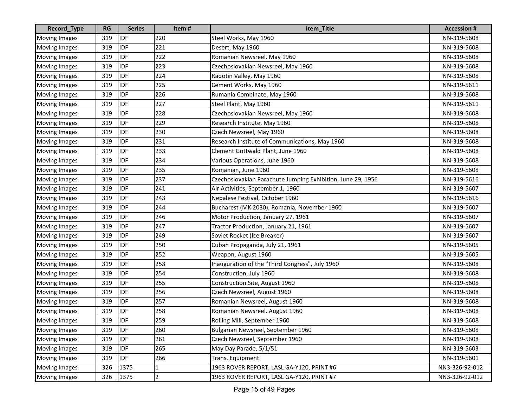| Record_Type          | <b>RG</b> | <b>Series</b> | Item#          | Item_Title                                                  | <b>Accession#</b> |
|----------------------|-----------|---------------|----------------|-------------------------------------------------------------|-------------------|
| <b>Moving Images</b> | 319       | <b>IDF</b>    | 220            | Steel Works, May 1960                                       | NN-319-5608       |
| <b>Moving Images</b> | 319       | <b>IDF</b>    | 221            | Desert, May 1960                                            | NN-319-5608       |
| <b>Moving Images</b> | 319       | <b>IDF</b>    | 222            | Romanian Newsreel, May 1960                                 | NN-319-5608       |
| <b>Moving Images</b> | 319       | <b>IDF</b>    | 223            | Czechoslovakian Newsreel, May 1960                          | NN-319-5608       |
| <b>Moving Images</b> | 319       | <b>IDF</b>    | 224            | Radotin Valley, May 1960                                    | NN-319-5608       |
| <b>Moving Images</b> | 319       | <b>IDF</b>    | 225            | Cement Works, May 1960                                      | NN-319-5611       |
| <b>Moving Images</b> | 319       | <b>IDF</b>    | 226            | Rumania Combinate, May 1960                                 | NN-319-5608       |
| <b>Moving Images</b> | 319       | <b>IDF</b>    | 227            | Steel Plant, May 1960                                       | NN-319-5611       |
| <b>Moving Images</b> | 319       | <b>IDF</b>    | 228            | Czechoslovakian Newsreel, May 1960                          | NN-319-5608       |
| <b>Moving Images</b> | 319       | <b>IDF</b>    | 229            | Research Institute, May 1960                                | NN-319-5608       |
| <b>Moving Images</b> | 319       | <b>IDF</b>    | 230            | Czech Newsreel, May 1960                                    | NN-319-5608       |
| <b>Moving Images</b> | 319       | <b>IDF</b>    | 231            | Research Institute of Communications, May 1960              | NN-319-5608       |
| <b>Moving Images</b> | 319       | <b>IDF</b>    | 233            | Clement Gottwald Plant, June 1960                           | NN-319-5608       |
| <b>Moving Images</b> | 319       | <b>IDF</b>    | 234            | Various Operations, June 1960                               | NN-319-5608       |
| <b>Moving Images</b> | 319       | <b>IDF</b>    | 235            | Romanian, June 1960                                         | NN-319-5608       |
| <b>Moving Images</b> | 319       | <b>IDF</b>    | 237            | Czechoslovakian Parachute Jumping Exhibition, June 29, 1956 | NN-319-5616       |
| <b>Moving Images</b> | 319       | <b>IDF</b>    | 241            | Air Activities, September 1, 1960                           | NN-319-5607       |
| <b>Moving Images</b> | 319       | <b>IDF</b>    | 243            | Nepalese Festival, October 1960                             | NN-319-5616       |
| <b>Moving Images</b> | 319       | <b>IDF</b>    | 244            | Bucharest (MK 2030), Romania, November 1960                 | NN-319-5607       |
| <b>Moving Images</b> | 319       | <b>IDF</b>    | 246            | Motor Production, January 27, 1961                          | NN-319-5607       |
| <b>Moving Images</b> | 319       | <b>IDF</b>    | 247            | Tractor Production, January 21, 1961                        | NN-319-5607       |
| <b>Moving Images</b> | 319       | <b>IDF</b>    | 249            | Soviet Rocket (Ice Breaker)                                 | NN-319-5607       |
| <b>Moving Images</b> | 319       | <b>IDF</b>    | 250            | Cuban Propaganda, July 21, 1961                             | NN-319-5605       |
| <b>Moving Images</b> | 319       | <b>IDF</b>    | 252            | Weapon, August 1960                                         | NN-319-5605       |
| <b>Moving Images</b> | 319       | <b>IDF</b>    | 253            | Inauguration of the "Third Congress", July 1960             | NN-319-5608       |
| Moving Images        | 319       | <b>IDF</b>    | 254            | Construction, July 1960                                     | NN-319-5608       |
| <b>Moving Images</b> | 319       | <b>IDF</b>    | 255            | Construction Site, August 1960                              | NN-319-5608       |
| <b>Moving Images</b> | 319       | <b>IDF</b>    | 256            | Czech Newsreel, August 1960                                 | NN-319-5608       |
| <b>Moving Images</b> | 319       | <b>IDF</b>    | 257            | Romanian Newsreel, August 1960                              | NN-319-5608       |
| <b>Moving Images</b> | 319       | <b>IDF</b>    | 258            | Romanian Newsreel, August 1960                              | NN-319-5608       |
| Moving Images        | 319       | <b>IDF</b>    | 259            | Rolling Mill, September 1960                                | NN-319-5608       |
| <b>Moving Images</b> | 319       | <b>IDF</b>    | 260            | Bulgarian Newsreel, September 1960                          | NN-319-5608       |
| <b>Moving Images</b> | 319       | <b>IDF</b>    | 261            | Czech Newsreel, September 1960                              | NN-319-5608       |
| <b>Moving Images</b> | 319       | <b>IDF</b>    | 265            | May Day Parade, 5/1/51                                      | NN-319-5603       |
| <b>Moving Images</b> | 319       | IDF           | 266            | Trans. Equipment                                            | NN-319-5601       |
| <b>Moving Images</b> | 326       | 1375          | 1              | 1963 ROVER REPORT, LASL GA-Y120, PRINT #6                   | NN3-326-92-012    |
| <b>Moving Images</b> | 326       | 1375          | $\overline{2}$ | 1963 ROVER REPORT, LASL GA-Y120, PRINT #7                   | NN3-326-92-012    |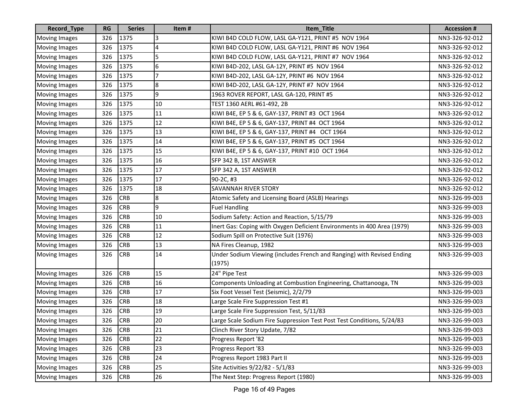| Record_Type          | <b>RG</b> | <b>Series</b> | Item#          | Item_Title                                                                       | <b>Accession #</b> |
|----------------------|-----------|---------------|----------------|----------------------------------------------------------------------------------|--------------------|
| <b>Moving Images</b> | 326       | 1375          | 3              | KIWI B4D COLD FLOW, LASL GA-Y121, PRINT #5 NOV 1964                              | NN3-326-92-012     |
| <b>Moving Images</b> | 326       | 1375          | 4              | KIWI B4D COLD FLOW, LASL GA-Y121, PRINT #6 NOV 1964                              | NN3-326-92-012     |
| <b>Moving Images</b> | 326       | 1375          | 5              | KIWI B4D COLD FLOW, LASL GA-Y121, PRINT #7 NOV 1964                              | NN3-326-92-012     |
| <b>Moving Images</b> | 326       | 1375          | 6              | KIWI B4D-202, LASL GA-12Y, PRINT #5 NOV 1964                                     | NN3-326-92-012     |
| <b>Moving Images</b> | 326       | 1375          |                | KIWI B4D-202, LASL GA-12Y, PRINT #6 NOV 1964                                     | NN3-326-92-012     |
| <b>Moving Images</b> | 326       | 1375          | 8              | KIWI B4D-202, LASL GA-12Y, PRINT #7 NOV 1964                                     | NN3-326-92-012     |
| <b>Moving Images</b> | 326       | 1375          | $\overline{9}$ | 1963 ROVER REPORT, LASL GA-120, PRINT #5                                         | NN3-326-92-012     |
| <b>Moving Images</b> | 326       | 1375          | 10             | TEST 1360 AERL #61-492, 2B                                                       | NN3-326-92-012     |
| <b>Moving Images</b> | 326       | 1375          | 11             | KIWI B4E, EP 5 & 6, GAY-137, PRINT #3 OCT 1964                                   | NN3-326-92-012     |
| <b>Moving Images</b> | 326       | 1375          | 12             | KIWI B4E, EP 5 & 6, GAY-137, PRINT #4 OCT 1964                                   | NN3-326-92-012     |
| <b>Moving Images</b> | 326       | 1375          | 13             | KIWI B4E, EP 5 & 6, GAY-137, PRINT #4 OCT 1964                                   | NN3-326-92-012     |
| <b>Moving Images</b> | 326       | 1375          | 14             | KIWI B4E, EP 5 & 6, GAY-137, PRINT #5 OCT 1964                                   | NN3-326-92-012     |
| <b>Moving Images</b> | 326       | 1375          | 15             | KIWI B4E, EP 5 & 6, GAY-137, PRINT #10 OCT 1964                                  | NN3-326-92-012     |
| Moving Images        | 326       | 1375          | 16             | SFP 342 B, 1ST ANSWER                                                            | NN3-326-92-012     |
| <b>Moving Images</b> | 326       | 1375          | 17             | SFP 342 A, 1ST ANSWER                                                            | NN3-326-92-012     |
| <b>Moving Images</b> | 326       | 1375          | 17             | 90-2C, #3                                                                        | NN3-326-92-012     |
| <b>Moving Images</b> | 326       | 1375          | 18             | <b>SAVANNAH RIVER STORY</b>                                                      | NN3-326-92-012     |
| <b>Moving Images</b> | 326       | <b>CRB</b>    | 8              | Atomic Safety and Licensing Board (ASLB) Hearings                                | NN3-326-99-003     |
| <b>Moving Images</b> | 326       | <b>CRB</b>    | $\overline{9}$ | <b>Fuel Handling</b>                                                             | NN3-326-99-003     |
| <b>Moving Images</b> | 326       | <b>CRB</b>    | 10             | Sodium Safety: Action and Reaction, 5/15/79                                      | NN3-326-99-003     |
| <b>Moving Images</b> | 326       | <b>CRB</b>    | 11             | Inert Gas: Coping with Oxygen Deficient Environments in 400 Area (1979)          | NN3-326-99-003     |
| <b>Moving Images</b> | 326       | <b>CRB</b>    | 12             | Sodium Spill on Protective Suit (1976)                                           | NN3-326-99-003     |
| <b>Moving Images</b> | 326       | <b>CRB</b>    | 13             | NA Fires Cleanup, 1982                                                           | NN3-326-99-003     |
| <b>Moving Images</b> | 326       | <b>CRB</b>    | 14             | Under Sodium Viewing (includes French and Ranging) with Revised Ending<br>(1975) | NN3-326-99-003     |
| <b>Moving Images</b> | 326       | <b>CRB</b>    | 15             | 24" Pipe Test                                                                    | NN3-326-99-003     |
| <b>Moving Images</b> | 326       | <b>CRB</b>    | 16             | Components Unloading at Combustion Engineering, Chattanooga, TN                  | NN3-326-99-003     |
| <b>Moving Images</b> | 326       | <b>CRB</b>    | 17             | Six Foot Vessel Test (Seismic), 2/2/79                                           | NN3-326-99-003     |
| <b>Moving Images</b> | 326       | <b>CRB</b>    | 18             | Large Scale Fire Suppression Test #1                                             | NN3-326-99-003     |
| <b>Moving Images</b> | 326       | <b>CRB</b>    | 19             | Large Scale Fire Suppression Test, 5/11/83                                       | NN3-326-99-003     |
| Moving Images        | 326       | <b>CRB</b>    | 20             | Large Scale Sodium Fire Suppression Test Post Test Conditions, 5/24/83           | NN3-326-99-003     |
| <b>Moving Images</b> | 326       | <b>CRB</b>    | 21             | Clinch River Story Update, 7/82                                                  | NN3-326-99-003     |
| <b>Moving Images</b> | 326       | <b>CRB</b>    | 22             | Progress Report '82                                                              | NN3-326-99-003     |
| <b>Moving Images</b> | 326       | <b>CRB</b>    | 23             | Progress Report '83                                                              | NN3-326-99-003     |
| <b>Moving Images</b> | 326       | <b>CRB</b>    | 24             | Progress Report 1983 Part II                                                     | NN3-326-99-003     |
| <b>Moving Images</b> | 326       | <b>CRB</b>    | 25             | Site Activities 9/22/82 - 5/1/83                                                 | NN3-326-99-003     |
| <b>Moving Images</b> | 326       | <b>CRB</b>    | 26             | The Next Step: Progress Report (1980)                                            | NN3-326-99-003     |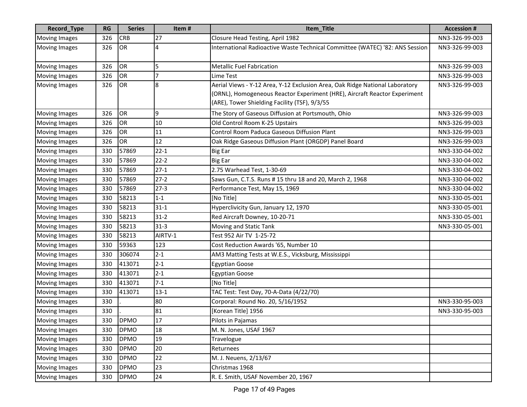| Record_Type          | <b>RG</b> | <b>Series</b> | Item#    | Item_Title                                                                                                                                                                                                 | <b>Accession#</b> |
|----------------------|-----------|---------------|----------|------------------------------------------------------------------------------------------------------------------------------------------------------------------------------------------------------------|-------------------|
| <b>Moving Images</b> | 326       | <b>CRB</b>    | 27       | Closure Head Testing, April 1982                                                                                                                                                                           | NN3-326-99-003    |
| <b>Moving Images</b> | 326       | OR            | 4        | International Radioactive Waste Technical Committee (WATEC) '82: ANS Session                                                                                                                               | NN3-326-99-003    |
| <b>Moving Images</b> | 326       | OR            | 5        | <b>Metallic Fuel Fabrication</b>                                                                                                                                                                           | NN3-326-99-003    |
| <b>Moving Images</b> | 326       | OR            | 7        | Lime Test                                                                                                                                                                                                  | NN3-326-99-003    |
| <b>Moving Images</b> | 326       | OR            | 8        | Aerial Views - Y-12 Area, Y-12 Exclusion Area, Oak Ridge National Laboratory<br>(ORNL), Homogeneous Reactor Experiment (HRE), Aircraft Reactor Experiment<br>(ARE), Tower Shielding Facility (TSF), 9/3/55 | NN3-326-99-003    |
| <b>Moving Images</b> | 326       | OR            | 9        | The Story of Gaseous Diffusion at Portsmouth, Ohio                                                                                                                                                         | NN3-326-99-003    |
| <b>Moving Images</b> | 326       | OR            | 10       | Old Control Room K-25 Upstairs                                                                                                                                                                             | NN3-326-99-003    |
| <b>Moving Images</b> | 326       | OR            | 11       | Control Room Paduca Gaseous Diffusion Plant                                                                                                                                                                | NN3-326-99-003    |
| <b>Moving Images</b> | 326       | OR            | 12       | Oak Ridge Gaseous Diffusion Plant (ORGDP) Panel Board                                                                                                                                                      | NN3-326-99-003    |
| <b>Moving Images</b> | 330       | 57869         | $22 - 1$ | <b>Big Ear</b>                                                                                                                                                                                             | NN3-330-04-002    |
| <b>Moving Images</b> | 330       | 57869         | $22 - 2$ | <b>Big Ear</b>                                                                                                                                                                                             | NN3-330-04-002    |
| <b>Moving Images</b> | 330       | 57869         | $27-1$   | 2.75 Warhead Test, 1-30-69                                                                                                                                                                                 | NN3-330-04-002    |
| Moving Images        | 330       | 57869         | $27-2$   | Saws Gun, C.T.S. Runs # 15 thru 18 and 20, March 2, 1968                                                                                                                                                   | NN3-330-04-002    |
| <b>Moving Images</b> | 330       | 57869         | $27-3$   | Performance Test, May 15, 1969                                                                                                                                                                             | NN3-330-04-002    |
| <b>Moving Images</b> | 330       | 58213         | $1 - 1$  | [No Title]                                                                                                                                                                                                 | NN3-330-05-001    |
| <b>Moving Images</b> | 330       | 58213         | $31 - 1$ | Hyperclivicity Gun, January 12, 1970                                                                                                                                                                       | NN3-330-05-001    |
| <b>Moving Images</b> | 330       | 58213         | $31-2$   | Red Aircraft Downey, 10-20-71                                                                                                                                                                              | NN3-330-05-001    |
| <b>Moving Images</b> | 330       | 58213         | $31 - 3$ | Moving and Static Tank                                                                                                                                                                                     | NN3-330-05-001    |
| <b>Moving Images</b> | 330       | 58213         | AIRTV-1  | Test 952 Air TV 1-25-72                                                                                                                                                                                    |                   |
| <b>Moving Images</b> | 330       | 59363         | 123      | Cost Reduction Awards '65, Number 10                                                                                                                                                                       |                   |
| <b>Moving Images</b> | 330       | 306074        | $2 - 1$  | AM3 Matting Tests at W.E.S., Vicksburg, Mississippi                                                                                                                                                        |                   |
| <b>Moving Images</b> | 330       | 413071        | $2 - 1$  | <b>Egyptian Goose</b>                                                                                                                                                                                      |                   |
| <b>Moving Images</b> | 330       | 413071        | $2 - 1$  | <b>Egyptian Goose</b>                                                                                                                                                                                      |                   |
| Moving Images        | 330       | 413071        | $7 - 1$  | [No Title]                                                                                                                                                                                                 |                   |
| <b>Moving Images</b> | 330       | 413071        | $13 - 1$ | TAC Test: Test Day, 70-A-Data (4/22/70)                                                                                                                                                                    |                   |
| <b>Moving Images</b> | 330       |               | 80       | Corporal: Round No. 20, 5/16/1952                                                                                                                                                                          | NN3-330-95-003    |
| <b>Moving Images</b> | 330       |               | 81       | [Korean Title] 1956                                                                                                                                                                                        | NN3-330-95-003    |
| Moving Images        | 330       | <b>DPMO</b>   | 17       | Pilots in Pajamas                                                                                                                                                                                          |                   |
| <b>Moving Images</b> | 330       | <b>DPMO</b>   | 18       | M. N. Jones, USAF 1967                                                                                                                                                                                     |                   |
| <b>Moving Images</b> | 330       | <b>DPMO</b>   | 19       | Travelogue                                                                                                                                                                                                 |                   |
| <b>Moving Images</b> | 330       | <b>DPMO</b>   | 20       | Returnees                                                                                                                                                                                                  |                   |
| <b>Moving Images</b> | 330       | <b>DPMO</b>   | 22       | M. J. Neuens, 2/13/67                                                                                                                                                                                      |                   |
| <b>Moving Images</b> | 330       | <b>DPMO</b>   | 23       | Christmas 1968                                                                                                                                                                                             |                   |
| <b>Moving Images</b> | 330       | <b>DPMO</b>   | 24       | R. E. Smith, USAF November 20, 1967                                                                                                                                                                        |                   |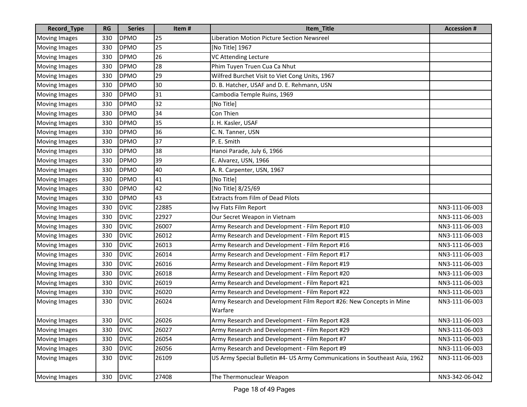| Record_Type          | <b>RG</b> | <b>Series</b> | Item# | Item_Title                                                                     | <b>Accession#</b> |
|----------------------|-----------|---------------|-------|--------------------------------------------------------------------------------|-------------------|
| <b>Moving Images</b> | 330       | <b>DPMO</b>   | 25    | Liberation Motion Picture Section Newsreel                                     |                   |
| <b>Moving Images</b> | 330       | <b>DPMO</b>   | 25    | [No Title] 1967                                                                |                   |
| <b>Moving Images</b> | 330       | <b>DPMO</b>   | 26    | VC Attending Lecture                                                           |                   |
| <b>Moving Images</b> | 330       | <b>DPMO</b>   | 28    | Phim Tuyen Truen Cua Ca Nhut                                                   |                   |
| <b>Moving Images</b> | 330       | <b>DPMO</b>   | 29    | Wilfred Burchet Visit to Viet Cong Units, 1967                                 |                   |
| <b>Moving Images</b> | 330       | <b>DPMO</b>   | 30    | D. B. Hatcher, USAF and D. E. Rehmann, USN                                     |                   |
| <b>Moving Images</b> | 330       | <b>DPMO</b>   | 31    | Cambodia Temple Ruins, 1969                                                    |                   |
| <b>Moving Images</b> | 330       | <b>DPMO</b>   | 32    | [No Title]                                                                     |                   |
| <b>Moving Images</b> | 330       | <b>DPMO</b>   | 34    | Con Thien                                                                      |                   |
| <b>Moving Images</b> | 330       | <b>DPMO</b>   | 35    | J. H. Kasler, USAF                                                             |                   |
| <b>Moving Images</b> | 330       | <b>DPMO</b>   | 36    | C. N. Tanner, USN                                                              |                   |
| <b>Moving Images</b> | 330       | <b>DPMO</b>   | 37    | P. E. Smith                                                                    |                   |
| <b>Moving Images</b> | 330       | <b>DPMO</b>   | 38    | Hanoi Parade, July 6, 1966                                                     |                   |
| <b>Moving Images</b> | 330       | <b>DPMO</b>   | 39    | E. Alvarez, USN, 1966                                                          |                   |
| <b>Moving Images</b> | 330       | <b>DPMO</b>   | 40    | A. R. Carpenter, USN, 1967                                                     |                   |
| <b>Moving Images</b> | 330       | <b>DPMO</b>   | 41    | [No Title]                                                                     |                   |
| <b>Moving Images</b> | 330       | <b>DPMO</b>   | 42    | [No Title] 8/25/69                                                             |                   |
| <b>Moving Images</b> | 330       | <b>DPMO</b>   | 43    | <b>Extracts from Film of Dead Pilots</b>                                       |                   |
| <b>Moving Images</b> | 330       | <b>DVIC</b>   | 22885 | Ivy Flats Film Report                                                          | NN3-111-06-003    |
| <b>Moving Images</b> | 330       | <b>DVIC</b>   | 22927 | Our Secret Weapon in Vietnam                                                   | NN3-111-06-003    |
| <b>Moving Images</b> | 330       | <b>DVIC</b>   | 26007 | Army Research and Development - Film Report #10                                | NN3-111-06-003    |
| <b>Moving Images</b> | 330       | <b>DVIC</b>   | 26012 | Army Research and Development - Film Report #15                                | NN3-111-06-003    |
| <b>Moving Images</b> | 330       | <b>DVIC</b>   | 26013 | Army Research and Development - Film Report #16                                | NN3-111-06-003    |
| <b>Moving Images</b> | 330       | <b>DVIC</b>   | 26014 | Army Research and Development - Film Report #17                                | NN3-111-06-003    |
| <b>Moving Images</b> | 330       | <b>DVIC</b>   | 26016 | Army Research and Development - Film Report #19                                | NN3-111-06-003    |
| <b>Moving Images</b> | 330       | <b>DVIC</b>   | 26018 | Army Research and Development - Film Report #20                                | NN3-111-06-003    |
| <b>Moving Images</b> | 330       | <b>DVIC</b>   | 26019 | Army Research and Development - Film Report #21                                | NN3-111-06-003    |
| <b>Moving Images</b> | 330       | <b>DVIC</b>   | 26020 | Army Research and Development - Film Report #22                                | NN3-111-06-003    |
| <b>Moving Images</b> | 330       | <b>DVIC</b>   | 26024 | Army Research and Development Film Report #26: New Concepts in Mine<br>Warfare | NN3-111-06-003    |
| Moving Images        | 330       | <b>DVIC</b>   | 26026 | Army Research and Development - Film Report #28                                | NN3-111-06-003    |
| <b>Moving Images</b> | 330       | <b>DVIC</b>   | 26027 | Army Research and Development - Film Report #29                                | NN3-111-06-003    |
| <b>Moving Images</b> | 330       | <b>DVIC</b>   | 26054 | Army Research and Development - Film Report #7                                 | NN3-111-06-003    |
| <b>Moving Images</b> | 330       | <b>DVIC</b>   | 26056 | Army Research and Development - Film Report #9                                 | NN3-111-06-003    |
| <b>Moving Images</b> | 330       | <b>DVIC</b>   | 26109 | US Army Special Bulletin #4- US Army Communications in Southeast Asia, 1962    | NN3-111-06-003    |
| <b>Moving Images</b> | 330       | <b>DVIC</b>   | 27408 | The Thermonuclear Weapon                                                       | NN3-342-06-042    |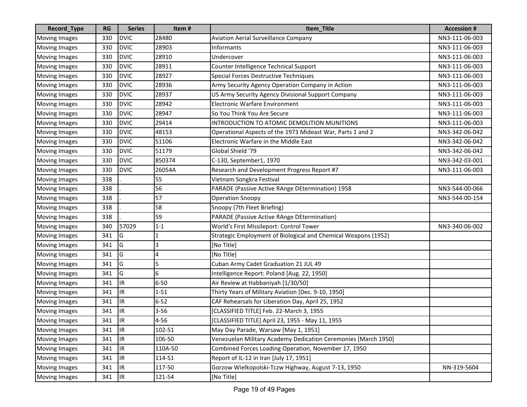| Record_Type          | <b>RG</b> | <b>Series</b> | Item#    | Item_Title                                                     | <b>Accession #</b> |
|----------------------|-----------|---------------|----------|----------------------------------------------------------------|--------------------|
| <b>Moving Images</b> | 330       | <b>DVIC</b>   | 28480    | <b>Aviation Aerial Surveillance Company</b>                    | NN3-111-06-003     |
| <b>Moving Images</b> | 330       | <b>DVIC</b>   | 28903    | Informants                                                     | NN3-111-06-003     |
| <b>Moving Images</b> | 330       | <b>DVIC</b>   | 28910    | Undercover                                                     | NN3-111-06-003     |
| <b>Moving Images</b> | 330       | <b>DVIC</b>   | 28911    | Counter Intelligence Technical Support                         | NN3-111-06-003     |
| <b>Moving Images</b> | 330       | <b>DVIC</b>   | 28927    | Special Forces Destructive Techniques                          | NN3-111-06-003     |
| <b>Moving Images</b> | 330       | <b>DVIC</b>   | 28936    | Army Security Agency Operation Company in Action               | NN3-111-06-003     |
| <b>Moving Images</b> | 330       | <b>DVIC</b>   | 28937    | US Army Security Agency Divisional Support Company             | NN3-111-06-003     |
| <b>Moving Images</b> | 330       | <b>DVIC</b>   | 28942    | <b>Electronic Warfare Environment</b>                          | NN3-111-06-003     |
| <b>Moving Images</b> | 330       | <b>DVIC</b>   | 28947    | So You Think You Are Secure                                    | NN3-111-06-003     |
| Moving Images        | 330       | <b>DVIC</b>   | 29414    | INTRODUCTION TO ATOMIC DEMOLITION MUNITIONS                    | NN3-111-06-003     |
| <b>Moving Images</b> | 330       | <b>DVIC</b>   | 48153    | Operational Aspects of the 1973 Mideast War, Parts 1 and 2     | NN3-342-06-042     |
| <b>Moving Images</b> | 330       | <b>DVIC</b>   | 51106    | Electronic Warfare in the Middle East                          | NN3-342-06-042     |
| <b>Moving Images</b> | 330       | <b>DVIC</b>   | 51179    | Global Shield '79                                              | NN3-342-06-042     |
| <b>Moving Images</b> | 330       | <b>DVIC</b>   | 850374   | C-130, September1, 1970                                        | NN3-342-03-001     |
| <b>Moving Images</b> | 330       | <b>DVIC</b>   | 26054A   | Research and Development Progress Report #7                    | NN3-111-06-003     |
| <b>Moving Images</b> | 338       |               | 55       | Vietnam Songkra Festival                                       |                    |
| <b>Moving Images</b> | 338       |               | 56       | PARADE (Passive Active RAnge DEtermination) 1958               | NN3-544-00-066     |
| <b>Moving Images</b> | 338       |               | 57       | <b>Operation Snoopy</b>                                        | NN3-544-00-154     |
| <b>Moving Images</b> | 338       |               | 58       | Snoopy (7th Fleet Briefing)                                    |                    |
| <b>Moving Images</b> | 338       |               | 59       | PARADE (Passive Active RAnge DEtermination)                    |                    |
| Moving Images        | 340       | 57029         | $1 - 1$  | World's First Missileport: Control Tower                       | NN3-340-06-002     |
| <b>Moving Images</b> | 341       | G             | 1        | Strategic Employment of Biological and Chemical Weapons (1952) |                    |
| <b>Moving Images</b> | 341       | G             | 3        | [No Title]                                                     |                    |
| <b>Moving Images</b> | 341       | G             | 4        | [No Title]                                                     |                    |
| <b>Moving Images</b> | 341       | G             | 5        | Cuban Army Cadet Graduation 21 JUL 49                          |                    |
| <b>Moving Images</b> | 341       | G             | 6        | Intelligence Report: Poland [Aug. 22, 1950]                    |                    |
| Moving Images        | 341       | IR.           | $6 - 50$ | Air Review at Habbaniyah [1/30/50]                             |                    |
| <b>Moving Images</b> | 341       | IR.           | $1 - 51$ | Thirty Years of Military Aviation [Dec. 9-10, 1950]            |                    |
| <b>Moving Images</b> | 341       | IR.           | $6 - 52$ | CAF Rehearsals for Liberation Day, April 25, 1952              |                    |
| <b>Moving Images</b> | 341       | IR            | $3 - 56$ | [CLASSIFIED TITLE] Feb. 22-March 3, 1955                       |                    |
| Moving Images        | 341       | <b>IR</b>     | $4 - 56$ | [CLASSIFIED TITLE] April 23, 1955 - May 11, 1955               |                    |
| <b>Moving Images</b> | 341       | IR.           | 102-51   | May Day Parade, Warsaw [May 1, 1951]                           |                    |
| <b>Moving Images</b> | 341       | IR.           | 106-50   | Venezuelan Military Academy Dedication Ceremonies [March 1950] |                    |
| <b>Moving Images</b> | 341       | IR            | 110A-50  | Combined Forces Loading Operation, November 17, 1950           |                    |
| <b>Moving Images</b> | 341       | IR            | 114-51   | Report of IL-12 in Iran [July 17, 1951]                        |                    |
| <b>Moving Images</b> | 341       | IR            | 117-50   | Gorzow Wielkopolski-Tczw Highway, August 7-13, 1950            | NN-319-5604        |
| <b>Moving Images</b> | 341       | IR.           | 121-54   | [No Title]                                                     |                    |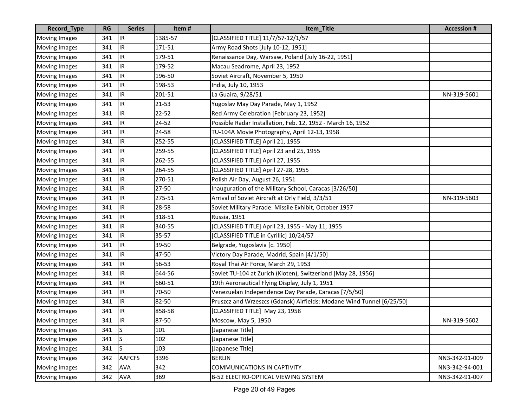| Record_Type          | <b>RG</b> | <b>Series</b> | Item#     | Item_Title                                                            | <b>Accession #</b> |
|----------------------|-----------|---------------|-----------|-----------------------------------------------------------------------|--------------------|
| <b>Moving Images</b> | 341       | IR.           | 1385-57   | [CLASSIFIED TITLE] 11/7/57-12/1/57                                    |                    |
| <b>Moving Images</b> | 341       | IR.           | 171-51    | Army Road Shots [July 10-12, 1951]                                    |                    |
| <b>Moving Images</b> | 341       | IR.           | 179-51    | Renaissance Day, Warsaw, Poland [July 16-22, 1951]                    |                    |
| <b>Moving Images</b> | 341       | IR.           | 179-52    | Macau Seadrome, April 23, 1952                                        |                    |
| <b>Moving Images</b> | 341       | IR.           | 196-50    | Soviet Aircraft, November 5, 1950                                     |                    |
| <b>Moving Images</b> | 341       | IR.           | 198-53    | India, July 10, 1953                                                  |                    |
| <b>Moving Images</b> | 341       | IR.           | 201-51    | La Guaira, 9/28/51                                                    | NN-319-5601        |
| <b>Moving Images</b> | 341       | IR.           | $21 - 53$ | Yugoslav May Day Parade, May 1, 1952                                  |                    |
| <b>Moving Images</b> | 341       | IR.           | $22 - 52$ | Red Army Celebration [February 23, 1952]                              |                    |
| <b>Moving Images</b> | 341       | IR.           | 24-52     | Possible Radar Installation, Feb. 12, 1952 - March 16, 1952           |                    |
| <b>Moving Images</b> | 341       | IR.           | 24-58     | TU-104A Movie Photography, April 12-13, 1958                          |                    |
| <b>Moving Images</b> | 341       | IR.           | 252-55    | [CLASSIFIED TITLE] April 21, 1955                                     |                    |
| <b>Moving Images</b> | 341       | IR.           | 259-55    | [CLASSIFIED TITLE] April 23 and 25, 1955                              |                    |
| <b>Moving Images</b> | 341       | IR            | 262-55    | [CLASSIFIED TITLE] April 27, 1955                                     |                    |
| <b>Moving Images</b> | 341       | IR.           | 264-55    | [CLASSIFIED TITLE] April 27-28, 1955                                  |                    |
| <b>Moving Images</b> | 341       | IR.           | 270-51    | Polish Air Day, August 26, 1951                                       |                    |
| <b>Moving Images</b> | 341       | IR.           | 27-50     | Inauguration of the Military School, Caracas [3/26/50]                |                    |
| <b>Moving Images</b> | 341       | IR.           | 275-51    | Arrival of Soviet Aircraft at Orly Field, 3/3/51                      | NN-319-5603        |
| <b>Moving Images</b> | 341       | IR.           | 28-58     | Soviet Military Parade: Missile Exhibit, October 1957                 |                    |
| <b>Moving Images</b> | 341       | IR.           | 318-51    | Russia, 1951                                                          |                    |
| <b>Moving Images</b> | 341       | IR.           | 340-55    | [CLASSIFIED TITLE] April 23, 1955 - May 11, 1955                      |                    |
| Moving Images        | 341       | IR.           | $35 - 57$ | [CLASSIFIED TITLE in Cyrillic] 10/24/57                               |                    |
| <b>Moving Images</b> | 341       | IR.           | 39-50     | Belgrade, Yugoslavia [c. 1950]                                        |                    |
| <b>Moving Images</b> | 341       | IR.           | 47-50     | Victory Day Parade, Madrid, Spain [4/1/50]                            |                    |
| <b>Moving Images</b> | 341       | IR.           | 56-53     | Royal Thai Air Force, March 29, 1953                                  |                    |
| <b>Moving Images</b> | 341       | IR.           | 644-56    | Soviet TU-104 at Zurich (Kloten), Switzerland [May 28, 1956]          |                    |
| <b>Moving Images</b> | 341       | IR.           | 660-51    | 19th Aeronautical Flying Display, July 1, 1951                        |                    |
| <b>Moving Images</b> | 341       | IR.           | 70-50     | Venezuelan Independence Day Parade, Caracas [7/5/50]                  |                    |
| <b>Moving Images</b> | 341       | IR.           | 82-50     | Pruszcz and Wrzeszcs (Gdansk) Airfields: Modane Wind Tunnel [6/25/50] |                    |
| <b>Moving Images</b> | 341       | IR.           | 858-58    | [CLASSIFIED TITLE] May 23, 1958                                       |                    |
| Moving Images        | 341       | <b>IR</b>     | 87-50     | Moscow, May 5, 1950                                                   | NN-319-5602        |
| <b>Moving Images</b> | 341       | ls.           | 101       | [Japanese Title]                                                      |                    |
| <b>Moving Images</b> | 341       | lS.           | 102       | [Japanese Title]                                                      |                    |
| <b>Moving Images</b> | 341       | S             | 103       | [Japanese Title]                                                      |                    |
| <b>Moving Images</b> | 342       | <b>AAFCFS</b> | 3396      | <b>BERLIN</b>                                                         | NN3-342-91-009     |
| <b>Moving Images</b> | 342       | <b>AVA</b>    | 342       | <b>COMMUNICATIONS IN CAPTIVITY</b>                                    | NN3-342-94-001     |
| <b>Moving Images</b> | 342       | <b>AVA</b>    | 369       | B-52 ELECTRO-OPTICAL VIEWING SYSTEM                                   | NN3-342-91-007     |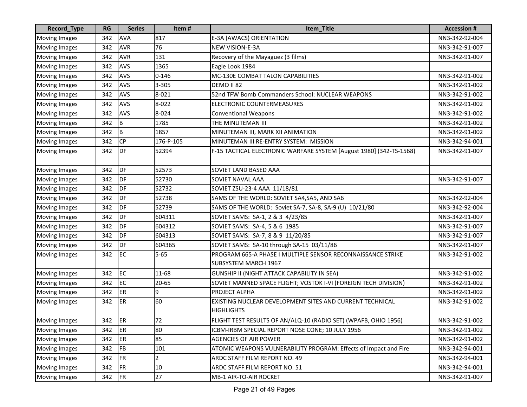| Record_Type          | <b>RG</b> | <b>Series</b> | Item#          | Item_Title                                                                                 | <b>Accession#</b> |
|----------------------|-----------|---------------|----------------|--------------------------------------------------------------------------------------------|-------------------|
| <b>Moving Images</b> | 342       | <b>AVA</b>    | 817            | E-3A (AWACS) ORIENTATION                                                                   | NN3-342-92-004    |
| <b>Moving Images</b> | 342       | <b>AVR</b>    | 76             | NEW VISION-E-3A                                                                            | NN3-342-91-007    |
| <b>Moving Images</b> | 342       | <b>AVR</b>    | 131            | Recovery of the Mayaguez (3 films)                                                         | NN3-342-91-007    |
| <b>Moving Images</b> | 342       | <b>AVS</b>    | 1365           | Eagle Look 1984                                                                            |                   |
| <b>Moving Images</b> | 342       | <b>AVS</b>    | $0 - 146$      | MC-130E COMBAT TALON CAPABILITIES                                                          | NN3-342-91-002    |
| <b>Moving Images</b> | 342       | <b>AVS</b>    | 3-305          | DEMO II 82                                                                                 | NN3-342-91-002    |
| <b>Moving Images</b> | 342       | <b>AVS</b>    | 8-021          | 52nd TFW Bomb Commanders School: NUCLEAR WEAPONS                                           | NN3-342-91-002    |
| <b>Moving Images</b> | 342       | <b>AVS</b>    | 8-022          | <b>ELECTRONIC COUNTERMEASURES</b>                                                          | NN3-342-91-002    |
| <b>Moving Images</b> | 342       | <b>AVS</b>    | 8-024          | <b>Conventional Weapons</b>                                                                | NN3-342-91-002    |
| <b>Moving Images</b> | 342       | B             | 1785           | THE MINUTEMAN III                                                                          | NN3-342-91-002    |
| <b>Moving Images</b> | 342       | B             | 1857           | MINUTEMAN III, MARK XII ANIMATION                                                          | NN3-342-91-002    |
| <b>Moving Images</b> | 342       | <b>CP</b>     | 176-P-105      | MINUTEMAN III RE-ENTRY SYSTEM: MISSION                                                     | NN3-342-94-001    |
| <b>Moving Images</b> | 342       | DF            | 52394          | F-15 TACTICAL ELECTRONIC WARFARE SYSTEM [August 1980] (342-TS-1568)                        | NN3-342-91-007    |
| <b>Moving Images</b> | 342       | DF            | 52573          | SOVIET LAND BASED AAA                                                                      |                   |
| <b>Moving Images</b> | 342       | DF            | 52730          | SOVIET NAVAL AAA                                                                           | NN3-342-91-007    |
| <b>Moving Images</b> | 342       | DF            | 52732          | SOVIET ZSU-23-4 AAA 11/18/81                                                               |                   |
| <b>Moving Images</b> | 342       | DF            | 52738          | SAMS OF THE WORLD: SOVIET SA4, SA5, AND SA6                                                | NN3-342-92-004    |
| <b>Moving Images</b> | 342       | DF            | 52739          | SAMS OF THE WORLD: Soviet SA-7, SA-8, SA-9 (U) 10/21/80                                    | NN3-342-92-004    |
| <b>Moving Images</b> | 342       | DF            | 604311         | SOVIET SAMS: SA-1, 2 & 3 4/23/85                                                           | NN3-342-91-007    |
| <b>Moving Images</b> | 342       | DF            | 604312         | SOVIET SAMS: SA-4, 5 & 6 1985                                                              | NN3-342-91-007    |
| <b>Moving Images</b> | 342       | DF            | 604313         | SOVIET SAMS: SA-7, 8 & 9 11/20/85                                                          | NN3-342-91-007    |
| <b>Moving Images</b> | 342       | DF            | 604365         | SOVIET SAMS: SA-10 through SA-15 03/11/86                                                  | NN3-342-91-007    |
| <b>Moving Images</b> | 342       | EC            | $5 - 65$       | PROGRAM 665-A PHASE I MULTIPLE SENSOR RECONNAISSANCE STRIKE<br><b>SUBSYSTEM MARCH 1967</b> | NN3-342-91-002    |
| <b>Moving Images</b> | 342       | EC            | 11-68          | GUNSHIP II (NIGHT ATTACK CAPABILITY IN SEA)                                                | NN3-342-91-002    |
| <b>Moving Images</b> | 342       | <b>EC</b>     | $20 - 65$      | SOVIET MANNED SPACE FLIGHT; VOSTOK I-VI (FOREIGN TECH DIVISION)                            | NN3-342-91-002    |
| Moving Images        | 342       | ER            | 9              | PROJECT ALPHA                                                                              | NN3-342-91-002    |
| <b>Moving Images</b> | 342       | ER            | 60             | EXISTING NUCLEAR DEVELOPMENT SITES AND CURRENT TECHNICAL<br><b>HIGHLIGHTS</b>              | NN3-342-91-002    |
| Moving Images        | 342       | ER            | 72             | FLIGHT TEST RESULTS OF AN/ALQ-10 (RADIO SET) (WPAFB, OHIO 1956)                            | NN3-342-91-002    |
| <b>Moving Images</b> | 342       | ER            | 80             | ICBM-IRBM SPECIAL REPORT NOSE CONE; 10 JULY 1956                                           | NN3-342-91-002    |
| <b>Moving Images</b> | 342       | ER            | 85             | <b>AGENCIES OF AIR POWER</b>                                                               | NN3-342-91-002    |
| <b>Moving Images</b> | 342       | FB            | 101            | ATOMIC WEAPONS VULNERABILITY PROGRAM: Effects of Impact and Fire                           | NN3-342-94-001    |
| <b>Moving Images</b> | 342       | FR            | $\overline{2}$ | ARDC STAFF FILM REPORT NO. 49                                                              | NN3-342-94-001    |
| <b>Moving Images</b> | 342       | FR            | 10             | ARDC STAFF FILM REPORT NO. 51                                                              | NN3-342-94-001    |
| <b>Moving Images</b> | 342       | FR            | 27             | MB-1 AIR-TO-AIR ROCKET                                                                     | NN3-342-91-007    |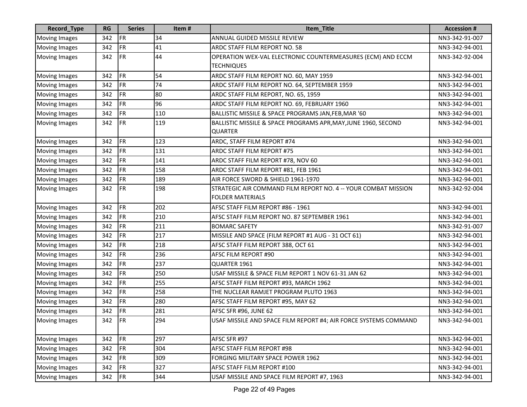| Record_Type          | RG  | <b>Series</b> | Item# | Item_Title                                                                                | <b>Accession#</b> |
|----------------------|-----|---------------|-------|-------------------------------------------------------------------------------------------|-------------------|
| <b>Moving Images</b> | 342 | <b>FR</b>     | 34    | ANNUAL GUIDED MISSILE REVIEW                                                              | NN3-342-91-007    |
| <b>Moving Images</b> | 342 | <b>FR</b>     | 41    | ARDC STAFF FILM REPORT NO. 58                                                             | NN3-342-94-001    |
| <b>Moving Images</b> | 342 | <b>FR</b>     | 44    | OPERATION WEX-VAL ELECTRONIC COUNTERMEASURES (ECM) AND ECCM<br><b>TECHNIQUES</b>          | NN3-342-92-004    |
| <b>Moving Images</b> | 342 | <b>FR</b>     | 54    | ARDC STAFF FILM REPORT NO. 60, MAY 1959                                                   | NN3-342-94-001    |
| <b>Moving Images</b> | 342 | <b>FR</b>     | 74    | ARDC STAFF FILM REPORT NO. 64, SEPTEMBER 1959                                             | NN3-342-94-001    |
| <b>Moving Images</b> | 342 | <b>FR</b>     | 80    | ARDC STAFF FILM REPORT, NO. 65, 1959                                                      | NN3-342-94-001    |
| <b>Moving Images</b> | 342 | <b>FR</b>     | 96    | ARDC STAFF FILM REPORT NO. 69, FEBRUARY 1960                                              | NN3-342-94-001    |
| <b>Moving Images</b> | 342 | <b>FR</b>     | 110   | BALLISTIC MISSILE & SPACE PROGRAMS JAN, FEB, MAR '60                                      | NN3-342-94-001    |
| <b>Moving Images</b> | 342 | FR            | 119   | BALLISTIC MISSILE & SPACE PROGRAMS APR, MAY, JUNE 1960, SECOND<br><b>QUARTER</b>          | NN3-342-94-001    |
| <b>Moving Images</b> | 342 | <b>FR</b>     | 123   | ARDC, STAFF FILM REPORT #74                                                               | NN3-342-94-001    |
| <b>Moving Images</b> | 342 | <b>FR</b>     | 131   | ARDC STAFF FILM REPORT #75                                                                | NN3-342-94-001    |
| <b>Moving Images</b> | 342 | <b>FR</b>     | 141   | ARDC STAFF FILM REPORT #78, NOV 60                                                        | NN3-342-94-001    |
| <b>Moving Images</b> | 342 | <b>FR</b>     | 158   | ARDC STAFF FILM REPORT #81, FEB 1961                                                      | NN3-342-94-001    |
| <b>Moving Images</b> | 342 | <b>FR</b>     | 189   | AIR FORCE SWORD & SHIELD 1961-1970                                                        | NN3-342-94-001    |
| <b>Moving Images</b> | 342 | <b>FR</b>     | 198   | STRATEGIC AIR COMMAND FILM REPORT NO. 4 -- YOUR COMBAT MISSION<br><b>FOLDER MATERIALS</b> | NN3-342-92-004    |
| <b>Moving Images</b> | 342 | <b>FR</b>     | 202   | AFSC STAFF FILM REPORT #86 - 1961                                                         | NN3-342-94-001    |
| <b>Moving Images</b> | 342 | <b>FR</b>     | 210   | AFSC STAFF FILM REPORT NO. 87 SEPTEMBER 1961                                              | NN3-342-94-001    |
| <b>Moving Images</b> | 342 | <b>FR</b>     | 211   | <b>BOMARC SAFETY</b>                                                                      | NN3-342-91-007    |
| <b>Moving Images</b> | 342 | <b>FR</b>     | 217   | MISSILE AND SPACE (FILM REPORT #1 AUG - 31 OCT 61)                                        | NN3-342-94-001    |
| <b>Moving Images</b> | 342 | <b>FR</b>     | 218   | AFSC STAFF FILM REPORT 388, OCT 61                                                        | NN3-342-94-001    |
| <b>Moving Images</b> | 342 | <b>FR</b>     | 236   | AFSC FILM REPORT #90                                                                      | NN3-342-94-001    |
| <b>Moving Images</b> | 342 | <b>FR</b>     | 237   | QUARTER 1961                                                                              | NN3-342-94-001    |
| Moving Images        | 342 | <b>FR</b>     | 250   | USAF MISSILE & SPACE FILM REPORT 1 NOV 61-31 JAN 62                                       | NN3-342-94-001    |
| <b>Moving Images</b> | 342 | <b>FR</b>     | 255   | AFSC STAFF FILM REPORT #93, MARCH 1962                                                    | NN3-342-94-001    |
| <b>Moving Images</b> | 342 | <b>FR</b>     | 258   | THE NUCLEAR RAMJET PROGRAM PLUTO 1963                                                     | NN3-342-94-001    |
| <b>Moving Images</b> | 342 | <b>FR</b>     | 280   | AFSC STAFF FILM REPORT #95, MAY 62                                                        | NN3-342-94-001    |
| <b>Moving Images</b> | 342 | <b>FR</b>     | 281   | AFSC SFR #96, JUNE 62                                                                     | NN3-342-94-001    |
| <b>Moving Images</b> | 342 | FR            | 294   | USAF MISSILE AND SPACE FILM REPORT #4; AIR FORCE SYSTEMS COMMAND                          | NN3-342-94-001    |
| <b>Moving Images</b> | 342 | <b>FR</b>     | 297   | AFSC SFR #97                                                                              | NN3-342-94-001    |
| <b>Moving Images</b> | 342 | <b>FR</b>     | 304   | AFSC STAFF FILM REPORT #98                                                                | NN3-342-94-001    |
| <b>Moving Images</b> | 342 | <b>FR</b>     | 309   | FORGING MILITARY SPACE POWER 1962                                                         | NN3-342-94-001    |
| <b>Moving Images</b> | 342 | <b>FR</b>     | 327   | AFSC STAFF FILM REPORT #100                                                               | NN3-342-94-001    |
| <b>Moving Images</b> | 342 | FR            | 344   | USAF MISSILE AND SPACE FILM REPORT #7, 1963                                               | NN3-342-94-001    |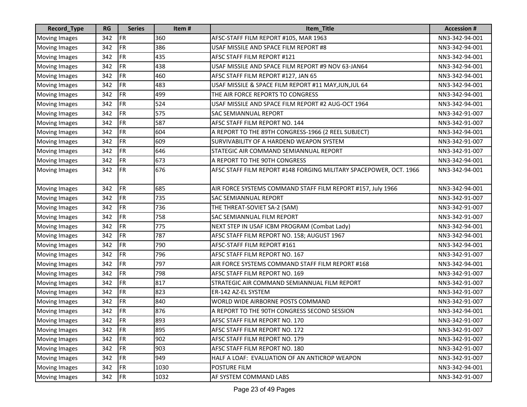| Record_Type          | <b>RG</b> | <b>Series</b> | Item# | Item_Title                                                         | <b>Accession #</b> |
|----------------------|-----------|---------------|-------|--------------------------------------------------------------------|--------------------|
| <b>Moving Images</b> | 342       | <b>FR</b>     | 360   | AFSC-STAFF FILM REPORT #105, MAR 1963                              | NN3-342-94-001     |
| <b>Moving Images</b> | 342       | FR            | 386   | USAF MISSILE AND SPACE FILM REPORT #8                              | NN3-342-94-001     |
| <b>Moving Images</b> | 342       | FR            | 435   | AFSC STAFF FILM REPORT #121                                        | NN3-342-94-001     |
| <b>Moving Images</b> | 342       | FR            | 438   | USAF MISSILE AND SPACE FILM REPORT #9 NOV 63-JAN64                 | NN3-342-94-001     |
| <b>Moving Images</b> | 342       | <b>FR</b>     | 460   | AFSC STAFF FILM REPORT #127, JAN 65                                | NN3-342-94-001     |
| <b>Moving Images</b> | 342       | FR            | 483   | USAF MISSILE & SPACE FILM REPORT #11 MAY, JUN, JUL 64              | NN3-342-94-001     |
| <b>Moving Images</b> | 342       | <b>FR</b>     | 499   | THE AIR FORCE REPORTS TO CONGRESS                                  | NN3-342-94-001     |
| <b>Moving Images</b> | 342       | <b>FR</b>     | 524   | USAF MISSILE AND SPACE FILM REPORT #2 AUG-OCT 1964                 | NN3-342-94-001     |
| <b>Moving Images</b> | 342       | <b>FR</b>     | 575   | <b>SAC SEMIANNUAL REPORT</b>                                       | NN3-342-91-007     |
| <b>Moving Images</b> | 342       | FR            | 587   | AFSC STAFF FILM REPORT NO. 144                                     | NN3-342-91-007     |
| <b>Moving Images</b> | 342       | FR            | 604   | A REPORT TO THE 89TH CONGRESS-1966 (2 REEL SUBJECT)                | NN3-342-94-001     |
| <b>Moving Images</b> | 342       | FR            | 609   | SURVIVABILITY OF A HARDEND WEAPON SYSTEM                           | NN3-342-91-007     |
| <b>Moving Images</b> | 342       | FR            | 646   | STATEGIC AIR COMMAND SEMIANNUAL REPORT                             | NN3-342-91-007     |
| <b>Moving Images</b> | 342       | FR            | 673   | A REPORT TO THE 90TH CONGRESS                                      | NN3-342-94-001     |
| <b>Moving Images</b> | 342       | <b>FR</b>     | 676   | AFSC STAFF FILM REPORT #148 FORGING MILITARY SPACEPOWER, OCT. 1966 | NN3-342-94-001     |
| Moving Images        | 342       | FR            | 685   | AIR FORCE SYSTEMS COMMAND STAFF FILM REPORT #157, July 1966        | NN3-342-94-001     |
| <b>Moving Images</b> | 342       | FR            | 735   | <b>SAC SEMIANNUAL REPORT</b>                                       | NN3-342-91-007     |
| <b>Moving Images</b> | 342       | FR            | 736   | THE THREAT-SOVIET SA-2 (SAM)                                       | NN3-342-91-007     |
| <b>Moving Images</b> | 342       | <b>FR</b>     | 758   | <b>SAC SEMIANNUAL FILM REPORT</b>                                  | NN3-342-91-007     |
| <b>Moving Images</b> | 342       | FR            | 775   | NEXT STEP IN USAF ICBM PROGRAM (Combat Lady)                       | NN3-342-94-001     |
| <b>Moving Images</b> | 342       | FR            | 787   | AFSC STAFF FILM REPORT NO. 158; AUGUST 1967                        | NN3-342-94-001     |
| <b>Moving Images</b> | 342       | FR            | 790   | AFSC-STAFF FILM REPORT #161                                        | NN3-342-94-001     |
| <b>Moving Images</b> | 342       | FR            | 796   | AFSC STAFF FILM REPORT NO. 167                                     | NN3-342-91-007     |
| <b>Moving Images</b> | 342       | FR            | 797   | AIR FORCE SYSTEMS COMMAND STAFF FILM REPORT #168                   | NN3-342-94-001     |
| <b>Moving Images</b> | 342       | <b>FR</b>     | 798   | AFSC STAFF FILM REPORT NO. 169                                     | NN3-342-91-007     |
| <b>Moving Images</b> | 342       | FR            | 817   | STRATEGIC AIR COMMAND SEMIANNUAL FILM REPORT                       | NN3-342-91-007     |
| <b>Moving Images</b> | 342       | FR            | 823   | ER-142 AZ-EL SYSTEM                                                | NN3-342-91-007     |
| <b>Moving Images</b> | 342       | FR            | 840   | WORLD WIDE AIRBORNE POSTS COMMAND                                  | NN3-342-91-007     |
| <b>Moving Images</b> | 342       | FR            | 876   | A REPORT TO THE 90TH CONGRESS SECOND SESSION                       | NN3-342-94-001     |
| Moving Images        | 342       | FR            | 893   | AFSC STAFF FILM REPORT NO. 170                                     | NN3-342-91-007     |
| <b>Moving Images</b> | 342       | FR            | 895   | AFSC STAFF FILM REPORT NO. 172                                     | NN3-342-91-007     |
| <b>Moving Images</b> | 342       | FR            | 902   | AFSC STAFF FILM REPORT NO. 179                                     | NN3-342-91-007     |
| <b>Moving Images</b> | 342       | <b>FR</b>     | 903   | AFSC STAFF FILM REPORT NO. 180                                     | NN3-342-91-007     |
| <b>Moving Images</b> | 342       | FR            | 949   | HALF A LOAF: EVALUATION OF AN ANTICROP WEAPON                      | NN3-342-91-007     |
| <b>Moving Images</b> | 342       | FR            | 1030  | POSTURE FILM                                                       | NN3-342-94-001     |
| <b>Moving Images</b> | 342       | FR            | 1032  | AF SYSTEM COMMAND LABS                                             | NN3-342-91-007     |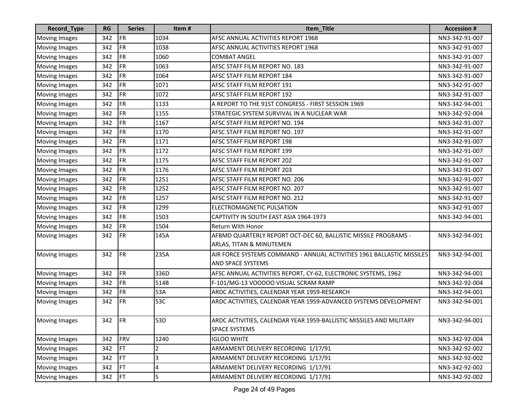| Record_Type          | RG  | <b>Series</b> | Item# | Item_Title                                                                                        | <b>Accession #</b> |
|----------------------|-----|---------------|-------|---------------------------------------------------------------------------------------------------|--------------------|
| <b>Moving Images</b> | 342 | <b>FR</b>     | 1034  | AFSC ANNUAL ACTIVITIES REPORT 1968                                                                | NN3-342-91-007     |
| <b>Moving Images</b> | 342 | <b>FR</b>     | 1038  | AFSC ANNUAL ACTIVITIES REPORT 1968                                                                | NN3-342-91-007     |
| <b>Moving Images</b> | 342 | FR            | 1060  | <b>COMBAT ANGEL</b>                                                                               | NN3-342-91-007     |
| <b>Moving Images</b> | 342 | FR            | 1063  | AFSC STAFF FILM REPORT NO. 183                                                                    | NN3-342-91-007     |
| <b>Moving Images</b> | 342 | <b>FR</b>     | 1064  | AFSC STAFF FILM REPORT 184                                                                        | NN3-342-91-007     |
| <b>Moving Images</b> | 342 | <b>FR</b>     | 1071  | AFSC STAFF FILM REPORT 191                                                                        | NN3-342-91-007     |
| <b>Moving Images</b> | 342 | <b>FR</b>     | 1072  | <b>AFSC STAFF FILM REPORT 192</b>                                                                 | NN3-342-91-007     |
| <b>Moving Images</b> | 342 | <b>FR</b>     | 1133  | A REPORT TO THE 91ST CONGRESS - FIRST SESSION 1969                                                | NN3-342-94-001     |
| <b>Moving Images</b> | 342 | <b>FR</b>     | 1155  | STRATEGIC SYSTEM SURVIVAL IN A NUCLEAR WAR                                                        | NN3-342-92-004     |
| <b>Moving Images</b> | 342 | <b>FR</b>     | 1167  | AFSC STAFF FILM REPORT NO. 194                                                                    | NN3-342-91-007     |
| <b>Moving Images</b> | 342 | <b>FR</b>     | 1170  | AFSC STAFF FILM REPORT NO. 197                                                                    | NN3-342-91-007     |
| <b>Moving Images</b> | 342 | <b>FR</b>     | 1171  | AFSC STAFF FILM REPORT 198                                                                        | NN3-342-91-007     |
| <b>Moving Images</b> | 342 | <b>FR</b>     | 1172  | AFSC STAFF FILM REPORT 199                                                                        | NN3-342-91-007     |
| <b>Moving Images</b> | 342 | FR            | 1175  | AFSC STAFF FILM REPORT 202                                                                        | NN3-342-91-007     |
| <b>Moving Images</b> | 342 | <b>FR</b>     | 1176  | <b>AFSC STAFF FILM REPORT 203</b>                                                                 | NN3-342-91-007     |
| <b>Moving Images</b> | 342 | <b>FR</b>     | 1251  | AFSC STAFF FILM REPORT NO. 206                                                                    | NN3-342-91-007     |
| <b>Moving Images</b> | 342 | <b>FR</b>     | 1252  | AFSC STAFF FILM REPORT NO. 207                                                                    | NN3-342-91-007     |
| <b>Moving Images</b> | 342 | <b>FR</b>     | 1257  | AFSC STAFF FILM REPORT NO. 212                                                                    | NN3-342-91-007     |
| <b>Moving Images</b> | 342 | <b>FR</b>     | 1299  | ELECTROMAGNETIC PULSATION                                                                         | NN3-342-91-007     |
| <b>Moving Images</b> | 342 | <b>FR</b>     | 1503  | CAPTIVITY IN SOUTH EAST ASIA 1964-1973                                                            | NN3-342-94-001     |
| <b>Moving Images</b> | 342 | <b>FR</b>     | 1504  | Return With Honor                                                                                 |                    |
| <b>Moving Images</b> | 342 | FR            | 145A  | AFBMD QUARTERLY REPORT OCT-DEC 60, BALLISTIC MISSILE PROGRAMS -<br>ARLAS, TITAN & MINUTEMEN       | NN3-342-94-001     |
| <b>Moving Images</b> | 342 | FR            | 235A  | AIR FORCE SYSTEMS COMMAND - ANNUAL ACTIVITIES 1961 BALLASTIC MISSILES<br><b>AND SPACE SYSTEMS</b> | NN3-342-94-001     |
| <b>Moving Images</b> | 342 | <b>FR</b>     | 336D  | AFSC ANNUAL ACTIVITIES REPORT, CY-62, ELECTRONIC SYSTEMS, 1962                                    | NN3-342-94-001     |
| <b>Moving Images</b> | 342 | <b>FR</b>     | 514B  | F-101/MG-13 VOODOO VISUAL SCRAM RAMP                                                              | NN3-342-92-004     |
| <b>Moving Images</b> | 342 | <b>FR</b>     | 53A   | ARDC ACTIVITIES, CALENDAR YEAR 1959-RESEARCH                                                      | NN3-342-94-001     |
| <b>Moving Images</b> | 342 | <b>FR</b>     | 53C   | ARDC ACTIVITIES, CALENDAR YEAR 1959-ADVANCED SYSTEMS DEVELOPMENT                                  | NN3-342-94-001     |
| Moving Images        | 342 | FR            | 53D   | ARDC ACTIVITIES, CALENDAR YEAR 1959-BALLISTIC MISSILES AND MILITARY<br><b>SPACE SYSTEMS</b>       | NN3-342-94-001     |
| <b>Moving Images</b> | 342 | <b>FRV</b>    | 1240  | <b>IGLOO WHITE</b>                                                                                | NN3-342-92-004     |
| <b>Moving Images</b> | 342 | <b>FT</b>     | 2     | ARMAMENT DELIVERY RECORDING 1/17/91                                                               | NN3-342-92-002     |
| <b>Moving Images</b> | 342 | <b>FT</b>     | 3     | ARMAMENT DELIVERY RECORDING 1/17/91                                                               | NN3-342-92-002     |
| <b>Moving Images</b> | 342 | FT            | 4     | ARMAMENT DELIVERY RECORDING 1/17/91                                                               | NN3-342-92-002     |
| <b>Moving Images</b> | 342 | <b>FT</b>     | 5     | ARMAMENT DELIVERY RECORDING 1/17/91                                                               | NN3-342-92-002     |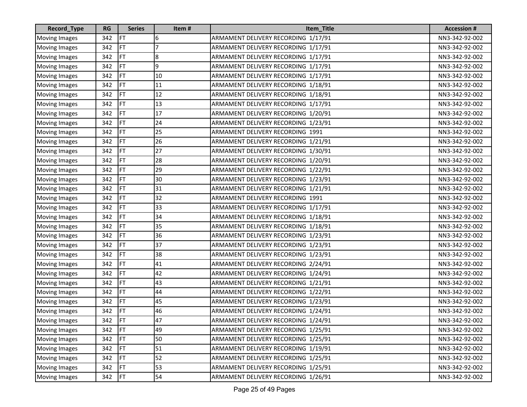| Record_Type          | <b>RG</b> | <b>Series</b> | Item# | Item_Title                          | <b>Accession #</b> |
|----------------------|-----------|---------------|-------|-------------------------------------|--------------------|
| <b>Moving Images</b> | 342       | FT            | 6     | ARMAMENT DELIVERY RECORDING 1/17/91 | NN3-342-92-002     |
| <b>Moving Images</b> | 342       | FT            | 7     | ARMAMENT DELIVERY RECORDING 1/17/91 | NN3-342-92-002     |
| <b>Moving Images</b> | 342       | FT            | 8     | ARMAMENT DELIVERY RECORDING 1/17/91 | NN3-342-92-002     |
| <b>Moving Images</b> | 342       | FT            | 9     | ARMAMENT DELIVERY RECORDING 1/17/91 | NN3-342-92-002     |
| <b>Moving Images</b> | 342       | FT            | 10    | ARMAMENT DELIVERY RECORDING 1/17/91 | NN3-342-92-002     |
| Moving Images        | 342       | <b>FT</b>     | 11    | ARMAMENT DELIVERY RECORDING 1/18/91 | NN3-342-92-002     |
| <b>Moving Images</b> | 342       | <b>FT</b>     | 12    | ARMAMENT DELIVERY RECORDING 1/18/91 | NN3-342-92-002     |
| <b>Moving Images</b> | 342       | FT            | 13    | ARMAMENT DELIVERY RECORDING 1/17/91 | NN3-342-92-002     |
| Moving Images        | 342       | FT            | 17    | ARMAMENT DELIVERY RECORDING 1/20/91 | NN3-342-92-002     |
| <b>Moving Images</b> | 342       | FT            | 24    | ARMAMENT DELIVERY RECORDING 1/23/91 | NN3-342-92-002     |
| <b>Moving Images</b> | 342       | FT            | 25    | ARMAMENT DELIVERY RECORDING 1991    | NN3-342-92-002     |
| <b>Moving Images</b> | 342       | FT            | 26    | ARMAMENT DELIVERY RECORDING 1/21/91 | NN3-342-92-002     |
| <b>Moving Images</b> | 342       | FT            | 27    | ARMAMENT DELIVERY RECORDING 1/30/91 | NN3-342-92-002     |
| <b>Moving Images</b> | 342       | FT            | 28    | ARMAMENT DELIVERY RECORDING 1/20/91 | NN3-342-92-002     |
| <b>Moving Images</b> | 342       | FT            | 29    | ARMAMENT DELIVERY RECORDING 1/22/91 | NN3-342-92-002     |
| <b>Moving Images</b> | 342       | FT            | 30    | ARMAMENT DELIVERY RECORDING 1/23/91 | NN3-342-92-002     |
| Moving Images        | 342       | FT            | 31    | ARMAMENT DELIVERY RECORDING 1/21/91 | NN3-342-92-002     |
| <b>Moving Images</b> | 342       | FT            | 32    | ARMAMENT DELIVERY RECORDING 1991    | NN3-342-92-002     |
| <b>Moving Images</b> | 342       | FT            | 33    | ARMAMENT DELIVERY RECORDING 1/17/91 | NN3-342-92-002     |
| Moving Images        | 342       | FT            | 34    | ARMAMENT DELIVERY RECORDING 1/18/91 | NN3-342-92-002     |
| <b>Moving Images</b> | 342       | <b>FT</b>     | 35    | ARMAMENT DELIVERY RECORDING 1/18/91 | NN3-342-92-002     |
| <b>Moving Images</b> | 342       | FT            | 36    | ARMAMENT DELIVERY RECORDING 1/23/91 | NN3-342-92-002     |
| <b>Moving Images</b> | 342       | FT            | 37    | ARMAMENT DELIVERY RECORDING 1/23/91 | NN3-342-92-002     |
| Moving Images        | 342       | FT            | 38    | ARMAMENT DELIVERY RECORDING 1/23/91 | NN3-342-92-002     |
| <b>Moving Images</b> | 342       | <b>FT</b>     | 41    | ARMAMENT DELIVERY RECORDING 2/24/91 | NN3-342-92-002     |
| <b>Moving Images</b> | 342       | FT            | 42    | ARMAMENT DELIVERY RECORDING 1/24/91 | NN3-342-92-002     |
| <b>Moving Images</b> | 342       | FT            | 43    | ARMAMENT DELIVERY RECORDING 1/21/91 | NN3-342-92-002     |
| <b>Moving Images</b> | 342       | FT            | 44    | ARMAMENT DELIVERY RECORDING 1/22/91 | NN3-342-92-002     |
| Moving Images        | 342       | <b>FT</b>     | 45    | ARMAMENT DELIVERY RECORDING 1/23/91 | NN3-342-92-002     |
| <b>Moving Images</b> | 342       | FT            | 46    | ARMAMENT DELIVERY RECORDING 1/24/91 | NN3-342-92-002     |
| Moving Images        | 342       | FT            | 47    | ARMAMENT DELIVERY RECORDING 1/24/91 | NN3-342-92-002     |
| <b>Moving Images</b> | 342       | <b>FT</b>     | 49    | ARMAMENT DELIVERY RECORDING 1/25/91 | NN3-342-92-002     |
| <b>Moving Images</b> | 342       | FT            | 50    | ARMAMENT DELIVERY RECORDING 1/25/91 | NN3-342-92-002     |
| <b>Moving Images</b> | 342       | <b>FT</b>     | 51    | ARMAMENT DELIVERY RECORDING 1/19/91 | NN3-342-92-002     |
| <b>Moving Images</b> | 342       | FT            | 52    | ARMAMENT DELIVERY RECORDING 1/25/91 | NN3-342-92-002     |
| <b>Moving Images</b> | 342       | FT            | 53    | ARMAMENT DELIVERY RECORDING 1/25/91 | NN3-342-92-002     |
| <b>Moving Images</b> | 342       | FT            | 54    | ARMAMENT DELIVERY RECORDING 1/26/91 | NN3-342-92-002     |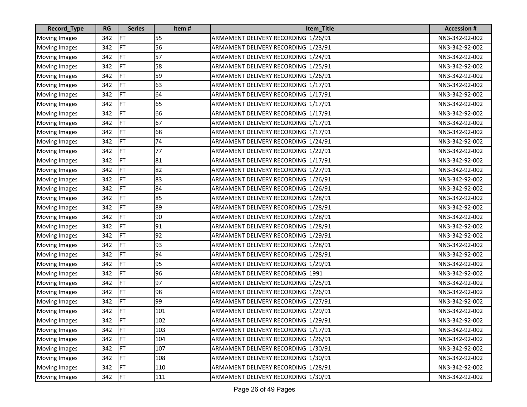| Record_Type          | <b>RG</b> | <b>Series</b> | Item# | Item_Title                          | <b>Accession #</b> |
|----------------------|-----------|---------------|-------|-------------------------------------|--------------------|
| <b>Moving Images</b> | 342       | FT            | 55    | ARMAMENT DELIVERY RECORDING 1/26/91 | NN3-342-92-002     |
| <b>Moving Images</b> | 342       | FT            | 56    | ARMAMENT DELIVERY RECORDING 1/23/91 | NN3-342-92-002     |
| <b>Moving Images</b> | 342       | FT            | 57    | ARMAMENT DELIVERY RECORDING 1/24/91 | NN3-342-92-002     |
| <b>Moving Images</b> | 342       | FT            | 58    | ARMAMENT DELIVERY RECORDING 1/25/91 | NN3-342-92-002     |
| Moving Images        | 342       | FT            | 59    | ARMAMENT DELIVERY RECORDING 1/26/91 | NN3-342-92-002     |
| <b>Moving Images</b> | 342       | FT            | 63    | ARMAMENT DELIVERY RECORDING 1/17/91 | NN3-342-92-002     |
| <b>Moving Images</b> | 342       | FT            | 64    | ARMAMENT DELIVERY RECORDING 1/17/91 | NN3-342-92-002     |
| <b>Moving Images</b> | 342       | FT            | 65    | ARMAMENT DELIVERY RECORDING 1/17/91 | NN3-342-92-002     |
| <b>Moving Images</b> | 342       | FT            | 66    | ARMAMENT DELIVERY RECORDING 1/17/91 | NN3-342-92-002     |
| <b>Moving Images</b> | 342       | FT            | 67    | ARMAMENT DELIVERY RECORDING 1/17/91 | NN3-342-92-002     |
| Moving Images        | 342       | FT            | 68    | ARMAMENT DELIVERY RECORDING 1/17/91 | NN3-342-92-002     |
| <b>Moving Images</b> | 342       | FT            | 74    | ARMAMENT DELIVERY RECORDING 1/24/91 | NN3-342-92-002     |
| <b>Moving Images</b> | 342       | FT            | 77    | ARMAMENT DELIVERY RECORDING 1/22/91 | NN3-342-92-002     |
| <b>Moving Images</b> | 342       | FT            | 81    | ARMAMENT DELIVERY RECORDING 1/17/91 | NN3-342-92-002     |
| <b>Moving Images</b> | 342       | FT            | 82    | ARMAMENT DELIVERY RECORDING 1/27/91 | NN3-342-92-002     |
| Moving Images        | 342       | FT            | 83    | ARMAMENT DELIVERY RECORDING 1/26/91 | NN3-342-92-002     |
| <b>Moving Images</b> | 342       | FT            | 84    | ARMAMENT DELIVERY RECORDING 1/26/91 | NN3-342-92-002     |
| Moving Images        | 342       | FT            | 85    | ARMAMENT DELIVERY RECORDING 1/28/91 | NN3-342-92-002     |
| Moving Images        | 342       | FT            | 89    | ARMAMENT DELIVERY RECORDING 1/28/91 | NN3-342-92-002     |
| Moving Images        | 342       | FT            | 90    | ARMAMENT DELIVERY RECORDING 1/28/91 | NN3-342-92-002     |
| <b>Moving Images</b> | 342       | FT            | 91    | ARMAMENT DELIVERY RECORDING 1/28/91 | NN3-342-92-002     |
| <b>Moving Images</b> | 342       | FT            | 92    | ARMAMENT DELIVERY RECORDING 1/29/91 | NN3-342-92-002     |
| Moving Images        | 342       | FT            | 93    | ARMAMENT DELIVERY RECORDING 1/28/91 | NN3-342-92-002     |
| <b>Moving Images</b> | 342       | FT            | 94    | ARMAMENT DELIVERY RECORDING 1/28/91 | NN3-342-92-002     |
| <b>Moving Images</b> | 342       | FT            | 95    | ARMAMENT DELIVERY RECORDING 1/29/91 | NN3-342-92-002     |
| <b>Moving Images</b> | 342       | FT            | 96    | ARMAMENT DELIVERY RECORDING 1991    | NN3-342-92-002     |
| <b>Moving Images</b> | 342       | FT            | 97    | ARMAMENT DELIVERY RECORDING 1/25/91 | NN3-342-92-002     |
| <b>Moving Images</b> | 342       | FT            | 98    | ARMAMENT DELIVERY RECORDING 1/26/91 | NN3-342-92-002     |
| Moving Images        | 342       | FT            | 99    | ARMAMENT DELIVERY RECORDING 1/27/91 | NN3-342-92-002     |
| <b>Moving Images</b> | 342       | FT            | 101   | ARMAMENT DELIVERY RECORDING 1/29/91 | NN3-342-92-002     |
| Moving Images        | 342       | FT            | 102   | ARMAMENT DELIVERY RECORDING 1/29/91 | NN3-342-92-002     |
| <b>Moving Images</b> | 342       | <b>FT</b>     | 103   | ARMAMENT DELIVERY RECORDING 1/17/91 | NN3-342-92-002     |
| <b>Moving Images</b> | 342       | FT            | 104   | ARMAMENT DELIVERY RECORDING 1/26/91 | NN3-342-92-002     |
| <b>Moving Images</b> | 342       | FT            | 107   | ARMAMENT DELIVERY RECORDING 1/30/91 | NN3-342-92-002     |
| <b>Moving Images</b> | 342       | <b>FT</b>     | 108   | ARMAMENT DELIVERY RECORDING 1/30/91 | NN3-342-92-002     |
| <b>Moving Images</b> | 342       | FT            | 110   | ARMAMENT DELIVERY RECORDING 1/28/91 | NN3-342-92-002     |
| <b>Moving Images</b> | 342       | FT            | 111   | ARMAMENT DELIVERY RECORDING 1/30/91 | NN3-342-92-002     |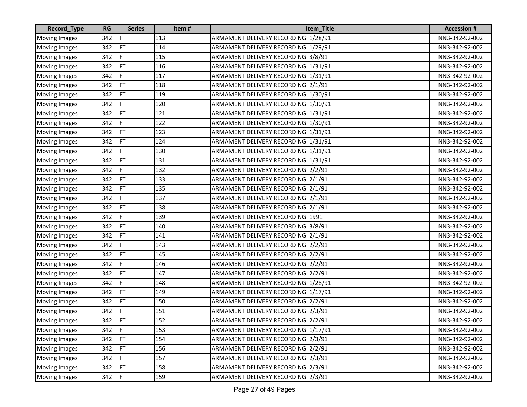| Record_Type          | <b>RG</b> | <b>Series</b> | Item# | Item_Title                          | <b>Accession #</b> |
|----------------------|-----------|---------------|-------|-------------------------------------|--------------------|
| <b>Moving Images</b> | 342       | FT            | 113   | ARMAMENT DELIVERY RECORDING 1/28/91 | NN3-342-92-002     |
| <b>Moving Images</b> | 342       | FT            | 114   | ARMAMENT DELIVERY RECORDING 1/29/91 | NN3-342-92-002     |
| Moving Images        | 342       | FT            | 115   | ARMAMENT DELIVERY RECORDING 3/8/91  | NN3-342-92-002     |
| <b>Moving Images</b> | 342       | FT            | 116   | ARMAMENT DELIVERY RECORDING 1/31/91 | NN3-342-92-002     |
| <b>Moving Images</b> | 342       | FT            | 117   | ARMAMENT DELIVERY RECORDING 1/31/91 | NN3-342-92-002     |
| <b>Moving Images</b> | 342       | FT            | 118   | ARMAMENT DELIVERY RECORDING 2/1/91  | NN3-342-92-002     |
| <b>Moving Images</b> | 342       | FT            | 119   | ARMAMENT DELIVERY RECORDING 1/30/91 | NN3-342-92-002     |
| <b>Moving Images</b> | 342       | FT            | 120   | ARMAMENT DELIVERY RECORDING 1/30/91 | NN3-342-92-002     |
| Moving Images        | 342       | FT            | 121   | ARMAMENT DELIVERY RECORDING 1/31/91 | NN3-342-92-002     |
| <b>Moving Images</b> | 342       | FT            | 122   | ARMAMENT DELIVERY RECORDING 1/30/91 | NN3-342-92-002     |
| <b>Moving Images</b> | 342       | FT            | 123   | ARMAMENT DELIVERY RECORDING 1/31/91 | NN3-342-92-002     |
| <b>Moving Images</b> | 342       | FT            | 124   | ARMAMENT DELIVERY RECORDING 1/31/91 | NN3-342-92-002     |
| <b>Moving Images</b> | 342       | FT            | 130   | ARMAMENT DELIVERY RECORDING 1/31/91 | NN3-342-92-002     |
| Moving Images        | 342       | FT            | 131   | ARMAMENT DELIVERY RECORDING 1/31/91 | NN3-342-92-002     |
| <b>Moving Images</b> | 342       | FT            | 132   | ARMAMENT DELIVERY RECORDING 2/2/91  | NN3-342-92-002     |
| <b>Moving Images</b> | 342       | FT            | 133   | ARMAMENT DELIVERY RECORDING 2/1/91  | NN3-342-92-002     |
| <b>Moving Images</b> | 342       | FT            | 135   | ARMAMENT DELIVERY RECORDING 2/1/91  | NN3-342-92-002     |
| <b>Moving Images</b> | 342       | FT            | 137   | ARMAMENT DELIVERY RECORDING 2/1/91  | NN3-342-92-002     |
| <b>Moving Images</b> | 342       | FT            | 138   | ARMAMENT DELIVERY RECORDING 2/1/91  | NN3-342-92-002     |
| <b>Moving Images</b> | 342       | FT            | 139   | ARMAMENT DELIVERY RECORDING 1991    | NN3-342-92-002     |
| <b>Moving Images</b> | 342       | FT            | 140   | ARMAMENT DELIVERY RECORDING 3/8/91  | NN3-342-92-002     |
| Moving Images        | 342       | FT            | 141   | ARMAMENT DELIVERY RECORDING 2/1/91  | NN3-342-92-002     |
| Moving Images        | 342       | FT            | 143   | ARMAMENT DELIVERY RECORDING 2/2/91  | NN3-342-92-002     |
| <b>Moving Images</b> | 342       | FT            | 145   | ARMAMENT DELIVERY RECORDING 2/2/91  | NN3-342-92-002     |
| Moving Images        | 342       | FT            | 146   | ARMAMENT DELIVERY RECORDING 2/2/91  | NN3-342-92-002     |
| <b>Moving Images</b> | 342       | FT            | 147   | ARMAMENT DELIVERY RECORDING 2/2/91  | NN3-342-92-002     |
| <b>Moving Images</b> | 342       | FT            | 148   | ARMAMENT DELIVERY RECORDING 1/28/91 | NN3-342-92-002     |
| <b>Moving Images</b> | 342       | FT            | 149   | ARMAMENT DELIVERY RECORDING 1/17/91 | NN3-342-92-002     |
| Moving Images        | 342       | FT            | 150   | ARMAMENT DELIVERY RECORDING 2/2/91  | NN3-342-92-002     |
| <b>Moving Images</b> | 342       | FT            | 151   | ARMAMENT DELIVERY RECORDING 2/3/91  | NN3-342-92-002     |
| Moving Images        | 342       | FT            | 152   | ARMAMENT DELIVERY RECORDING 2/2/91  | NN3-342-92-002     |
| <b>Moving Images</b> | 342       | FT            | 153   | ARMAMENT DELIVERY RECORDING 1/17/91 | NN3-342-92-002     |
| <b>Moving Images</b> | 342       | <b>IFT</b>    | 154   | ARMAMENT DELIVERY RECORDING 2/3/91  | NN3-342-92-002     |
| <b>Moving Images</b> | 342       | <b>FT</b>     | 156   | ARMAMENT DELIVERY RECORDING 2/2/91  | NN3-342-92-002     |
| <b>Moving Images</b> | 342       | <b>FT</b>     | 157   | ARMAMENT DELIVERY RECORDING 2/3/91  | NN3-342-92-002     |
| <b>Moving Images</b> | 342       | <b>IFT</b>    | 158   | ARMAMENT DELIVERY RECORDING 2/3/91  | NN3-342-92-002     |
| <b>Moving Images</b> | 342       | <b>FT</b>     | 159   | ARMAMENT DELIVERY RECORDING 2/3/91  | NN3-342-92-002     |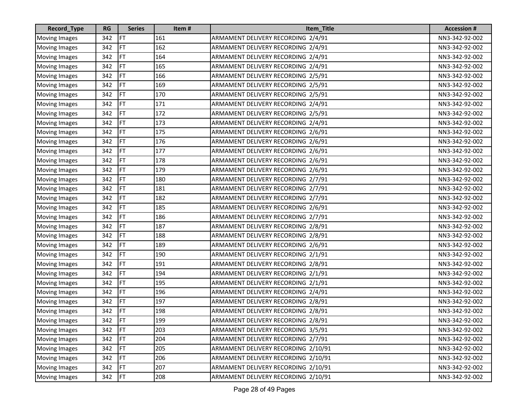| Record_Type          | <b>RG</b> | <b>Series</b> | Item# | Item_Title                          | <b>Accession #</b> |
|----------------------|-----------|---------------|-------|-------------------------------------|--------------------|
| <b>Moving Images</b> | 342       | FT            | 161   | ARMAMENT DELIVERY RECORDING 2/4/91  | NN3-342-92-002     |
| <b>Moving Images</b> | 342       | FT            | 162   | ARMAMENT DELIVERY RECORDING 2/4/91  | NN3-342-92-002     |
| <b>Moving Images</b> | 342       | FT            | 164   | ARMAMENT DELIVERY RECORDING 2/4/91  | NN3-342-92-002     |
| <b>Moving Images</b> | 342       | FT            | 165   | ARMAMENT DELIVERY RECORDING 2/4/91  | NN3-342-92-002     |
| <b>Moving Images</b> | 342       | FT            | 166   | ARMAMENT DELIVERY RECORDING 2/5/91  | NN3-342-92-002     |
| <b>Moving Images</b> | 342       | FT            | 169   | ARMAMENT DELIVERY RECORDING 2/5/91  | NN3-342-92-002     |
| <b>Moving Images</b> | 342       | FT            | 170   | ARMAMENT DELIVERY RECORDING 2/5/91  | NN3-342-92-002     |
| <b>Moving Images</b> | 342       | FT            | 171   | ARMAMENT DELIVERY RECORDING 2/4/91  | NN3-342-92-002     |
| <b>Moving Images</b> | 342       | FT            | 172   | ARMAMENT DELIVERY RECORDING 2/5/91  | NN3-342-92-002     |
| <b>Moving Images</b> | 342       | FT            | 173   | ARMAMENT DELIVERY RECORDING 2/4/91  | NN3-342-92-002     |
| <b>Moving Images</b> | 342       | FT            | 175   | ARMAMENT DELIVERY RECORDING 2/6/91  | NN3-342-92-002     |
| <b>Moving Images</b> | 342       | FT            | 176   | ARMAMENT DELIVERY RECORDING 2/6/91  | NN3-342-92-002     |
| <b>Moving Images</b> | 342       | FT            | 177   | ARMAMENT DELIVERY RECORDING 2/6/91  | NN3-342-92-002     |
| <b>Moving Images</b> | 342       | <b>FT</b>     | 178   | ARMAMENT DELIVERY RECORDING 2/6/91  | NN3-342-92-002     |
| <b>Moving Images</b> | 342       | FT            | 179   | ARMAMENT DELIVERY RECORDING 2/6/91  | NN3-342-92-002     |
| <b>Moving Images</b> | 342       | FT            | 180   | ARMAMENT DELIVERY RECORDING 2/7/91  | NN3-342-92-002     |
| <b>Moving Images</b> | 342       | FT            | 181   | ARMAMENT DELIVERY RECORDING 2/7/91  | NN3-342-92-002     |
| <b>Moving Images</b> | 342       | FT            | 182   | ARMAMENT DELIVERY RECORDING 2/7/91  | NN3-342-92-002     |
| <b>Moving Images</b> | 342       | FT            | 185   | ARMAMENT DELIVERY RECORDING 2/6/91  | NN3-342-92-002     |
| <b>Moving Images</b> | 342       | FT            | 186   | ARMAMENT DELIVERY RECORDING 2/7/91  | NN3-342-92-002     |
| <b>Moving Images</b> | 342       | FT            | 187   | ARMAMENT DELIVERY RECORDING 2/8/91  | NN3-342-92-002     |
| Moving Images        | 342       | FT            | 188   | ARMAMENT DELIVERY RECORDING 2/8/91  | NN3-342-92-002     |
| <b>Moving Images</b> | 342       | FT            | 189   | ARMAMENT DELIVERY RECORDING 2/6/91  | NN3-342-92-002     |
| <b>Moving Images</b> | 342       | FT            | 190   | ARMAMENT DELIVERY RECORDING 2/1/91  | NN3-342-92-002     |
| Moving Images        | 342       | FT            | 191   | ARMAMENT DELIVERY RECORDING 2/8/91  | NN3-342-92-002     |
| <b>Moving Images</b> | 342       | FT            | 194   | ARMAMENT DELIVERY RECORDING 2/1/91  | NN3-342-92-002     |
| <b>Moving Images</b> | 342       | FT            | 195   | ARMAMENT DELIVERY RECORDING 2/1/91  | NN3-342-92-002     |
| <b>Moving Images</b> | 342       | FT            | 196   | ARMAMENT DELIVERY RECORDING 2/4/91  | NN3-342-92-002     |
| <b>Moving Images</b> | 342       | FT            | 197   | ARMAMENT DELIVERY RECORDING 2/8/91  | NN3-342-92-002     |
| <b>Moving Images</b> | 342       | FT            | 198   | ARMAMENT DELIVERY RECORDING 2/8/91  | NN3-342-92-002     |
| Moving Images        | 342       | FT            | 199   | ARMAMENT DELIVERY RECORDING 2/8/91  | NN3-342-92-002     |
| <b>Moving Images</b> | 342       | FT            | 203   | ARMAMENT DELIVERY RECORDING 3/5/91  | NN3-342-92-002     |
| <b>Moving Images</b> | 342       | <b>IFT</b>    | 204   | ARMAMENT DELIVERY RECORDING 2/7/91  | NN3-342-92-002     |
| <b>Moving Images</b> | 342       | FT            | 205   | ARMAMENT DELIVERY RECORDING 2/10/91 | NN3-342-92-002     |
| <b>Moving Images</b> | 342       | <b>FT</b>     | 206   | ARMAMENT DELIVERY RECORDING 2/10/91 | NN3-342-92-002     |
| <b>Moving Images</b> | 342       | <b>IFT</b>    | 207   | ARMAMENT DELIVERY RECORDING 2/10/91 | NN3-342-92-002     |
| <b>Moving Images</b> | 342       | FT            | 208   | ARMAMENT DELIVERY RECORDING 2/10/91 | NN3-342-92-002     |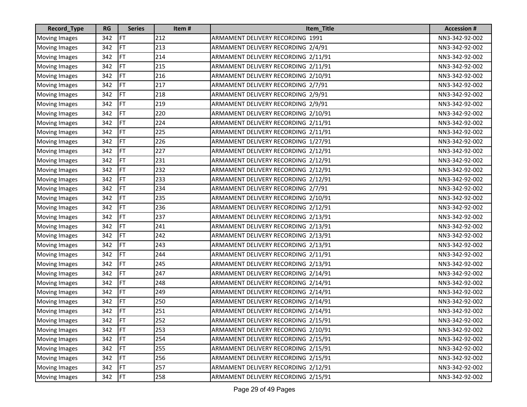| Record_Type          | <b>RG</b> | <b>Series</b> | Item# | Item_Title                          | <b>Accession #</b> |
|----------------------|-----------|---------------|-------|-------------------------------------|--------------------|
| <b>Moving Images</b> | 342       | FT            | 212   | ARMAMENT DELIVERY RECORDING 1991    | NN3-342-92-002     |
| <b>Moving Images</b> | 342       | FT            | 213   | ARMAMENT DELIVERY RECORDING 2/4/91  | NN3-342-92-002     |
| Moving Images        | 342       | FT            | 214   | ARMAMENT DELIVERY RECORDING 2/11/91 | NN3-342-92-002     |
| <b>Moving Images</b> | 342       | FT            | 215   | ARMAMENT DELIVERY RECORDING 2/11/91 | NN3-342-92-002     |
| <b>Moving Images</b> | 342       | FT            | 216   | ARMAMENT DELIVERY RECORDING 2/10/91 | NN3-342-92-002     |
| <b>Moving Images</b> | 342       | FT            | 217   | ARMAMENT DELIVERY RECORDING 2/7/91  | NN3-342-92-002     |
| <b>Moving Images</b> | 342       | FT            | 218   | ARMAMENT DELIVERY RECORDING 2/9/91  | NN3-342-92-002     |
| <b>Moving Images</b> | 342       | FT            | 219   | ARMAMENT DELIVERY RECORDING 2/9/91  | NN3-342-92-002     |
| <b>Moving Images</b> | 342       | FT            | 220   | ARMAMENT DELIVERY RECORDING 2/10/91 | NN3-342-92-002     |
| <b>Moving Images</b> | 342       | FT            | 224   | ARMAMENT DELIVERY RECORDING 2/11/91 | NN3-342-92-002     |
| <b>Moving Images</b> | 342       | FT            | 225   | ARMAMENT DELIVERY RECORDING 2/11/91 | NN3-342-92-002     |
| <b>Moving Images</b> | 342       | FT            | 226   | ARMAMENT DELIVERY RECORDING 1/27/91 | NN3-342-92-002     |
| <b>Moving Images</b> | 342       | FT            | 227   | ARMAMENT DELIVERY RECORDING 2/12/91 | NN3-342-92-002     |
| Moving Images        | 342       | FT            | 231   | ARMAMENT DELIVERY RECORDING 2/12/91 | NN3-342-92-002     |
| Moving Images        | 342       | FT            | 232   | ARMAMENT DELIVERY RECORDING 2/12/91 | NN3-342-92-002     |
| <b>Moving Images</b> | 342       | FT            | 233   | ARMAMENT DELIVERY RECORDING 2/12/91 | NN3-342-92-002     |
| <b>Moving Images</b> | 342       | FT            | 234   | ARMAMENT DELIVERY RECORDING 2/7/91  | NN3-342-92-002     |
| <b>Moving Images</b> | 342       | FT            | 235   | ARMAMENT DELIVERY RECORDING 2/10/91 | NN3-342-92-002     |
| <b>Moving Images</b> | 342       | FT            | 236   | ARMAMENT DELIVERY RECORDING 2/12/91 | NN3-342-92-002     |
| Moving Images        | 342       | FT            | 237   | ARMAMENT DELIVERY RECORDING 2/13/91 | NN3-342-92-002     |
| <b>Moving Images</b> | 342       | FT            | 241   | ARMAMENT DELIVERY RECORDING 2/13/91 | NN3-342-92-002     |
| <b>Moving Images</b> | 342       | FT            | 242   | ARMAMENT DELIVERY RECORDING 2/13/91 | NN3-342-92-002     |
| Moving Images        | 342       | FT            | 243   | ARMAMENT DELIVERY RECORDING 2/13/91 | NN3-342-92-002     |
| <b>Moving Images</b> | 342       | FT            | 244   | ARMAMENT DELIVERY RECORDING 2/11/91 | NN3-342-92-002     |
| <b>Moving Images</b> | 342       | FT            | 245   | ARMAMENT DELIVERY RECORDING 2/13/91 | NN3-342-92-002     |
| <b>Moving Images</b> | 342       | FT            | 247   | ARMAMENT DELIVERY RECORDING 2/14/91 | NN3-342-92-002     |
| <b>Moving Images</b> | 342       | FT            | 248   | ARMAMENT DELIVERY RECORDING 2/14/91 | NN3-342-92-002     |
| <b>Moving Images</b> | 342       | FT            | 249   | ARMAMENT DELIVERY RECORDING 2/14/91 | NN3-342-92-002     |
| Moving Images        | 342       | FT            | 250   | ARMAMENT DELIVERY RECORDING 2/14/91 | NN3-342-92-002     |
| <b>Moving Images</b> | 342       | <b>FT</b>     | 251   | ARMAMENT DELIVERY RECORDING 2/14/91 | NN3-342-92-002     |
| Moving Images        | 342       | FT            | 252   | ARMAMENT DELIVERY RECORDING 2/15/91 | NN3-342-92-002     |
| <b>Moving Images</b> | 342       | FT            | 253   | ARMAMENT DELIVERY RECORDING 2/10/91 | NN3-342-92-002     |
| <b>Moving Images</b> | 342       | <b>FT</b>     | 254   | ARMAMENT DELIVERY RECORDING 2/15/91 | NN3-342-92-002     |
| Moving Images        | 342       | FT            | 255   | ARMAMENT DELIVERY RECORDING 2/15/91 | NN3-342-92-002     |
| <b>Moving Images</b> | 342       | <b>FT</b>     | 256   | ARMAMENT DELIVERY RECORDING 2/15/91 | NN3-342-92-002     |
| <b>Moving Images</b> | 342       | <b>IFT</b>    | 257   | ARMAMENT DELIVERY RECORDING 2/12/91 | NN3-342-92-002     |
| <b>Moving Images</b> | 342       | <b>IFT</b>    | 258   | ARMAMENT DELIVERY RECORDING 2/15/91 | NN3-342-92-002     |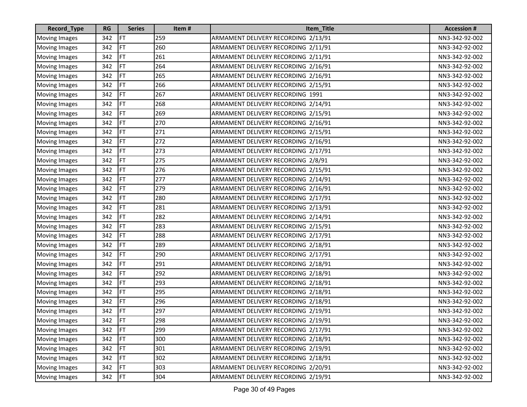| <b>Record_Type</b>   | <b>RG</b> | <b>Series</b> | Item# | Item_Title                          | <b>Accession #</b> |
|----------------------|-----------|---------------|-------|-------------------------------------|--------------------|
| <b>Moving Images</b> | 342       | FT            | 259   | ARMAMENT DELIVERY RECORDING 2/13/91 | NN3-342-92-002     |
| <b>Moving Images</b> | 342       | <b>FT</b>     | 260   | ARMAMENT DELIVERY RECORDING 2/11/91 | NN3-342-92-002     |
| Moving Images        | 342       | FT            | 261   | ARMAMENT DELIVERY RECORDING 2/11/91 | NN3-342-92-002     |
| <b>Moving Images</b> | 342       | FT            | 264   | ARMAMENT DELIVERY RECORDING 2/16/91 | NN3-342-92-002     |
| <b>Moving Images</b> | 342       | FT            | 265   | ARMAMENT DELIVERY RECORDING 2/16/91 | NN3-342-92-002     |
| <b>Moving Images</b> | 342       | FT            | 266   | ARMAMENT DELIVERY RECORDING 2/15/91 | NN3-342-92-002     |
| <b>Moving Images</b> | 342       | FT            | 267   | ARMAMENT DELIVERY RECORDING 1991    | NN3-342-92-002     |
| <b>Moving Images</b> | 342       | FT            | 268   | ARMAMENT DELIVERY RECORDING 2/14/91 | NN3-342-92-002     |
| Moving Images        | 342       | FT            | 269   | ARMAMENT DELIVERY RECORDING 2/15/91 | NN3-342-92-002     |
| <b>Moving Images</b> | 342       | FT            | 270   | ARMAMENT DELIVERY RECORDING 2/16/91 | NN3-342-92-002     |
| Moving Images        | 342       | FT            | 271   | ARMAMENT DELIVERY RECORDING 2/15/91 | NN3-342-92-002     |
| <b>Moving Images</b> | 342       | FT            | 272   | ARMAMENT DELIVERY RECORDING 2/16/91 | NN3-342-92-002     |
| <b>Moving Images</b> | 342       | FT            | 273   | ARMAMENT DELIVERY RECORDING 2/17/91 | NN3-342-92-002     |
| <b>Moving Images</b> | 342       | FT            | 275   | ARMAMENT DELIVERY RECORDING 2/8/91  | NN3-342-92-002     |
| Moving Images        | 342       | FT            | 276   | ARMAMENT DELIVERY RECORDING 2/15/91 | NN3-342-92-002     |
| Moving Images        | 342       | FT            | 277   | ARMAMENT DELIVERY RECORDING 2/14/91 | NN3-342-92-002     |
| Moving Images        | 342       | FT            | 279   | ARMAMENT DELIVERY RECORDING 2/16/91 | NN3-342-92-002     |
| <b>Moving Images</b> | 342       | FT            | 280   | ARMAMENT DELIVERY RECORDING 2/17/91 | NN3-342-92-002     |
| <b>Moving Images</b> | 342       | FT            | 281   | ARMAMENT DELIVERY RECORDING 2/13/91 | NN3-342-92-002     |
| Moving Images        | 342       | FT            | 282   | ARMAMENT DELIVERY RECORDING 2/14/91 | NN3-342-92-002     |
| <b>Moving Images</b> | 342       | FT            | 283   | ARMAMENT DELIVERY RECORDING 2/15/91 | NN3-342-92-002     |
| Moving Images        | 342       | FT            | 288   | ARMAMENT DELIVERY RECORDING 2/17/91 | NN3-342-92-002     |
| Moving Images        | 342       | FT            | 289   | ARMAMENT DELIVERY RECORDING 2/18/91 | NN3-342-92-002     |
| <b>Moving Images</b> | 342       | FT            | 290   | ARMAMENT DELIVERY RECORDING 2/17/91 | NN3-342-92-002     |
| Moving Images        | 342       | FT            | 291   | ARMAMENT DELIVERY RECORDING 2/18/91 | NN3-342-92-002     |
| <b>Moving Images</b> | 342       | FT            | 292   | ARMAMENT DELIVERY RECORDING 2/18/91 | NN3-342-92-002     |
| <b>Moving Images</b> | 342       | FT            | 293   | ARMAMENT DELIVERY RECORDING 2/18/91 | NN3-342-92-002     |
| <b>Moving Images</b> | 342       | FT            | 295   | ARMAMENT DELIVERY RECORDING 2/18/91 | NN3-342-92-002     |
| Moving Images        | 342       | FT            | 296   | ARMAMENT DELIVERY RECORDING 2/18/91 | NN3-342-92-002     |
| <b>Moving Images</b> | 342       | FT            | 297   | ARMAMENT DELIVERY RECORDING 2/19/91 | NN3-342-92-002     |
| Moving Images        | 342       | FT            | 298   | ARMAMENT DELIVERY RECORDING 2/19/91 | NN3-342-92-002     |
| <b>Moving Images</b> | 342       | <b>FT</b>     | 299   | ARMAMENT DELIVERY RECORDING 2/17/91 | NN3-342-92-002     |
| <b>Moving Images</b> | 342       | FT            | 300   | ARMAMENT DELIVERY RECORDING 2/18/91 | NN3-342-92-002     |
| <b>Moving Images</b> | 342       | FT            | 301   | ARMAMENT DELIVERY RECORDING 2/19/91 | NN3-342-92-002     |
| <b>Moving Images</b> | 342       | <b>FT</b>     | 302   | ARMAMENT DELIVERY RECORDING 2/18/91 | NN3-342-92-002     |
| <b>Moving Images</b> | 342       | FT            | 303   | ARMAMENT DELIVERY RECORDING 2/20/91 | NN3-342-92-002     |
| <b>Moving Images</b> | 342       | FT            | 304   | ARMAMENT DELIVERY RECORDING 2/19/91 | NN3-342-92-002     |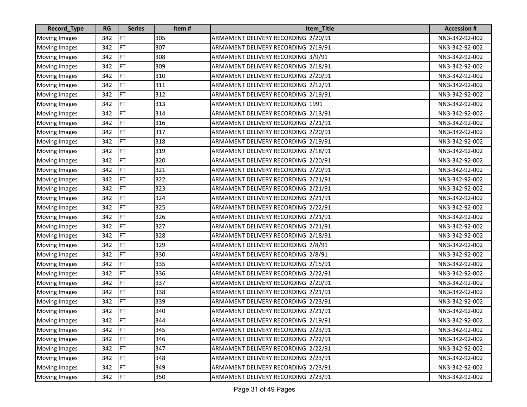| <b>Record_Type</b>   | <b>RG</b> | <b>Series</b> | Item# | Item_Title                          | <b>Accession #</b> |
|----------------------|-----------|---------------|-------|-------------------------------------|--------------------|
| <b>Moving Images</b> | 342       | FT            | 305   | ARMAMENT DELIVERY RECORDING 2/20/91 | NN3-342-92-002     |
| <b>Moving Images</b> | 342       | FT            | 307   | ARMAMENT DELIVERY RECORDING 2/19/91 | NN3-342-92-002     |
| <b>Moving Images</b> | 342       | FT            | 308   | ARMAMENT DELIVERY RECORDING 3/9/91  | NN3-342-92-002     |
| <b>Moving Images</b> | 342       | FT            | 309   | ARMAMENT DELIVERY RECORDING 2/18/91 | NN3-342-92-002     |
| <b>Moving Images</b> | 342       | FT            | 310   | ARMAMENT DELIVERY RECORDING 2/20/91 | NN3-342-92-002     |
| <b>Moving Images</b> | 342       | FT            | 311   | ARMAMENT DELIVERY RECORDING 2/12/91 | NN3-342-92-002     |
| <b>Moving Images</b> | 342       | FT            | 312   | ARMAMENT DELIVERY RECORDING 2/19/91 | NN3-342-92-002     |
| <b>Moving Images</b> | 342       | FT            | 313   | ARMAMENT DELIVERY RECORDING 1991    | NN3-342-92-002     |
| Moving Images        | 342       | FT            | 314   | ARMAMENT DELIVERY RECORDING 2/13/91 | NN3-342-92-002     |
| <b>Moving Images</b> | 342       | FT            | 316   | ARMAMENT DELIVERY RECORDING 2/21/91 | NN3-342-92-002     |
| Moving Images        | 342       | FT            | 317   | ARMAMENT DELIVERY RECORDING 2/20/91 | NN3-342-92-002     |
| <b>Moving Images</b> | 342       | FT            | 318   | ARMAMENT DELIVERY RECORDING 2/19/91 | NN3-342-92-002     |
| <b>Moving Images</b> | 342       | FT            | 319   | ARMAMENT DELIVERY RECORDING 2/18/91 | NN3-342-92-002     |
| Moving Images        | 342       | FT            | 320   | ARMAMENT DELIVERY RECORDING 2/20/91 | NN3-342-92-002     |
| Moving Images        | 342       | FT            | 321   | ARMAMENT DELIVERY RECORDING 2/20/91 | NN3-342-92-002     |
| Moving Images        | 342       | FT            | 322   | ARMAMENT DELIVERY RECORDING 2/21/91 | NN3-342-92-002     |
| Moving Images        | 342       | FT            | 323   | ARMAMENT DELIVERY RECORDING 2/21/91 | NN3-342-92-002     |
| <b>Moving Images</b> | 342       | FT            | 324   | ARMAMENT DELIVERY RECORDING 2/21/91 | NN3-342-92-002     |
| <b>Moving Images</b> | 342       | FT            | 325   | ARMAMENT DELIVERY RECORDING 2/22/91 | NN3-342-92-002     |
| Moving Images        | 342       | FT            | 326   | ARMAMENT DELIVERY RECORDING 2/21/91 | NN3-342-92-002     |
| <b>Moving Images</b> | 342       | FT            | 327   | ARMAMENT DELIVERY RECORDING 2/21/91 | NN3-342-92-002     |
| Moving Images        | 342       | FT            | 328   | ARMAMENT DELIVERY RECORDING 2/18/91 | NN3-342-92-002     |
| Moving Images        | 342       | FT            | 329   | ARMAMENT DELIVERY RECORDING 2/8/91  | NN3-342-92-002     |
| <b>Moving Images</b> | 342       | FT            | 330   | ARMAMENT DELIVERY RECORDING 2/8/91  | NN3-342-92-002     |
| Moving Images        | 342       | FT            | 335   | ARMAMENT DELIVERY RECORDING 2/15/91 | NN3-342-92-002     |
| <b>Moving Images</b> | 342       | FT            | 336   | ARMAMENT DELIVERY RECORDING 2/22/91 | NN3-342-92-002     |
| <b>Moving Images</b> | 342       | FT            | 337   | ARMAMENT DELIVERY RECORDING 2/20/91 | NN3-342-92-002     |
| <b>Moving Images</b> | 342       | FT            | 338   | ARMAMENT DELIVERY RECORDING 2/21/91 | NN3-342-92-002     |
| Moving Images        | 342       | FT            | 339   | ARMAMENT DELIVERY RECORDING 2/23/91 | NN3-342-92-002     |
| <b>Moving Images</b> | 342       | FT            | 340   | ARMAMENT DELIVERY RECORDING 2/21/91 | NN3-342-92-002     |
| Moving Images        | 342       | FT            | 344   | ARMAMENT DELIVERY RECORDING 2/19/91 | NN3-342-92-002     |
| <b>Moving Images</b> | 342       | <b>FT</b>     | 345   | ARMAMENT DELIVERY RECORDING 2/23/91 | NN3-342-92-002     |
| <b>Moving Images</b> | 342       | FT            | 346   | ARMAMENT DELIVERY RECORDING 2/22/91 | NN3-342-92-002     |
| <b>Moving Images</b> | 342       | FT            | 347   | ARMAMENT DELIVERY RECORDING 2/22/91 | NN3-342-92-002     |
| <b>Moving Images</b> | 342       | <b>FT</b>     | 348   | ARMAMENT DELIVERY RECORDING 2/23/91 | NN3-342-92-002     |
| <b>Moving Images</b> | 342       | FT            | 349   | ARMAMENT DELIVERY RECORDING 2/23/91 | NN3-342-92-002     |
| <b>Moving Images</b> | 342       | FT            | 350   | ARMAMENT DELIVERY RECORDING 2/23/91 | NN3-342-92-002     |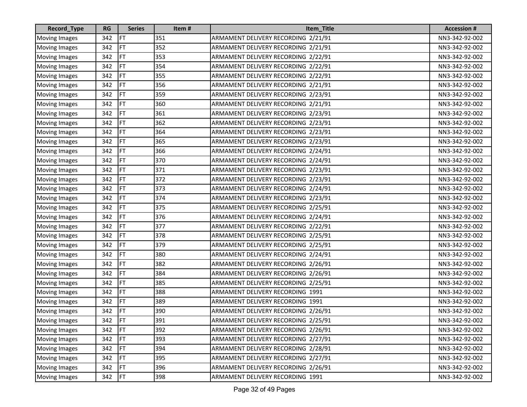| Record_Type          | <b>RG</b> | <b>Series</b> | Item# | Item_Title                          | <b>Accession #</b> |
|----------------------|-----------|---------------|-------|-------------------------------------|--------------------|
| <b>Moving Images</b> | 342       | FT            | 351   | ARMAMENT DELIVERY RECORDING 2/21/91 | NN3-342-92-002     |
| <b>Moving Images</b> | 342       | FT            | 352   | ARMAMENT DELIVERY RECORDING 2/21/91 | NN3-342-92-002     |
| Moving Images        | 342       | FT            | 353   | ARMAMENT DELIVERY RECORDING 2/22/91 | NN3-342-92-002     |
| <b>Moving Images</b> | 342       | FT            | 354   | ARMAMENT DELIVERY RECORDING 2/22/91 | NN3-342-92-002     |
| <b>Moving Images</b> | 342       | FT            | 355   | ARMAMENT DELIVERY RECORDING 2/22/91 | NN3-342-92-002     |
| <b>Moving Images</b> | 342       | FT            | 356   | ARMAMENT DELIVERY RECORDING 2/21/91 | NN3-342-92-002     |
| <b>Moving Images</b> | 342       | FT            | 359   | ARMAMENT DELIVERY RECORDING 2/23/91 | NN3-342-92-002     |
| <b>Moving Images</b> | 342       | FT            | 360   | ARMAMENT DELIVERY RECORDING 2/21/91 | NN3-342-92-002     |
| Moving Images        | 342       | FT            | 361   | ARMAMENT DELIVERY RECORDING 2/23/91 | NN3-342-92-002     |
| <b>Moving Images</b> | 342       | FT            | 362   | ARMAMENT DELIVERY RECORDING 2/23/91 | NN3-342-92-002     |
| <b>Moving Images</b> | 342       | FT            | 364   | ARMAMENT DELIVERY RECORDING 2/23/91 | NN3-342-92-002     |
| Moving Images        | 342       | FT            | 365   | ARMAMENT DELIVERY RECORDING 2/23/91 | NN3-342-92-002     |
| <b>Moving Images</b> | 342       | FT            | 366   | ARMAMENT DELIVERY RECORDING 2/24/91 | NN3-342-92-002     |
| Moving Images        | 342       | FT            | 370   | ARMAMENT DELIVERY RECORDING 2/24/91 | NN3-342-92-002     |
| <b>Moving Images</b> | 342       | FT            | 371   | ARMAMENT DELIVERY RECORDING 2/23/91 | NN3-342-92-002     |
| Moving Images        | 342       | FT            | 372   | ARMAMENT DELIVERY RECORDING 2/23/91 | NN3-342-92-002     |
| <b>Moving Images</b> | 342       | FT            | 373   | ARMAMENT DELIVERY RECORDING 2/24/91 | NN3-342-92-002     |
| <b>Moving Images</b> | 342       | FT            | 374   | ARMAMENT DELIVERY RECORDING 2/23/91 | NN3-342-92-002     |
| <b>Moving Images</b> | 342       | FT            | 375   | ARMAMENT DELIVERY RECORDING 2/25/91 | NN3-342-92-002     |
| Moving Images        | 342       | FT            | 376   | ARMAMENT DELIVERY RECORDING 2/24/91 | NN3-342-92-002     |
| <b>Moving Images</b> | 342       | FT            | 377   | ARMAMENT DELIVERY RECORDING 2/22/91 | NN3-342-92-002     |
| <b>Moving Images</b> | 342       | FT            | 378   | ARMAMENT DELIVERY RECORDING 2/25/91 | NN3-342-92-002     |
| Moving Images        | 342       | FT            | 379   | ARMAMENT DELIVERY RECORDING 2/25/91 | NN3-342-92-002     |
| <b>Moving Images</b> | 342       | FT            | 380   | ARMAMENT DELIVERY RECORDING 2/24/91 | NN3-342-92-002     |
| <b>Moving Images</b> | 342       | FT            | 382   | ARMAMENT DELIVERY RECORDING 2/26/91 | NN3-342-92-002     |
| <b>Moving Images</b> | 342       | FT            | 384   | ARMAMENT DELIVERY RECORDING 2/26/91 | NN3-342-92-002     |
| <b>Moving Images</b> | 342       | FT            | 385   | ARMAMENT DELIVERY RECORDING 2/25/91 | NN3-342-92-002     |
| <b>Moving Images</b> | 342       | FT            | 388   | ARMAMENT DELIVERY RECORDING 1991    | NN3-342-92-002     |
| <b>Moving Images</b> | 342       | FT            | 389   | ARMAMENT DELIVERY RECORDING 1991    | NN3-342-92-002     |
| <b>Moving Images</b> | 342       | FT            | 390   | ARMAMENT DELIVERY RECORDING 2/26/91 | NN3-342-92-002     |
| Moving Images        | 342       | FT            | 391   | ARMAMENT DELIVERY RECORDING 2/25/91 | NN3-342-92-002     |
| <b>Moving Images</b> | 342       | FT            | 392   | ARMAMENT DELIVERY RECORDING 2/26/91 | NN3-342-92-002     |
| <b>Moving Images</b> | 342       | <b>IFT</b>    | 393   | ARMAMENT DELIVERY RECORDING 2/27/91 | NN3-342-92-002     |
| <b>Moving Images</b> | 342       | FT            | 394   | ARMAMENT DELIVERY RECORDING 2/28/91 | NN3-342-92-002     |
| <b>Moving Images</b> | 342       | <b>FT</b>     | 395   | ARMAMENT DELIVERY RECORDING 2/27/91 | NN3-342-92-002     |
| <b>Moving Images</b> | 342       | FT            | 396   | ARMAMENT DELIVERY RECORDING 2/26/91 | NN3-342-92-002     |
| <b>Moving Images</b> | 342       | FT            | 398   | ARMAMENT DELIVERY RECORDING 1991    | NN3-342-92-002     |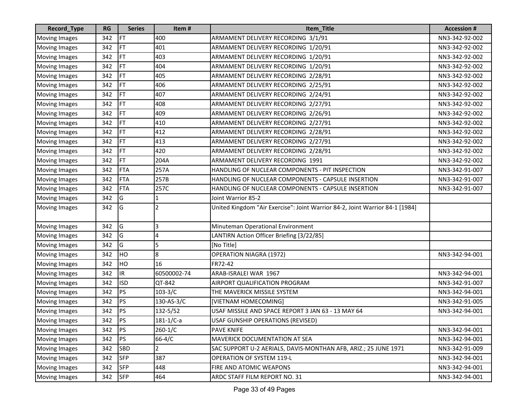| Record_Type          | <b>RG</b> | <b>Series</b> | Item#           | Item_Title                                                                   | <b>Accession#</b> |
|----------------------|-----------|---------------|-----------------|------------------------------------------------------------------------------|-------------------|
| <b>Moving Images</b> | 342       | FT            | 400             | ARMAMENT DELIVERY RECORDING 3/1/91                                           | NN3-342-92-002    |
| <b>Moving Images</b> | 342       | FT            | 401             | ARMAMENT DELIVERY RECORDING 1/20/91                                          | NN3-342-92-002    |
| <b>Moving Images</b> | 342       | FT            | 403             | ARMAMENT DELIVERY RECORDING 1/20/91                                          | NN3-342-92-002    |
| <b>Moving Images</b> | 342       | FT            | 404             | ARMAMENT DELIVERY RECORDING 1/20/91                                          | NN3-342-92-002    |
| <b>Moving Images</b> | 342       | FT            | 405             | ARMAMENT DELIVERY RECORDING 2/28/91                                          | NN3-342-92-002    |
| <b>Moving Images</b> | 342       | FT            | 406             | ARMAMENT DELIVERY RECORDING 2/25/91                                          | NN3-342-92-002    |
| <b>Moving Images</b> | 342       | FT            | 407             | ARMAMENT DELIVERY RECORDING 2/24/91                                          | NN3-342-92-002    |
| <b>Moving Images</b> | 342       | FT            | 408             | ARMAMENT DELIVERY RECORDING 2/27/91                                          | NN3-342-92-002    |
| <b>Moving Images</b> | 342       | FT            | 409             | ARMAMENT DELIVERY RECORDING 2/26/91                                          | NN3-342-92-002    |
| <b>Moving Images</b> | 342       | FT            | 410             | ARMAMENT DELIVERY RECORDING 2/27/91                                          | NN3-342-92-002    |
| <b>Moving Images</b> | 342       | FT            | 412             | ARMAMENT DELIVERY RECORDING 2/28/91                                          | NN3-342-92-002    |
| <b>Moving Images</b> | 342       | FT            | 413             | ARMAMENT DELIVERY RECORDING 2/27/91                                          | NN3-342-92-002    |
| <b>Moving Images</b> | 342       | FT            | 420             | ARMAMENT DELIVERY RECORDING 2/28/91                                          | NN3-342-92-002    |
| <b>Moving Images</b> | 342       | FT            | 204A            | ARMAMENT DELIVERY RECORDING 1991                                             | NN3-342-92-002    |
| <b>Moving Images</b> | 342       | <b>FTA</b>    | 257A            | HANDLING OF NUCLEAR COMPONENTS - PIT INSPECTION                              | NN3-342-91-007    |
| <b>Moving Images</b> | 342       | <b>FTA</b>    | 257B            | HANDLING OF NUCLEAR COMPONENTS - CAPSULE INSERTION                           | NN3-342-91-007    |
| Moving Images        | 342       | <b>FTA</b>    | 257C            | HANDLING OF NUCLEAR COMPONENTS - CAPSULE INSERTION                           | NN3-342-91-007    |
| <b>Moving Images</b> | 342       | G             | 1               | Joint Warrior 85-2                                                           |                   |
| <b>Moving Images</b> | 342       | G             | 2               | United Kingdom "Air Exercise": Joint Warrior 84-2, Joint Warrior 84-1 [1984] |                   |
| <b>Moving Images</b> | 342       | G             | 3               | Minuteman Operational Environment                                            |                   |
| <b>Moving Images</b> | 342       | G             | 4               | LANTIRN Action Officer Briefing [3/22/85]                                    |                   |
| <b>Moving Images</b> | 342       | G             | 5               | [No Title]                                                                   |                   |
| <b>Moving Images</b> | 342       | HO            | 8               | <b>OPERATION NIAGRA (1972)</b>                                               | NN3-342-94-001    |
| <b>Moving Images</b> | 342       | HO            | 16              | FR72-42                                                                      |                   |
| <b>Moving Images</b> | 342       | IR.           | 60500002-74     | ARAB-ISRALEI WAR 1967                                                        | NN3-342-94-001    |
| <b>Moving Images</b> | 342       | <b>ISD</b>    | QT-842          | AIRPORT QUALIFICATION PROGRAM                                                | NN3-342-91-007    |
| <b>Moving Images</b> | 342       | PS            | $103 - 3/C$     | THE MAVERICK MISSILE SYSTEM                                                  | NN3-342-94-001    |
| <b>Moving Images</b> | 342       | PS            | 130-AS-3/C      | [VIETNAM HOMECOMING]                                                         | NN3-342-91-005    |
| <b>Moving Images</b> | 342       | PS            | 132-5/52        | USAF MISSILE AND SPACE REPORT 3 JAN 63 - 13 MAY 64                           | NN3-342-94-001    |
| <b>Moving Images</b> | 342       | PS            | $181 - 1/C - a$ | USAF GUNSHIP OPERATIONS (REVISED)                                            |                   |
| <b>Moving Images</b> | 342       | <b>PS</b>     | $260 - 1/C$     | <b>PAVE KNIFE</b>                                                            | NN3-342-94-001    |
| <b>Moving Images</b> | 342       | PS            | $66 - 4/C$      | <b>MAVERICK DOCUMENTATION AT SEA</b>                                         | NN3-342-94-001    |
| <b>Moving Images</b> | 342       | <b>SBD</b>    | $\overline{2}$  | SAC SUPPORT U-2 AERIALS, DAVIS-MONTHAN AFB, ARIZ.; 25 JUNE 1971              | NN3-342-91-009    |
| <b>Moving Images</b> | 342       | <b>SFP</b>    | 387             | <b>OPERATION OF SYSTEM 119-L</b>                                             | NN3-342-94-001    |
| <b>Moving Images</b> | 342       | <b>SFP</b>    | 448             | FIRE AND ATOMIC WEAPONS                                                      | NN3-342-94-001    |
| <b>Moving Images</b> | 342       | <b>SFP</b>    | 464             | ARDC STAFF FILM REPORT NO. 31                                                | NN3-342-94-001    |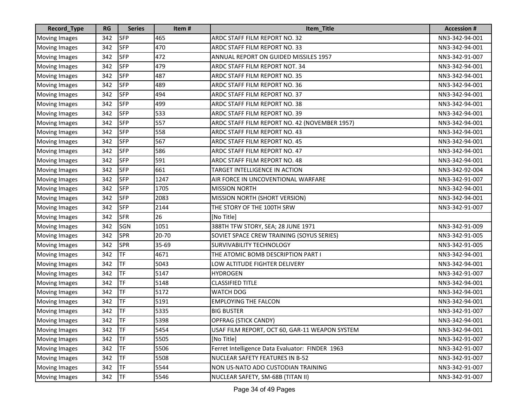| Record_Type          | <b>RG</b> | <b>Series</b> | Item# | Item_Title                                      | <b>Accession #</b> |
|----------------------|-----------|---------------|-------|-------------------------------------------------|--------------------|
| <b>Moving Images</b> | 342       | <b>SFP</b>    | 465   | ARDC STAFF FILM REPORT NO. 32                   | NN3-342-94-001     |
| <b>Moving Images</b> | 342       | <b>SFP</b>    | 470   | ARDC STAFF FILM REPORT NO. 33                   | NN3-342-94-001     |
| <b>Moving Images</b> | 342       | <b>SFP</b>    | 472   | ANNUAL REPORT ON GUIDED MISSILES 1957           | NN3-342-91-007     |
| <b>Moving Images</b> | 342       | <b>SFP</b>    | 479   | ARDC STAFF FILM REPORT NOT. 34                  | NN3-342-94-001     |
| <b>Moving Images</b> | 342       | <b>SFP</b>    | 487   | ARDC STAFF FILM REPORT NO. 35                   | NN3-342-94-001     |
| <b>Moving Images</b> | 342       | <b>SFP</b>    | 489   | ARDC STAFF FILM REPORT NO. 36                   | NN3-342-94-001     |
| <b>Moving Images</b> | 342       | <b>SFP</b>    | 494   | ARDC STAFF FILM REPORT NO. 37                   | NN3-342-94-001     |
| <b>Moving Images</b> | 342       | <b>SFP</b>    | 499   | ARDC STAFF FILM REPORT NO. 38                   | NN3-342-94-001     |
| <b>Moving Images</b> | 342       | <b>SFP</b>    | 533   | ARDC STAFF FILM REPORT NO. 39                   | NN3-342-94-001     |
| <b>Moving Images</b> | 342       | <b>SFP</b>    | 557   | ARDC STAFF FILM REPORT NO. 42 (NOVEMBER 1957)   | NN3-342-94-001     |
| <b>Moving Images</b> | 342       | <b>SFP</b>    | 558   | ARDC STAFF FILM REPORT NO. 43                   | NN3-342-94-001     |
| <b>Moving Images</b> | 342       | <b>SFP</b>    | 567   | ARDC STAFF FILM REPORT NO. 45                   | NN3-342-94-001     |
| Moving Images        | 342       | <b>SFP</b>    | 586   | ARDC STAFF FILM REPORT NO. 47                   | NN3-342-94-001     |
| <b>Moving Images</b> | 342       | <b>SFP</b>    | 591   | ARDC STAFF FILM REPORT NO. 48                   | NN3-342-94-001     |
| <b>Moving Images</b> | 342       | <b>SFP</b>    | 661   | TARGET INTELLIGENCE IN ACTION                   | NN3-342-92-004     |
| <b>Moving Images</b> | 342       | <b>SFP</b>    | 1247  | AIR FORCE IN UNCOVENTIONAL WARFARE              | NN3-342-91-007     |
| <b>Moving Images</b> | 342       | <b>SFP</b>    | 1705  | <b>MISSION NORTH</b>                            | NN3-342-94-001     |
| <b>Moving Images</b> | 342       | <b>SFP</b>    | 2083  | MISSION NORTH (SHORT VERSION)                   | NN3-342-94-001     |
| <b>Moving Images</b> | 342       | <b>SFP</b>    | 2144  | THE STORY OF THE 100TH SRW                      | NN3-342-91-007     |
| <b>Moving Images</b> | 342       | <b>SFR</b>    | 26    | [No Title]                                      |                    |
| <b>Moving Images</b> | 342       | <b>SGN</b>    | 1051  | 388TH TFW STORY, SEA; 28 JUNE 1971              | NN3-342-91-009     |
| <b>Moving Images</b> | 342       | <b>SPR</b>    | 20-70 | SOVIET SPACE CREW TRAINING (SOYUS SERIES)       | NN3-342-91-005     |
| <b>Moving Images</b> | 342       | <b>SPR</b>    | 35-69 | <b>SURVIVABILITY TECHNOLOGY</b>                 | NN3-342-91-005     |
| <b>Moving Images</b> | 342       | TF            | 4671  | THE ATOMIC BOMB DESCRIPTION PART I              | NN3-342-94-001     |
| <b>Moving Images</b> | 342       | <b>TF</b>     | 5043  | LOW ALTITUDE FIGHTER DELIVERY                   | NN3-342-94-001     |
| <b>Moving Images</b> | 342       | TF            | 5147  | <b>HYDROGEN</b>                                 | NN3-342-91-007     |
| <b>Moving Images</b> | 342       | TF            | 5148  | <b>CLASSIFIED TITLE</b>                         | NN3-342-94-001     |
| <b>Moving Images</b> | 342       | TF            | 5172  | <b>WATCH DOG</b>                                | NN3-342-94-001     |
| <b>Moving Images</b> | 342       | TF            | 5191  | <b>EMPLOYING THE FALCON</b>                     | NN3-342-94-001     |
| <b>Moving Images</b> | 342       | TF            | 5335  | <b>BIG BUSTER</b>                               | NN3-342-91-007     |
| Moving Images        | 342       | <b>TF</b>     | 5398  | OPFRAG (STICK CANDY)                            | NN3-342-94-001     |
| <b>Moving Images</b> | 342       | <b>TF</b>     | 5454  | USAF FILM REPORT, OCT 60, GAR-11 WEAPON SYSTEM  | NN3-342-94-001     |
| <b>Moving Images</b> | 342       | <b>TF</b>     | 5505  | [No Title]                                      | NN3-342-91-007     |
| <b>Moving Images</b> | 342       | TF            | 5506  | Ferret Intelligence Data Evaluator: FINDER 1963 | NN3-342-91-007     |
| <b>Moving Images</b> | 342       | <b>TF</b>     | 5508  | <b>NUCLEAR SAFETY FEATURES IN B-52</b>          | NN3-342-91-007     |
| <b>Moving Images</b> | 342       | TF            | 5544  | NON US-NATO ADO CUSTODIAN TRAINING              | NN3-342-91-007     |
| <b>Moving Images</b> | 342       | <b>TF</b>     | 5546  | NUCLEAR SAFETY, SM-68B (TITAN II)               | NN3-342-91-007     |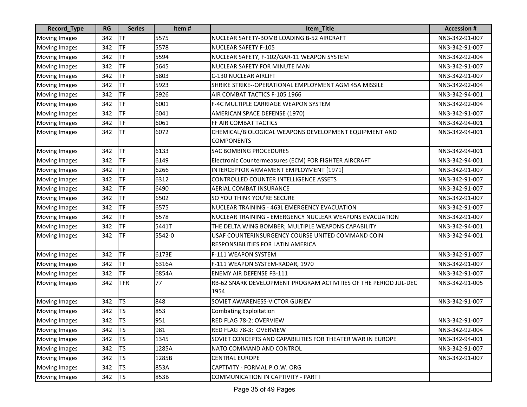| Record_Type          | <b>RG</b> | <b>Series</b> | Item#  | Item_Title                                                                              | <b>Accession #</b> |
|----------------------|-----------|---------------|--------|-----------------------------------------------------------------------------------------|--------------------|
| <b>Moving Images</b> | 342       | TF            | 5575   | NUCLEAR SAFETY-BOMB LOADING B-52 AIRCRAFT                                               | NN3-342-91-007     |
| <b>Moving Images</b> | 342       | TF            | 5578   | <b>NUCLEAR SAFETY F-105</b>                                                             | NN3-342-91-007     |
| <b>Moving Images</b> | 342       | TF            | 5594   | NUCLEAR SAFETY, F-102/GAR-11 WEAPON SYSTEM                                              | NN3-342-92-004     |
| <b>Moving Images</b> | 342       | TF            | 5645   | NUCLEAR SAFETY FOR MINUTE MAN                                                           | NN3-342-91-007     |
| <b>Moving Images</b> | 342       | TF            | 5803   | C-130 NUCLEAR AIRLIFT                                                                   | NN3-342-91-007     |
| <b>Moving Images</b> | 342       | TF            | 5923   | SHRIKE STRIKE--OPERATIONAL EMPLOYMENT AGM 45A MISSILE                                   | NN3-342-92-004     |
| <b>Moving Images</b> | 342       | TF            | 5926   | AIR COMBAT TACTICS F-105 1966                                                           | NN3-342-94-001     |
| <b>Moving Images</b> | 342       | TF            | 6001   | F-4C MULTIPLE CARRIAGE WEAPON SYSTEM                                                    | NN3-342-92-004     |
| <b>Moving Images</b> | 342       | TF            | 6041   | AMERICAN SPACE DEFENSE (1970)                                                           | NN3-342-91-007     |
| <b>Moving Images</b> | 342       | <b>TF</b>     | 6061   | FF AIR COMBAT TACTICS                                                                   | NN3-342-94-001     |
| <b>Moving Images</b> | 342       | <b>TF</b>     | 6072   | CHEMICAL/BIOLOGICAL WEAPONS DEVELOPMENT EQUIPMENT AND<br><b>COMPONENTS</b>              | NN3-342-94-001     |
| <b>Moving Images</b> | 342       | TF            | 6133   | <b>SAC BOMBING PROCEDURES</b>                                                           | NN3-342-94-001     |
| <b>Moving Images</b> | 342       | TF            | 6149   | Electronic Countermeasures (ECM) FOR FIGHTER AIRCRAFT                                   | NN3-342-94-001     |
| <b>Moving Images</b> | 342       | TF            | 6266   | INTERCEPTOR ARMAMENT EMPLOYMENT [1971]                                                  | NN3-342-91-007     |
| <b>Moving Images</b> | 342       | TF            | 6312   | CONTROLLED COUNTER INTELLIGENCE ASSETS                                                  | NN3-342-91-007     |
| <b>Moving Images</b> | 342       | TF            | 6490   | <b>AERIAL COMBAT INSURANCE</b>                                                          | NN3-342-91-007     |
| <b>Moving Images</b> | 342       | TF            | 6502   | SO YOU THINK YOU'RE SECURE                                                              | NN3-342-91-007     |
| <b>Moving Images</b> | 342       | TF            | 6575   | NUCLEAR TRAINING - 463L EMERGENCY EVACUATION                                            | NN3-342-91-007     |
| <b>Moving Images</b> | 342       | TF            | 6578   | NUCLEAR TRAINING - EMERGENCY NUCLEAR WEAPONS EVACUATION                                 | NN3-342-91-007     |
| <b>Moving Images</b> | 342       | <b>TF</b>     | 5441T  | THE DELTA WING BOMBER; MULTIPLE WEAPONS CAPABILITY                                      | NN3-342-94-001     |
| <b>Moving Images</b> | 342       | <b>TF</b>     | 5542-0 | USAF COUNTERINSURGENCY COURSE UNITED COMMAND COIN<br>RESPONSIBILITIES FOR LATIN AMERICA | NN3-342-94-001     |
| <b>Moving Images</b> | 342       | TF            | 6173E  | F-111 WEAPON SYSTEM                                                                     | NN3-342-91-007     |
| <b>Moving Images</b> | 342       | TF            | 6316A  | F-111 WEAPON SYSTEM-RADAR, 1970                                                         | NN3-342-91-007     |
| <b>Moving Images</b> | 342       | TF            | 6854A  | <b>ENEMY AIR DEFENSE FB-111</b>                                                         | NN3-342-91-007     |
| <b>Moving Images</b> | 342       | <b>TFR</b>    | 77     | RB-62 SNARK DEVELOPMENT PROGRAM ACTIVITIES OF THE PERIOD JUL-DEC<br>1954                | NN3-342-91-005     |
| <b>Moving Images</b> | 342       | <b>TS</b>     | 848    | SOVIET AWARENESS-VICTOR GURIEV                                                          | NN3-342-91-007     |
| <b>Moving Images</b> | 342       | <b>TS</b>     | 853    | <b>Combating Exploitation</b>                                                           |                    |
| Moving Images        | 342       | <b>TS</b>     | 951    | RED FLAG 78-2: OVERVIEW                                                                 | NN3-342-91-007     |
| <b>Moving Images</b> | 342       | <b>TS</b>     | 981    | RED FLAG 78-3: OVERVIEW                                                                 | NN3-342-92-004     |
| <b>Moving Images</b> | 342       | <b>TS</b>     | 1345   | SOVIET CONCEPTS AND CAPABILITIES FOR THEATER WAR IN EUROPE                              | NN3-342-94-001     |
| <b>Moving Images</b> | 342       | <b>TS</b>     | 1285A  | NATO COMMAND AND CONTROL                                                                | NN3-342-91-007     |
| <b>Moving Images</b> | 342       | <b>TS</b>     | 1285B  | <b>CENTRAL EUROPE</b>                                                                   | NN3-342-91-007     |
| <b>Moving Images</b> | 342       | <b>TS</b>     | 853A   | CAPTIVITY - FORMAL P.O.W. ORG                                                           |                    |
| <b>Moving Images</b> | 342       | <b>TS</b>     | 853B   | COMMUNICATION IN CAPTIVITY - PART I                                                     |                    |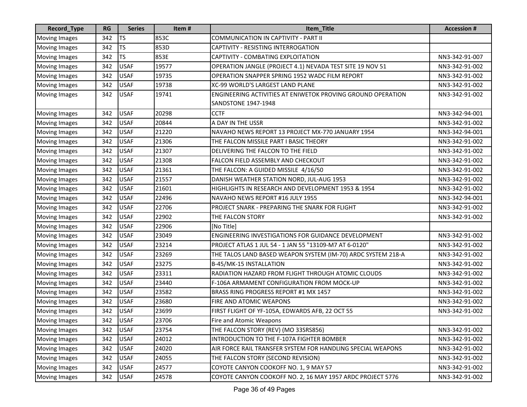| <b>Record_Type</b>   | <b>RG</b> | <b>Series</b> | Item# | Item_Title                                                         | <b>Accession#</b> |
|----------------------|-----------|---------------|-------|--------------------------------------------------------------------|-------------------|
| <b>Moving Images</b> | 342       | <b>TS</b>     | 853C  | COMMUNICATION IN CAPTIVITY - PART II                               |                   |
| <b>Moving Images</b> | 342       | <b>TS</b>     | 853D  | CAPTIVITY - RESISTING INTERROGATION                                |                   |
| <b>Moving Images</b> | 342       | <b>TS</b>     | 853E  | CAPTIVITY - COMBATING EXPLOITATION                                 | NN3-342-91-007    |
| <b>Moving Images</b> | 342       | <b>USAF</b>   | 19577 | OPERATION JANGLE (PROJECT 4.1) NEVADA TEST SITE 19 NOV 51          | NN3-342-91-002    |
| <b>Moving Images</b> | 342       | <b>USAF</b>   | 19735 | OPERATION SNAPPER SPRING 1952 WADC FILM REPORT                     | NN3-342-91-002    |
| <b>Moving Images</b> | 342       | <b>USAF</b>   | 19738 | XC-99 WORLD'S LARGEST LAND PLANE                                   | NN3-342-91-002    |
| <b>Moving Images</b> | 342       | <b>USAF</b>   | 19741 | <b>ENGINEERING ACTIVITIES AT ENIWETOK PROVING GROUND OPERATION</b> | NN3-342-91-002    |
|                      |           |               |       | <b>SANDSTONE 1947-1948</b>                                         |                   |
| <b>Moving Images</b> | 342       | <b>USAF</b>   | 20298 | <b>CCTF</b>                                                        | NN3-342-94-001    |
| <b>Moving Images</b> | 342       | <b>USAF</b>   | 20844 | A DAY IN THE USSR                                                  | NN3-342-91-002    |
| <b>Moving Images</b> | 342       | <b>USAF</b>   | 21220 | NAVAHO NEWS REPORT 13 PROJECT MX-770 JANUARY 1954                  | NN3-342-94-001    |
| <b>Moving Images</b> | 342       | <b>USAF</b>   | 21306 | THE FALCON MISSILE PART I BASIC THEORY                             | NN3-342-91-002    |
| <b>Moving Images</b> | 342       | <b>USAF</b>   | 21307 | DELIVERING THE FALCON TO THE FIELD                                 | NN3-342-91-002    |
| <b>Moving Images</b> | 342       | <b>USAF</b>   | 21308 | FALCON FIELD ASSEMBLY AND CHECKOUT                                 | NN3-342-91-002    |
| <b>Moving Images</b> | 342       | <b>USAF</b>   | 21361 | THE FALCON: A GUIDED MISSILE 4/16/50                               | NN3-342-91-002    |
| <b>Moving Images</b> | 342       | <b>USAF</b>   | 21557 | DANISH WEATHER STATION NORD, JUL-AUG 1953                          | NN3-342-91-002    |
| <b>Moving Images</b> | 342       | <b>USAF</b>   | 21601 | HIGHLIGHTS IN RESEARCH AND DEVELOPMENT 1953 & 1954                 | NN3-342-91-002    |
| <b>Moving Images</b> | 342       | <b>USAF</b>   | 22496 | NAVAHO NEWS REPORT #16 JULY 1955                                   | NN3-342-94-001    |
| Moving Images        | 342       | <b>USAF</b>   | 22706 | PROJECT SNARK - PREPARING THE SNARK FOR FLIGHT                     | NN3-342-91-002    |
| <b>Moving Images</b> | 342       | <b>USAF</b>   | 22902 | THE FALCON STORY                                                   | NN3-342-91-002    |
| <b>Moving Images</b> | 342       | <b>USAF</b>   | 22906 | [No Title]                                                         |                   |
| Moving Images        | 342       | <b>USAF</b>   | 23049 | <b>ENGINEERING INVESTIGATIONS FOR GUIDANCE DEVELOPMENT</b>         | NN3-342-91-002    |
| <b>Moving Images</b> | 342       | <b>USAF</b>   | 23214 | PROJECT ATLAS 1 JUL 54 - 1 JAN 55 "13109-M7 AT 6-0120"             | NN3-342-91-002    |
| <b>Moving Images</b> | 342       | <b>USAF</b>   | 23269 | THE TALOS LAND BASED WEAPON SYSTEM (IM-70) ARDC SYSTEM 218-A       | NN3-342-91-002    |
| <b>Moving Images</b> | 342       | <b>USAF</b>   | 23275 | B-45/MK-15 INSTALLATION                                            | NN3-342-91-002    |
| <b>Moving Images</b> | 342       | <b>USAF</b>   | 23311 | RADIATION HAZARD FROM FLIGHT THROUGH ATOMIC CLOUDS                 | NN3-342-91-002    |
| <b>Moving Images</b> | 342       | <b>USAF</b>   | 23440 | F-106A ARMAMENT CONFIGURATION FROM MOCK-UP                         | NN3-342-91-002    |
| <b>Moving Images</b> | 342       | <b>USAF</b>   | 23582 | BRASS RING PROGRESS REPORT #1 MX 1457                              | NN3-342-91-002    |
| <b>Moving Images</b> | 342       | <b>USAF</b>   | 23680 | FIRE AND ATOMIC WEAPONS                                            | NN3-342-91-002    |
| <b>Moving Images</b> | 342       | <b>USAF</b>   | 23699 | FIRST FLIGHT OF YF-105A, EDWARDS AFB, 22 OCT 55                    | NN3-342-91-002    |
| Moving Images        | 342       | <b>USAF</b>   | 23706 | Fire and Atomic Weapons                                            |                   |
| <b>Moving Images</b> | 342       | <b>USAF</b>   | 23754 | THE FALCON STORY (REV) (MO 33SRS856)                               | NN3-342-91-002    |
| <b>Moving Images</b> | 342       | <b>USAF</b>   | 24012 | INTRODUCTION TO THE F-107A FIGHTER BOMBER                          | NN3-342-91-002    |
| <b>Moving Images</b> | 342       | <b>USAF</b>   | 24020 | AIR FORCE RAIL TRANSFER SYSTEM FOR HANDLING SPECIAL WEAPONS        | NN3-342-91-002    |
| <b>Moving Images</b> | 342       | <b>USAF</b>   | 24055 | THE FALCON STORY (SECOND REVISION)                                 | NN3-342-91-002    |
| <b>Moving Images</b> | 342       | <b>USAF</b>   | 24577 | COYOTE CANYON COOKOFF NO. 1, 9 MAY 57                              | NN3-342-91-002    |
| <b>Moving Images</b> | 342       | <b>USAF</b>   | 24578 | COYOTE CANYON COOKOFF NO. 2, 16 MAY 1957 ARDC PROJECT 5776         | NN3-342-91-002    |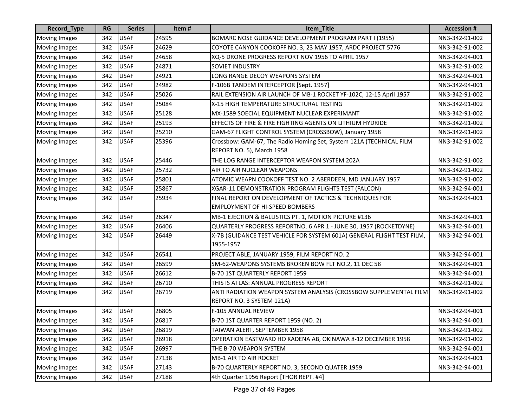| <b>Record_Type</b>   | <b>RG</b> | <b>Series</b> | Item# | Item Title                                                                          | <b>Accession #</b> |
|----------------------|-----------|---------------|-------|-------------------------------------------------------------------------------------|--------------------|
| <b>Moving Images</b> | 342       | <b>USAF</b>   | 24595 | BOMARC NOSE GUIDANCE DEVELOPMENT PROGRAM PART I (1955)                              | NN3-342-91-002     |
| Moving Images        | 342       | <b>USAF</b>   | 24629 | COYOTE CANYON COOKOFF NO. 3, 23 MAY 1957, ARDC PROJECT 5776                         | NN3-342-91-002     |
| <b>Moving Images</b> | 342       | <b>USAF</b>   | 24658 | XQ-5 DRONE PROGRESS REPORT NOV 1956 TO APRIL 1957                                   | NN3-342-94-001     |
| <b>Moving Images</b> | 342       | <b>USAF</b>   | 24871 | <b>SOVIET INDUSTRY</b>                                                              | NN3-342-91-002     |
| <b>Moving Images</b> | 342       | <b>USAF</b>   | 24921 | LONG RANGE DECOY WEAPONS SYSTEM                                                     | NN3-342-94-001     |
| <b>Moving Images</b> | 342       | <b>USAF</b>   | 24982 | F-106B TANDEM INTERCEPTOR [Sept. 1957]                                              | NN3-342-94-001     |
| <b>Moving Images</b> | 342       | <b>USAF</b>   | 25026 | RAIL EXTENSION AIR LAUNCH OF MB-1 ROCKET YF-102C, 12-15 April 1957                  | NN3-342-91-002     |
| Moving Images        | 342       | <b>USAF</b>   | 25084 | X-15 HIGH TEMPERATURE STRUCTURAL TESTING                                            | NN3-342-91-002     |
| <b>Moving Images</b> | 342       | <b>USAF</b>   | 25128 | MX-1589 SOECIAL EQUIPMENT NUCLEAR EXPERIMANT                                        | NN3-342-91-002     |
| <b>Moving Images</b> | 342       | <b>USAF</b>   | 25193 | EFFECTS OF FIRE & FIRE FIGHTING AGENTS ON LITHIUM HYDRIDE                           | NN3-342-91-002     |
| Moving Images        | 342       | <b>USAF</b>   | 25210 | GAM-67 FLIGHT CONTROL SYSTEM (CROSSBOW), January 1958                               | NN3-342-91-002     |
| <b>Moving Images</b> | 342       | <b>USAF</b>   | 25396 | Crossbow: GAM-67, The Radio Homing Set, System 121A (TECHNICAL FILM                 | NN3-342-91-002     |
|                      |           |               |       | REPORT NO. 5), March 1958                                                           |                    |
| <b>Moving Images</b> | 342       | <b>USAF</b>   | 25446 | THE LOG RANGE INTERCEPTOR WEAPON SYSTEM 202A                                        | NN3-342-91-002     |
| <b>Moving Images</b> | 342       | <b>USAF</b>   | 25732 | AIR TO AIR NUCLEAR WEAPONS                                                          | NN3-342-91-002     |
| <b>Moving Images</b> | 342       | <b>USAF</b>   | 25801 | ATOMIC WEAPN COOKOFF TEST NO. 2 ABERDEEN, MD JANUARY 1957                           | NN3-342-91-002     |
| <b>Moving Images</b> | 342       | <b>USAF</b>   | 25867 | XGAR-11 DEMONSTRATION PROGRAM FLIGHTS TEST (FALCON)                                 | NN3-342-94-001     |
| <b>Moving Images</b> | 342       | <b>USAF</b>   | 25934 | FINAL REPORT ON DEVELOPMENT OF TACTICS & TECHNIQUES FOR                             | NN3-342-94-001     |
|                      |           |               |       | <b>EMPLOYMENT OF HI-SPEED BOMBERS</b>                                               |                    |
| <b>Moving Images</b> | 342       | <b>USAF</b>   | 26347 | MB-1 EJECTION & BALLISTICS PT. 1, MOTION PICTURE #136                               | NN3-342-94-001     |
| <b>Moving Images</b> | 342       | <b>USAF</b>   | 26406 | QUARTERLY PROGRESS REPORTNO. 6 APR 1 - JUNE 30, 1957 (ROCKETDYNE)                   | NN3-342-94-001     |
| <b>Moving Images</b> | 342       | <b>USAF</b>   | 26449 | X-7B (GUIDANCE TEST VEHICLE FOR SYSTEM 601A) GENERAL FLIGHT TEST FILM,<br>1955-1957 | NN3-342-94-001     |
| <b>Moving Images</b> | 342       | <b>USAF</b>   | 26541 | PROJECT ABLE, JANUARY 1959, FILM REPORT NO. 2                                       | NN3-342-94-001     |
| <b>Moving Images</b> | 342       | <b>USAF</b>   | 26599 | SM-62-WEAPONS SYSTEMS BROKEN BOW FLT NO.2, 11 DEC 58                                | NN3-342-94-001     |
| <b>Moving Images</b> | 342       | <b>USAF</b>   | 26612 | B-70 1ST QUARTERLY REPORT 1959                                                      | NN3-342-94-001     |
| <b>Moving Images</b> | 342       | <b>USAF</b>   | 26710 | THIS IS ATLAS: ANNUAL PROGRESS REPORT                                               | NN3-342-91-002     |
| <b>Moving Images</b> | 342       | <b>USAF</b>   | 26719 | ANTI RADIATION WEAPON SYSTEM ANALYSIS (CROSSBOW SUPPLEMENTAL FILM                   | NN3-342-91-002     |
|                      |           |               |       | REPORT NO. 3 SYSTEM 121A)                                                           |                    |
| <b>Moving Images</b> | 342       | <b>USAF</b>   | 26805 | F-105 ANNUAL REVIEW                                                                 | NN3-342-94-001     |
| Moving Images        | 342       | <b>USAF</b>   | 26817 | B-70 1ST QUARTER REPORT 1959 (NO. 2)                                                | NN3-342-94-001     |
| <b>Moving Images</b> | 342       | <b>USAF</b>   | 26819 | TAIWAN ALERT, SEPTEMBER 1958                                                        | NN3-342-91-002     |
| <b>Moving Images</b> | 342       | <b>USAF</b>   | 26918 | OPERATION EASTWARD HO KADENA AB, OKINAWA 8-12 DECEMBER 1958                         | NN3-342-91-002     |
| <b>Moving Images</b> | 342       | <b>USAF</b>   | 26997 | THE B-70 WEAPON SYSTEM                                                              | NN3-342-94-001     |
| <b>Moving Images</b> | 342       | <b>USAF</b>   | 27138 | MB-1 AIR TO AIR ROCKET                                                              | NN3-342-94-001     |
| <b>Moving Images</b> | 342       | <b>USAF</b>   | 27143 | B-70 QUARTERLY REPORT NO. 3, SECOND QUATER 1959                                     | NN3-342-94-001     |
| <b>Moving Images</b> | 342       | <b>USAF</b>   | 27188 | 4th Quarter 1956 Report [THOR REPT. #4]                                             |                    |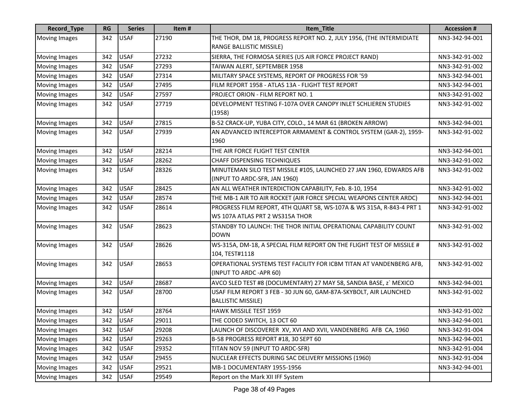| Record_Type          | <b>RG</b> | <b>Series</b> | Item# | Item_Title                                                                                              | <b>Accession #</b> |
|----------------------|-----------|---------------|-------|---------------------------------------------------------------------------------------------------------|--------------------|
| <b>Moving Images</b> | 342       | <b>USAF</b>   | 27190 | THE THOR, DM 18, PROGRESS REPORT NO. 2, JULY 1956, (THE INTERMIDIATE                                    | NN3-342-94-001     |
|                      |           |               |       | RANGE BALLISTIC MISSILE)                                                                                |                    |
| <b>Moving Images</b> | 342       | <b>USAF</b>   | 27232 | SIERRA, THE FORMOSA SERIES (US AIR FORCE PROJECT RAND)                                                  | NN3-342-91-002     |
| <b>Moving Images</b> | 342       | <b>USAF</b>   | 27293 | TAIWAN ALERT, SEPTEMBER 1958                                                                            | NN3-342-91-002     |
| <b>Moving Images</b> | 342       | <b>USAF</b>   | 27314 | MILITARY SPACE SYSTEMS, REPORT OF PROGRESS FOR '59                                                      | NN3-342-94-001     |
| <b>Moving Images</b> | 342       | <b>USAF</b>   | 27495 | FILM REPORT 1958 - ATLAS 13A - FLIGHT TEST REPORT                                                       | NN3-342-94-001     |
| <b>Moving Images</b> | 342       | <b>USAF</b>   | 27597 | PROJECT ORION - FILM REPORT NO. 1                                                                       | NN3-342-91-002     |
| <b>Moving Images</b> | 342       | <b>USAF</b>   | 27719 | DEVELOPMENT TESTING F-107A OVER CANOPY INLET SCHLIEREN STUDIES<br>(1958)                                | NN3-342-91-002     |
| <b>Moving Images</b> | 342       | <b>USAF</b>   | 27815 | B-52 CRACK-UP, YUBA CITY, COLO., 14 MAR 61 (BROKEN ARROW)                                               | NN3-342-94-001     |
| <b>Moving Images</b> | 342       | <b>USAF</b>   | 27939 | AN ADVANCED INTERCEPTOR ARMAMENT & CONTROL SYSTEM (GAR-2), 1959-<br>1960                                | NN3-342-91-002     |
| <b>Moving Images</b> | 342       | <b>USAF</b>   | 28214 | THE AIR FORCE FLIGHT TEST CENTER                                                                        | NN3-342-94-001     |
| <b>Moving Images</b> | 342       | <b>USAF</b>   | 28262 | <b>CHAFF DISPENSING TECHNIQUES</b>                                                                      | NN3-342-91-002     |
| <b>Moving Images</b> | 342       | <b>USAF</b>   | 28326 | MINUTEMAN SILO TEST MISSILE #105, LAUNCHED 27 JAN 1960, EDWARDS AFB<br>(INPUT TO ARDC-SFR, JAN 1960)    | NN3-342-91-002     |
| <b>Moving Images</b> | 342       | <b>USAF</b>   | 28425 | AN ALL WEATHER INTERDICTION CAPABILITY, Feb. 8-10, 1954                                                 | NN3-342-91-002     |
| <b>Moving Images</b> | 342       | <b>USAF</b>   | 28574 | THE MB-1 AIR TO AIR ROCKET (AIR FORCE SPECIAL WEAPONS CENTER ARDC)                                      | NN3-342-94-001     |
| <b>Moving Images</b> | 342       | <b>USAF</b>   | 28614 | PROGRESS FILM REPORT, 4TH QUART 58, WS-107A & WS 315A, R-843-4 PRT 1<br>WS 107A ATLAS PRT 2 WS315A THOR | NN3-342-91-002     |
| <b>Moving Images</b> | 342       | <b>USAF</b>   | 28623 | STANDBY TO LAUNCH: THE THOR INITIAL OPERATIONAL CAPABILITY COUNT<br><b>DOWN</b>                         | NN3-342-91-002     |
| <b>Moving Images</b> | 342       | <b>USAF</b>   | 28626 | WS-315A, DM-18, A SPECIAL FILM REPORT ON THE FLIGHT TEST OF MISSILE #<br>104, TEST#1118                 | NN3-342-91-002     |
| <b>Moving Images</b> | 342       | <b>USAF</b>   | 28653 | OPERATIONAL SYSTEMS TEST FACILITY FOR ICBM TITAN AT VANDENBERG AFB,<br>(INPUT TO ARDC - APR 60)         | NN3-342-91-002     |
| <b>Moving Images</b> | 342       | <b>USAF</b>   | 28687 | AVCO SLED TEST #8 (DOCUMENTARY) 27 MAY 58, SANDIA BASE, z` MEXICO                                       | NN3-342-94-001     |
| <b>Moving Images</b> | 342       | <b>USAF</b>   | 28700 | USAF FILM REPORT 3 FEB - 30 JUN 60, GAM-87A-SKYBOLT, AIR LAUNCHED<br><b>BALLISTIC MISSILE)</b>          | NN3-342-91-002     |
| <b>Moving Images</b> | 342       | <b>USAF</b>   | 28764 | HAWK MISSILE TEST 1959                                                                                  | NN3-342-91-002     |
| Moving Images        | 342       | <b>USAF</b>   | 29011 | THE CODED SWITCH, 13 OCT 60                                                                             | NN3-342-94-001     |
| <b>Moving Images</b> | 342       | <b>USAF</b>   | 29208 | LAUNCH OF DISCOVERER XV, XVI AND XVII, VANDENBERG AFB CA, 1960                                          | NN3-342-91-004     |
| <b>Moving Images</b> | 342       | <b>USAF</b>   | 29263 | B-58 PROGRESS REPORT #18, 30 SEPT 60                                                                    | NN3-342-94-001     |
| <b>Moving Images</b> | 342       | <b>USAF</b>   | 29352 | TITAN NOV 59 (INPUT TO ARDC-SFR)                                                                        | NN3-342-91-004     |
| <b>Moving Images</b> | 342       | <b>USAF</b>   | 29455 | NUCLEAR EFFECTS DURING SAC DELIVERY MISSIONS (1960)                                                     | NN3-342-91-004     |
| <b>Moving Images</b> | 342       | <b>USAF</b>   | 29521 | MB-1 DOCUMENTARY 1955-1956                                                                              | NN3-342-94-001     |
| <b>Moving Images</b> | 342       | <b>USAF</b>   | 29549 | Report on the Mark XII IFF System                                                                       |                    |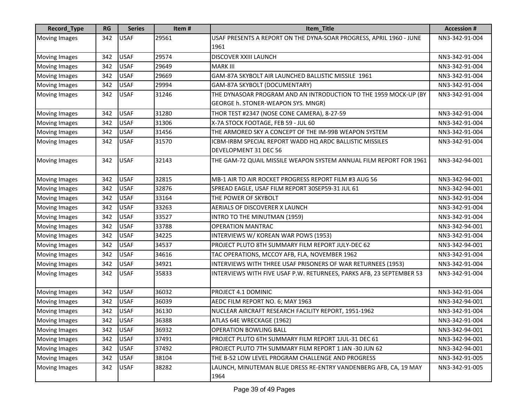| Record_Type          | <b>RG</b> | <b>Series</b> | Item# | Item_Title                                                           | <b>Accession #</b> |
|----------------------|-----------|---------------|-------|----------------------------------------------------------------------|--------------------|
| <b>Moving Images</b> | 342       | <b>USAF</b>   | 29561 | USAF PRESENTS A REPORT ON THE DYNA-SOAR PROGRESS, APRIL 1960 - JUNE  | NN3-342-91-004     |
|                      |           |               |       | 1961                                                                 |                    |
| <b>Moving Images</b> | 342       | <b>USAF</b>   | 29574 | DISCOVER XXIII LAUNCH                                                | NN3-342-91-004     |
| <b>Moving Images</b> | 342       | <b>USAF</b>   | 29649 | <b>MARK III</b>                                                      | NN3-342-91-004     |
| <b>Moving Images</b> | 342       | <b>USAF</b>   | 29669 | GAM-87A SKYBOLT AIR LAUNCHED BALLISTIC MISSILE 1961                  | NN3-342-91-004     |
| <b>Moving Images</b> | 342       | <b>USAF</b>   | 29994 | GAM-87A SKYBOLT (DOCUMENTARY)                                        | NN3-342-91-004     |
| <b>Moving Images</b> | 342       | <b>USAF</b>   | 31246 | THE DYNASOAR PROGRAM AND AN INTRODUCTION TO THE 1959 MOCK-UP (BY     | NN3-342-91-004     |
|                      |           |               |       | GEORGE h. STONER-WEAPON SYS. MNGR)                                   |                    |
| <b>Moving Images</b> | 342       | <b>USAF</b>   | 31280 | THOR TEST #2347 (NOSE CONE CAMERA), 8-27-59                          | NN3-342-91-004     |
| <b>Moving Images</b> | 342       | <b>USAF</b>   | 31306 | X-7A STOCK FOOTAGE, FEB 59 - JUL 60                                  | NN3-342-91-004     |
| <b>Moving Images</b> | 342       | <b>USAF</b>   | 31456 | THE ARMORED SKY A CONCEPT OF THE IM-99B WEAPON SYSTEM                | NN3-342-91-004     |
| <b>Moving Images</b> | 342       | <b>USAF</b>   | 31570 | ICBM-IRBM SPECIAL REPORT WADD HQ ARDC BALLISTIC MISSILES             | NN3-342-91-004     |
|                      |           |               |       | DEVELOPMENT 31 DEC 56                                                |                    |
| <b>Moving Images</b> | 342       | <b>USAF</b>   | 32143 | THE GAM-72 QUAIL MISSILE WEAPON SYSTEM ANNUAL FILM REPORT FOR 1961   | NN3-342-94-001     |
|                      |           |               |       |                                                                      |                    |
| <b>Moving Images</b> | 342       | <b>USAF</b>   | 32815 | MB-1 AIR TO AIR ROCKET PROGRESS REPORT FILM #3 AUG 56                | NN3-342-94-001     |
| <b>Moving Images</b> | 342       | <b>USAF</b>   | 32876 | SPREAD EAGLE, USAF FILM REPORT 30SEP59-31 JUL 61                     | NN3-342-94-001     |
| <b>Moving Images</b> | 342       | <b>USAF</b>   | 33164 | THE POWER OF SKYBOLT                                                 | NN3-342-91-004     |
| <b>Moving Images</b> | 342       | <b>USAF</b>   | 33263 | AERIALS OF DISCOVERER X LAUNCH                                       | NN3-342-91-004     |
| <b>Moving Images</b> | 342       | <b>USAF</b>   | 33527 | INTRO TO THE MINUTMAN (1959)                                         | NN3-342-91-004     |
| <b>Moving Images</b> | 342       | <b>USAF</b>   | 33788 | <b>OPERATION MANTRAC</b>                                             | NN3-342-94-001     |
| <b>Moving Images</b> | 342       | <b>USAF</b>   | 34225 | INTERVIEWS W/ KOREAN WAR POWS (1953)                                 | NN3-342-91-004     |
| <b>Moving Images</b> | 342       | <b>USAF</b>   | 34537 | PROJECT PLUTO 8TH SUMMARY FILM REPORT JULY-DEC 62                    | NN3-342-94-001     |
| <b>Moving Images</b> | 342       | <b>USAF</b>   | 34616 | TAC OPERATIONS, MCCOY AFB, FLA, NOVEMBER 1962                        | NN3-342-91-004     |
| Moving Images        | 342       | <b>USAF</b>   | 34921 | INTERVIEWS WITH THREE USAF PRISONERS OF WAR RETURNEES (1953)         | NN3-342-91-004     |
| <b>Moving Images</b> | 342       | <b>USAF</b>   | 35833 | INTERVIEWS WITH FIVE USAF P.W. RETURNEES, PARKS AFB, 23 SEPTEMBER 53 | NN3-342-91-004     |
|                      |           |               |       |                                                                      |                    |
| <b>Moving Images</b> | 342       | <b>USAF</b>   | 36032 | PROJECT 4.1 DOMINIC                                                  | NN3-342-91-004     |
| <b>Moving Images</b> | 342       | <b>USAF</b>   | 36039 | AEDC FILM REPORT NO. 6; MAY 1963                                     | NN3-342-94-001     |
| <b>Moving Images</b> | 342       | <b>USAF</b>   | 36130 | NUCLEAR AIRCRAFT RESEARCH FACILITY REPORT, 1951-1962                 | NN3-342-91-004     |
| Moving Images        | 342       | <b>USAF</b>   | 36388 | ATLAS 64E WRECKAGE (1962)                                            | NN3-342-91-004     |
| <b>Moving Images</b> | 342       | <b>USAF</b>   | 36932 | OPERATION BOWLING BALL                                               | NN3-342-94-001     |
| <b>Moving Images</b> | 342       | <b>USAF</b>   | 37491 | PROJECT PLUTO 6TH SUMMARY FILM REPORT 1JUL-31 DEC 61                 | NN3-342-94-001     |
| <b>Moving Images</b> | 342       | <b>USAF</b>   | 37492 | PROJECT PLUTO 7TH SUMMARY FILM REPORT 1 JAN -30 JUN 62               | NN3-342-94-001     |
| <b>Moving Images</b> | 342       | <b>USAF</b>   | 38104 | THE B-52 LOW LEVEL PROGRAM CHALLENGE AND PROGRESS                    | NN3-342-91-005     |
| <b>Moving Images</b> | 342       | <b>USAF</b>   | 38282 | LAUNCH, MINUTEMAN BLUE DRESS RE-ENTRY VANDENBERG AFB, CA, 19 MAY     | NN3-342-91-005     |
|                      |           |               |       | 1964                                                                 |                    |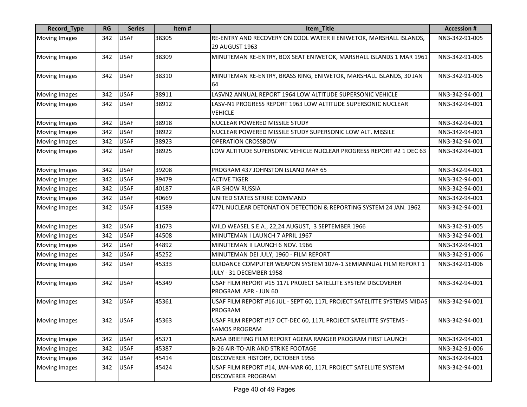| Record_Type          | <b>RG</b> | <b>Series</b> | Item# | Item_Title                                                                                   | <b>Accession #</b> |
|----------------------|-----------|---------------|-------|----------------------------------------------------------------------------------------------|--------------------|
| <b>Moving Images</b> | 342       | <b>USAF</b>   | 38305 | RE-ENTRY AND RECOVERY ON COOL WATER II ENIWETOK, MARSHALL ISLANDS,<br>29 AUGUST 1963         | NN3-342-91-005     |
| <b>Moving Images</b> | 342       | <b>USAF</b>   | 38309 | MINUTEMAN RE-ENTRY, BOX SEAT ENIWETOK, MARSHALL ISLANDS 1 MAR 1961                           | NN3-342-91-005     |
| <b>Moving Images</b> | 342       | <b>USAF</b>   | 38310 | MINUTEMAN RE-ENTRY, BRASS RING, ENIWETOK, MARSHALL ISLANDS, 30 JAN<br>64                     | NN3-342-91-005     |
| <b>Moving Images</b> | 342       | <b>USAF</b>   | 38911 | LASVN2 ANNUAL REPORT 1964 LOW ALTITUDE SUPERSONIC VEHICLE                                    | NN3-342-94-001     |
| <b>Moving Images</b> | 342       | <b>USAF</b>   | 38912 | LASV-N1 PROGRESS REPORT 1963 LOW ALTITUDE SUPERSONIC NUCLEAR<br><b>VEHICLE</b>               | NN3-342-94-001     |
| <b>Moving Images</b> | 342       | <b>USAF</b>   | 38918 | NUCLEAR POWERED MISSILE STUDY                                                                | NN3-342-94-001     |
| Moving Images        | 342       | <b>USAF</b>   | 38922 | NUCLEAR POWERED MISSILE STUDY SUPERSONIC LOW ALT. MISSILE                                    | NN3-342-94-001     |
| <b>Moving Images</b> | 342       | <b>USAF</b>   | 38923 | <b>OPERATION CROSSBOW</b>                                                                    | NN3-342-94-001     |
| Moving Images        | 342       | <b>USAF</b>   | 38925 | LOW ALTITUDE SUPERSONIC VEHICLE NUCLEAR PROGRESS REPORT #2 1 DEC 63                          | NN3-342-94-001     |
| <b>Moving Images</b> | 342       | <b>USAF</b>   | 39208 | PROGRAM 437 JOHNSTON ISLAND MAY 65                                                           | NN3-342-94-001     |
| <b>Moving Images</b> | 342       | <b>USAF</b>   | 39479 | <b>ACTIVE TIGER</b>                                                                          | NN3-342-94-001     |
| <b>Moving Images</b> | 342       | <b>USAF</b>   | 40187 | <b>AIR SHOW RUSSIA</b>                                                                       | NN3-342-94-001     |
| <b>Moving Images</b> | 342       | <b>USAF</b>   | 40669 | UNITED STATES STRIKE COMMAND                                                                 | NN3-342-94-001     |
| <b>Moving Images</b> | 342       | <b>USAF</b>   | 41589 | 477L NUCLEAR DETONATION DETECTION & REPORTING SYSTEM 24 JAN. 1962                            | NN3-342-94-001     |
| Moving Images        | 342       | <b>USAF</b>   | 41673 | WILD WEASEL S.E.A., 22,24 AUGUST, 3 SEPTEMBER 1966                                           | NN3-342-91-005     |
| Moving Images        | 342       | <b>USAF</b>   | 44508 | MINUTEMAN I LAUNCH 7 APRIL 1967                                                              | NN3-342-94-001     |
| <b>Moving Images</b> | 342       | <b>USAF</b>   | 44892 | MINUTEMAN II LAUNCH 6 NOV. 1966                                                              | NN3-342-94-001     |
| <b>Moving Images</b> | 342       | <b>USAF</b>   | 45252 | MINUTEMAN DEI JULY, 1960 - FILM REPORT                                                       | NN3-342-91-006     |
| Moving Images        | 342       | <b>USAF</b>   | 45333 | GUIDANCE COMPUTER WEAPON SYSTEM 107A-1 SEMIANNUAL FILM REPORT 1<br>JULY - 31 DECEMBER 1958   | NN3-342-91-006     |
| <b>Moving Images</b> | 342       | <b>USAF</b>   | 45349 | USAF FILM REPORT #15 117L PROJECT SATELLITE SYSTEM DISCOVERER<br>PROGRAM APR - JUN 60        | NN3-342-94-001     |
| <b>Moving Images</b> | 342       | <b>USAF</b>   | 45361 | USAF FILM REPORT #16 JUL - SEPT 60, 117L PROJECT SATELITTE SYSTEMS MIDAS<br>PROGRAM          | NN3-342-94-001     |
| <b>Moving Images</b> | 342       | <b>USAF</b>   | 45363 | USAF FILM REPORT #17 OCT-DEC 60, 117L PROJECT SATELITTE SYSTEMS -<br><b>SAMOS PROGRAM</b>    | NN3-342-94-001     |
| <b>Moving Images</b> | 342       | <b>USAF</b>   | 45371 | NASA BRIEFING FILM REPORT AGENA RANGER PROGRAM FIRST LAUNCH                                  | NN3-342-94-001     |
| <b>Moving Images</b> | 342       | <b>USAF</b>   | 45387 | B-26 AIR-TO-AIR AND STRIKE FOOTAGE                                                           | NN3-342-91-006     |
| <b>Moving Images</b> | 342       | <b>USAF</b>   | 45414 | DISCOVERER HISTORY, OCTOBER 1956                                                             | NN3-342-94-001     |
| <b>Moving Images</b> | 342       | <b>USAF</b>   | 45424 | USAF FILM REPORT #14, JAN-MAR 60, 117L PROJECT SATELLITE SYSTEM<br><b>DISCOVERER PROGRAM</b> | NN3-342-94-001     |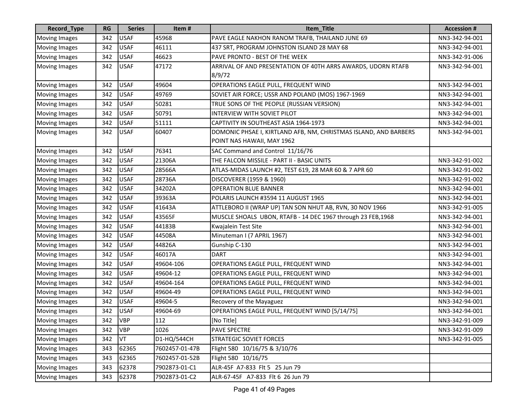| Record_Type          | <b>RG</b> | <b>Series</b> | Item#          | Item_Title                                                       | <b>Accession #</b> |
|----------------------|-----------|---------------|----------------|------------------------------------------------------------------|--------------------|
| <b>Moving Images</b> | 342       | <b>USAF</b>   | 45968          | PAVE EAGLE NAKHON RANOM TRAFB, THAILAND JUNE 69                  | NN3-342-94-001     |
| Moving Images        | 342       | <b>USAF</b>   | 46111          | 437 SRT, PROGRAM JOHNSTON ISLAND 28 MAY 68                       | NN3-342-94-001     |
| <b>Moving Images</b> | 342       | <b>USAF</b>   | 46623          | PAVE PRONTO - BEST OF THE WEEK                                   | NN3-342-91-006     |
| <b>Moving Images</b> | 342       | <b>USAF</b>   | 47172          | ARRIVAL OF AND PRESENTATION OF 40TH ARRS AWARDS, UDORN RTAFB     | NN3-342-94-001     |
|                      |           |               |                | 8/9/72                                                           |                    |
| <b>Moving Images</b> | 342       | <b>USAF</b>   | 49604          | OPERATIONS EAGLE PULL, FREQUENT WIND                             | NN3-342-94-001     |
| <b>Moving Images</b> | 342       | <b>USAF</b>   | 49769          | SOVIET AIR FORCE; USSR AND POLAND (MOS) 1967-1969                | NN3-342-94-001     |
| Moving Images        | 342       | <b>USAF</b>   | 50281          | TRUE SONS OF THE PEOPLE (RUSSIAN VERSION)                        | NN3-342-94-001     |
| <b>Moving Images</b> | 342       | <b>USAF</b>   | 50791          | INTERVIEW WITH SOVIET PILOT                                      | NN3-342-94-001     |
| Moving Images        | 342       | <b>USAF</b>   | 51111          | CAPTIVITY IN SOUTHEAST ASIA 1964-1973                            | NN3-342-94-001     |
| <b>Moving Images</b> | 342       | <b>USAF</b>   | 60407          | DOMONIC PHSAE I, KIRTLAND AFB, NM, CHRISTMAS ISLAND, AND BARBERS | NN3-342-94-001     |
|                      |           |               |                | POINT NAS HAWAII, MAY 1962                                       |                    |
| <b>Moving Images</b> | 342       | <b>USAF</b>   | 76341          | SAC Command and Control 11/16/76                                 |                    |
| <b>Moving Images</b> | 342       | <b>USAF</b>   | 21306A         | THE FALCON MISSILE - PART II - BASIC UNITS                       | NN3-342-91-002     |
| <b>Moving Images</b> | 342       | <b>USAF</b>   | 28566A         | ATLAS-MIDAS LAUNCH #2, TEST 619, 28 MAR 60 & 7 APR 60            | NN3-342-91-002     |
| <b>Moving Images</b> | 342       | <b>USAF</b>   | 28736A         | DISCOVERER (1959 & 1960)                                         | NN3-342-91-002     |
| <b>Moving Images</b> | 342       | <b>USAF</b>   | 34202A         | <b>OPERATION BLUE BANNER</b>                                     | NN3-342-94-001     |
| <b>Moving Images</b> | 342       | <b>USAF</b>   | 39363A         | POLARIS LAUNCH #3594 11 AUGUST 1965                              | NN3-342-94-001     |
| <b>Moving Images</b> | 342       | <b>USAF</b>   | 41643A         | ATTLEBORO II (WRAP UP) TAN SON NHUT AB, RVN, 30 NOV 1966         | NN3-342-91-005     |
| <b>Moving Images</b> | 342       | <b>USAF</b>   | 43565F         | MUSCLE SHOALS UBON, RTAFB - 14 DEC 1967 through 23 FEB, 1968     | NN3-342-94-001     |
| <b>Moving Images</b> | 342       | <b>USAF</b>   | 44183B         | Kwajalein Test Site                                              | NN3-342-94-001     |
| <b>Moving Images</b> | 342       | <b>USAF</b>   | 44508A         | Minuteman I (7 APRIL 1967)                                       | NN3-342-94-001     |
| <b>Moving Images</b> | 342       | <b>USAF</b>   | 44826A         | Gunship C-130                                                    | NN3-342-94-001     |
| <b>Moving Images</b> | 342       | <b>USAF</b>   | 46017A         | <b>DART</b>                                                      | NN3-342-94-001     |
| <b>Moving Images</b> | 342       | <b>USAF</b>   | 49604-106      | OPERATIONS EAGLE PULL, FREQUENT WIND                             | NN3-342-94-001     |
| <b>Moving Images</b> | 342       | <b>USAF</b>   | 49604-12       | <b>OPERATIONS EAGLE PULL, FREQUENT WIND</b>                      | NN3-342-94-001     |
| <b>Moving Images</b> | 342       | <b>USAF</b>   | 49604-164      | OPERATIONS EAGLE PULL, FREQUENT WIND                             | NN3-342-94-001     |
| <b>Moving Images</b> | 342       | <b>USAF</b>   | 49604-49       | OPERATIONS EAGLE PULL, FREQUENT WIND                             | NN3-342-94-001     |
| <b>Moving Images</b> | 342       | <b>USAF</b>   | 49604-5        | Recovery of the Mayaguez                                         | NN3-342-94-001     |
| <b>Moving Images</b> | 342       | <b>USAF</b>   | 49604-69       | OPERATIONS EAGLE PULL, FREQUENT WIND [5/14/75]                   | NN3-342-94-001     |
| Moving Images        | 342 VBP   |               | 112            | [No Title]                                                       | NN3-342-91-009     |
| <b>Moving Images</b> | 342       | <b>VBP</b>    | 1026           | <b>PAVE SPECTRE</b>                                              | NN3-342-91-009     |
| <b>Moving Images</b> | 342       | VT            | D1-HQ/544CH    | <b>STRATEGIC SOVIET FORCES</b>                                   | NN3-342-91-005     |
| Moving Images        | 343       | 62365         | 7602457-01-47B | Flight 580 10/16/75 & 3/10/76                                    |                    |
| <b>Moving Images</b> | 343       | 62365         | 7602457-01-52B | Flight 580 10/16/75                                              |                    |
| <b>Moving Images</b> | 343       | 62378         | 7902873-01-C1  | ALR-45F A7-833 Flt 5 25 Jun 79                                   |                    |
| <b>Moving Images</b> | 343       | 62378         | 7902873-01-C2  | ALR-67-45F A7-833 Flt 6 26 Jun 79                                |                    |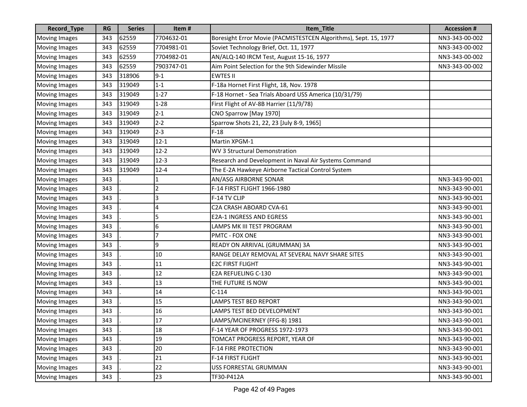| Record_Type          | <b>RG</b> | <b>Series</b> | Item#      | Item_Title                                                       | <b>Accession #</b> |
|----------------------|-----------|---------------|------------|------------------------------------------------------------------|--------------------|
| <b>Moving Images</b> | 343       | 62559         | 7704632-01 | Boresight Error Movie (PACMISTESTCEN Algorithms), Sept. 15, 1977 | NN3-343-00-002     |
| <b>Moving Images</b> | 343       | 62559         | 7704981-01 | Soviet Technology Brief, Oct. 11, 1977                           | NN3-343-00-002     |
| <b>Moving Images</b> | 343       | 62559         | 7704982-01 | AN/ALQ-140 IRCM Test, August 15-16, 1977                         | NN3-343-00-002     |
| <b>Moving Images</b> | 343       | 62559         | 7903747-01 | Aim Point Selection for the 9th Sidewinder Missile               | NN3-343-00-002     |
| <b>Moving Images</b> | 343       | 318906        | $9 - 1$    | <b>EWTES II</b>                                                  |                    |
| <b>Moving Images</b> | 343       | 319049        | $1 - 1$    | F-18a Hornet First Flight, 18, Nov. 1978                         |                    |
| <b>Moving Images</b> | 343       | 319049        | $1 - 27$   | F-18 Hornet - Sea Trials Aboard USS America (10/31/79)           |                    |
| <b>Moving Images</b> | 343       | 319049        | $1 - 28$   | First Flight of AV-8B Harrier (11/9/78)                          |                    |
| <b>Moving Images</b> | 343       | 319049        | $2 - 1$    | CNO Sparrow [May 1970]                                           |                    |
| <b>Moving Images</b> | 343       | 319049        | $2 - 2$    | Sparrow Shots 21, 22, 23 [July 8-9, 1965]                        |                    |
| <b>Moving Images</b> | 343       | 319049        | $2 - 3$    | $F-18$                                                           |                    |
| <b>Moving Images</b> | 343       | 319049        | $12 - 1$   | Martin XPGM-1                                                    |                    |
| <b>Moving Images</b> | 343       | 319049        | $12-2$     | WV 3 Structural Demonstration                                    |                    |
| <b>Moving Images</b> | 343       | 319049        | $12-3$     | Research and Development in Naval Air Systems Command            |                    |
| <b>Moving Images</b> | 343       | 319049        | $12 - 4$   | The E-2A Hawkeye Airborne Tactical Control System                |                    |
| <b>Moving Images</b> | 343       |               |            | AN/ASG AIRBORNE SONAR                                            | NN3-343-90-001     |
| <b>Moving Images</b> | 343       |               | 2          | F-14 FIRST FLIGHT 1966-1980                                      | NN3-343-90-001     |
| <b>Moving Images</b> | 343       |               | 3          | F-14 TV CLIP                                                     | NN3-343-90-001     |
| <b>Moving Images</b> | 343       |               | 4          | C2A CRASH ABOARD CVA-61                                          | NN3-343-90-001     |
| <b>Moving Images</b> | 343       |               | 5          | <b>E2A-1 INGRESS AND EGRESS</b>                                  | NN3-343-90-001     |
| <b>Moving Images</b> | 343       |               | 6          | LAMPS MK III TEST PROGRAM                                        | NN3-343-90-001     |
| <b>Moving Images</b> | 343       |               | 7          | PMTC - FOX ONE                                                   | NN3-343-90-001     |
| <b>Moving Images</b> | 343       |               | 9          | READY ON ARRIVAL (GRUMMAN) 3A                                    | NN3-343-90-001     |
| <b>Moving Images</b> | 343       |               | 10         | RANGE DELAY REMOVAL AT SEVERAL NAVY SHARE SITES                  | NN3-343-90-001     |
| <b>Moving Images</b> | 343       |               | 11         | <b>E2C FIRST FLIGHT</b>                                          | NN3-343-90-001     |
| <b>Moving Images</b> | 343       |               | 12         | <b>E2A REFUELING C-130</b>                                       | NN3-343-90-001     |
| <b>Moving Images</b> | 343       |               | 13         | THE FUTURE IS NOW                                                | NN3-343-90-001     |
| <b>Moving Images</b> | 343       |               | 14         | $C-114$                                                          | NN3-343-90-001     |
| <b>Moving Images</b> | 343       |               | 15         | <b>LAMPS TEST BED REPORT</b>                                     | NN3-343-90-001     |
| <b>Moving Images</b> | 343       |               | 16         | LAMPS TEST BED DEVELOPMENT                                       | NN3-343-90-001     |
| Moving Images        | 343       |               | 17         | LAMPS/MCINERNEY (FFG-8) 1981                                     | NN3-343-90-001     |
| <b>Moving Images</b> | 343       |               | 18         | F-14 YEAR OF PROGRESS 1972-1973                                  | NN3-343-90-001     |
| <b>Moving Images</b> | 343       |               | 19         | TOMCAT PROGRESS REPORT, YEAR OF                                  | NN3-343-90-001     |
| <b>Moving Images</b> | 343       |               | 20         | <b>F-14 FIRE PROTECTION</b>                                      | NN3-343-90-001     |
| <b>Moving Images</b> | 343       |               | 21         | F-14 FIRST FLIGHT                                                | NN3-343-90-001     |
| <b>Moving Images</b> | 343       |               | 22         | USS FORRESTAL GRUMMAN                                            | NN3-343-90-001     |
| <b>Moving Images</b> | 343       |               | 23         | TF30-P412A                                                       | NN3-343-90-001     |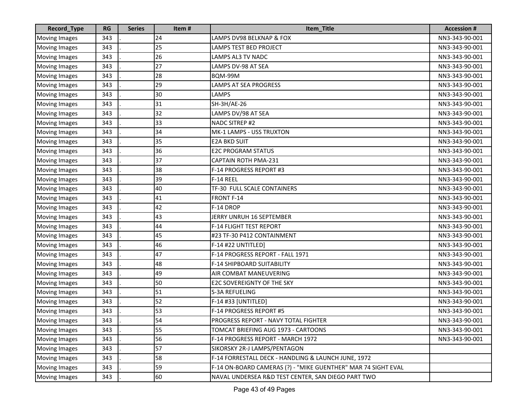| Record_Type          | <b>RG</b> | <b>Series</b> | Item# | Item_Title                                                    | <b>Accession #</b> |
|----------------------|-----------|---------------|-------|---------------------------------------------------------------|--------------------|
| <b>Moving Images</b> | 343       |               | 24    | LAMPS DV98 BELKNAP & FOX                                      | NN3-343-90-001     |
| <b>Moving Images</b> | 343       |               | 25    | <b>LAMPS TEST BED PROJECT</b>                                 | NN3-343-90-001     |
| <b>Moving Images</b> | 343       |               | 26    | LAMPS AL3 TV NADC                                             | NN3-343-90-001     |
| Moving Images        | 343       |               | 27    | LAMPS DV-98 AT SEA                                            | NN3-343-90-001     |
| <b>Moving Images</b> | 343       |               | 28    | BQM-99M                                                       | NN3-343-90-001     |
| <b>Moving Images</b> | 343       |               | 29    | LAMPS AT SEA PROGRESS                                         | NN3-343-90-001     |
| <b>Moving Images</b> | 343       |               | 30    | <b>LAMPS</b>                                                  | NN3-343-90-001     |
| <b>Moving Images</b> | 343       |               | 31    | SH-3H/AE-26                                                   | NN3-343-90-001     |
| <b>Moving Images</b> | 343       |               | 32    | LAMPS DV/98 AT SEA                                            | NN3-343-90-001     |
| <b>Moving Images</b> | 343       |               | 33    | <b>NADC SITREP #2</b>                                         | NN3-343-90-001     |
| <b>Moving Images</b> | 343       |               | 34    | MK-1 LAMPS - USS TRUXTON                                      | NN3-343-90-001     |
| <b>Moving Images</b> | 343       |               | 35    | <b>E2A BKD SUIT</b>                                           | NN3-343-90-001     |
| <b>Moving Images</b> | 343       |               | 36    | <b>E2C PROGRAM STATUS</b>                                     | NN3-343-90-001     |
| <b>Moving Images</b> | 343       |               | 37    | <b>CAPTAIN ROTH PMA-231</b>                                   | NN3-343-90-001     |
| <b>Moving Images</b> | 343       |               | 38    | F-14 PROGRESS REPORT #3                                       | NN3-343-90-001     |
| <b>Moving Images</b> | 343       |               | 39    | F-14 REEL                                                     | NN3-343-90-001     |
| <b>Moving Images</b> | 343       |               | 40    | TF-30 FULL SCALE CONTAINERS                                   | NN3-343-90-001     |
| <b>Moving Images</b> | 343       |               | 41    | <b>FRONT F-14</b>                                             | NN3-343-90-001     |
| <b>Moving Images</b> | 343       |               | 42    | F-14 DROP                                                     | NN3-343-90-001     |
| Moving Images        | 343       |               | 43    | JERRY UNRUH 16 SEPTEMBER                                      | NN3-343-90-001     |
| <b>Moving Images</b> | 343       |               | 44    | F-14 FLIGHT TEST REPORT                                       | NN3-343-90-001     |
| <b>Moving Images</b> | 343       |               | 45    | #23 TF-30 P412 CONTAINMENT                                    | NN3-343-90-001     |
| <b>Moving Images</b> | 343       |               | 46    | F-14 #22 UNTITLED]                                            | NN3-343-90-001     |
| <b>Moving Images</b> | 343       |               | 47    | F-14 PROGRESS REPORT - FALL 1971                              | NN3-343-90-001     |
| <b>Moving Images</b> | 343       |               | 48    | F-14 SHIPBOARD SUITABILITY                                    | NN3-343-90-001     |
| <b>Moving Images</b> | 343       |               | 49    | AIR COMBAT MANEUVERING                                        | NN3-343-90-001     |
| <b>Moving Images</b> | 343       |               | 50    | <b>E2C SOVEREIGNTY OF THE SKY</b>                             | NN3-343-90-001     |
| <b>Moving Images</b> | 343       |               | 51    | <b>S-3A REFUELING</b>                                         | NN3-343-90-001     |
| <b>Moving Images</b> | 343       |               | 52    | F-14 #33 [UNTITLED]                                           | NN3-343-90-001     |
| <b>Moving Images</b> | 343       |               | 53    | F-14 PROGRESS REPORT #5                                       | NN3-343-90-001     |
| Moving Images        | 343       |               | 54    | PROGRESS REPORT - NAVY TOTAL FIGHTER                          | NN3-343-90-001     |
| <b>Moving Images</b> | 343       |               | 55    | TOMCAT BRIEFING AUG 1973 - CARTOONS                           | NN3-343-90-001     |
| <b>Moving Images</b> | 343       |               | 56    | F-14 PROGRESS REPORT - MARCH 1972                             | NN3-343-90-001     |
| <b>Moving Images</b> | 343       |               | 57    | SIKORSKY 2R-J LAMPS/PENTAGON                                  |                    |
| <b>Moving Images</b> | 343       |               | 58    | F-14 FORRESTALL DECK - HANDLING & LAUNCH JUNE, 1972           |                    |
| <b>Moving Images</b> | 343       |               | 59    | F-14 ON-BOARD CAMERAS (?) - "MIKE GUENTHER" MAR 74 SIGHT EVAL |                    |
| <b>Moving Images</b> | 343       |               | 60    | NAVAL UNDERSEA R&D TEST CENTER, SAN DIEGO PART TWO            |                    |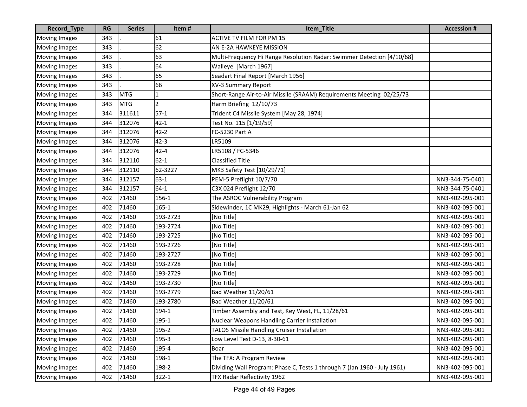| Record_Type          | <b>RG</b> | <b>Series</b> | Item#     | Item_Title                                                               | <b>Accession#</b> |
|----------------------|-----------|---------------|-----------|--------------------------------------------------------------------------|-------------------|
| Moving Images        | 343       |               | 61        | <b>ACTIVE TV FILM FOR PM 15</b>                                          |                   |
| <b>Moving Images</b> | 343       |               | 62        | AN E-2A HAWKEYE MISSION                                                  |                   |
| <b>Moving Images</b> | 343       |               | 63        | Multi-Frequency Hi Range Resolution Radar: Swimmer Detection [4/10/68]   |                   |
| <b>Moving Images</b> | 343       |               | 64        | Walleye [March 1967]                                                     |                   |
| <b>Moving Images</b> | 343       |               | 65        | Seadart Final Report [March 1956]                                        |                   |
| <b>Moving Images</b> | 343       |               | 66        | XV-3 Summary Report                                                      |                   |
| <b>Moving Images</b> | 343       | <b>MTG</b>    |           | Short-Range Air-to-Air Missile (SRAAM) Requirements Meeting 02/25/73     |                   |
| <b>Moving Images</b> | 343       | <b>MTG</b>    | 2         | Harm Briefing 12/10/73                                                   |                   |
| <b>Moving Images</b> | 344       | 311611        | $57-1$    | Trident C4 Missile System [May 28, 1974]                                 |                   |
| <b>Moving Images</b> | 344       | 312076        | $42 - 1$  | Test No. 115 [1/19/59]                                                   |                   |
| <b>Moving Images</b> | 344       | 312076        | $42 - 2$  | FC-5230 Part A                                                           |                   |
| <b>Moving Images</b> | 344       | 312076        | $42 - 3$  | LR5109                                                                   |                   |
| <b>Moving Images</b> | 344       | 312076        | $42 - 4$  | LR5108 / FC-5346                                                         |                   |
| <b>Moving Images</b> | 344       | 312110        | $62 - 1$  | <b>Classified Title</b>                                                  |                   |
| <b>Moving Images</b> | 344       | 312110        | 62-3227   | MK3 Safety Test [10/29/71]                                               |                   |
| <b>Moving Images</b> | 344       | 312157        | $63-1$    | PEM-5 Preflight 10/7/70                                                  | NN3-344-75-0401   |
| <b>Moving Images</b> | 344       | 312157        | $64-1$    | C3X 024 Preflight 12/70                                                  | NN3-344-75-0401   |
| <b>Moving Images</b> | 402       | 71460         | 156-1     | The ASROC Vulnerability Program                                          | NN3-402-095-001   |
| <b>Moving Images</b> | 402       | 71460         | $165 - 1$ | Sidewinder, 1C MK29, Highlights - March 61-Jan 62                        | NN3-402-095-001   |
| <b>Moving Images</b> | 402       | 71460         | 193-2723  | [No Title]                                                               | NN3-402-095-001   |
| <b>Moving Images</b> | 402       | 71460         | 193-2724  | [No Title]                                                               | NN3-402-095-001   |
| <b>Moving Images</b> | 402       | 71460         | 193-2725  | [No Title]                                                               | NN3-402-095-001   |
| <b>Moving Images</b> | 402       | 71460         | 193-2726  | [No Title]                                                               | NN3-402-095-001   |
| <b>Moving Images</b> | 402       | 71460         | 193-2727  | [No Title]                                                               | NN3-402-095-001   |
| <b>Moving Images</b> | 402       | 71460         | 193-2728  | [No Title]                                                               | NN3-402-095-001   |
| Moving Images        | 402       | 71460         | 193-2729  | [No Title]                                                               | NN3-402-095-001   |
| <b>Moving Images</b> | 402       | 71460         | 193-2730  | [No Title]                                                               | NN3-402-095-001   |
| <b>Moving Images</b> | 402       | 71460         | 193-2779  | Bad Weather 11/20/61                                                     | NN3-402-095-001   |
| <b>Moving Images</b> | 402       | 71460         | 193-2780  | <b>Bad Weather 11/20/61</b>                                              | NN3-402-095-001   |
| Moving Images        | 402       | 71460         | 194-1     | Timber Assembly and Test, Key West, FL, 11/28/61                         | NN3-402-095-001   |
| Moving Images        | 402       | 71460         | 195-1     | Nuclear Weapons Handling Carrier Installation                            | NN3-402-095-001   |
| <b>Moving Images</b> | 402       | 71460         | 195-2     | TALOS Missile Handling Cruiser Installation                              | NN3-402-095-001   |
| <b>Moving Images</b> | 402       | 71460         | 195-3     | Low Level Test D-13, 8-30-61                                             | NN3-402-095-001   |
| <b>Moving Images</b> | 402       | 71460         | 195-4     | Boar                                                                     | NN3-402-095-001   |
| <b>Moving Images</b> | 402       | 71460         | 198-1     | The TFX: A Program Review                                                | NN3-402-095-001   |
| <b>Moving Images</b> | 402       | 71460         | 198-2     | Dividing Wall Program: Phase C, Tests 1 through 7 (Jan 1960 - July 1961) | NN3-402-095-001   |
| <b>Moving Images</b> | 402       | 71460         | $322 - 1$ | TFX Radar Reflectivity 1962                                              | NN3-402-095-001   |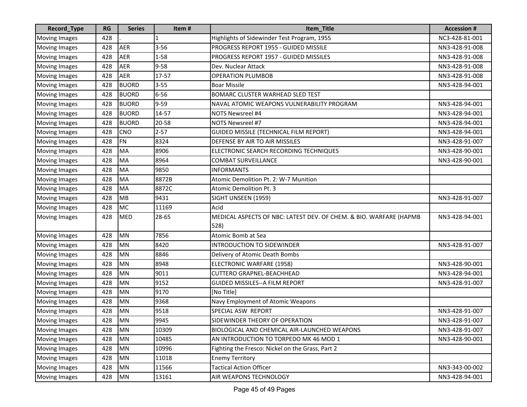| Record_Type          | <b>RG</b> | <b>Series</b> | Item#    | Item_Title                                                         | <b>Accession#</b> |
|----------------------|-----------|---------------|----------|--------------------------------------------------------------------|-------------------|
| <b>Moving Images</b> | 428       |               |          | Highlights of Sidewinder Test Program, 1955                        | NC3-428-81-001    |
| <b>Moving Images</b> | 428       | <b>AER</b>    | $3 - 56$ | PROGRESS REPORT 1955 - GUIDED MISSILE                              | NN3-428-91-008    |
| <b>Moving Images</b> | 428       | <b>AER</b>    | $1 - 58$ | PROGRESS REPORT 1957 - GUIDED MISSILES                             | NN3-428-91-008    |
| <b>Moving Images</b> | 428       | <b>AER</b>    | $9 - 58$ | Dev. Nuclear Attack                                                | NN3-428-91-008    |
| <b>Moving Images</b> | 428       | <b>AER</b>    | 17-57    | <b>OPERATION PLUMBOB</b>                                           | NN3-428-91-008    |
| <b>Moving Images</b> | 428       | <b>BUORD</b>  | $3 - 55$ | <b>Boar Missile</b>                                                | NN3-428-94-001    |
| <b>Moving Images</b> | 428       | <b>BUORD</b>  | $6 - 56$ | <b>BOMARC CLUSTER WARHEAD SLED TEST</b>                            |                   |
| <b>Moving Images</b> | 428       | <b>BUORD</b>  | $9 - 59$ | NAVAL ATOMIC WEAPONS VULNERABILITY PROGRAM                         | NN3-428-94-001    |
| <b>Moving Images</b> | 428       | <b>BUORD</b>  | 14-57    | NOTS Newsreel #4                                                   | NN3-428-94-001    |
| <b>Moving Images</b> | 428       | <b>BUORD</b>  | 20-58    | <b>NOTS Newsreel #7</b>                                            | NN3-428-94-001    |
| <b>Moving Images</b> | 428       | <b>CNO</b>    | $2 - 57$ | GUIDED MISSILE (TECHNICAL FILM REPORT)                             | NN3-428-94-001    |
| <b>Moving Images</b> | 428       | <b>FN</b>     | 8324     | DEFENSE BY AIR TO AIR MISSILES                                     | NN3-428-91-007    |
| <b>Moving Images</b> | 428       | <b>MA</b>     | 8906     | ELECTRONIC SEARCH RECORDING TECHNIQUES                             | NN3-428-90-001    |
| <b>Moving Images</b> | 428       | <b>MA</b>     | 8964     | <b>COMBAT SURVEILLANCE</b>                                         | NN3-428-90-001    |
| <b>Moving Images</b> | 428       | <b>MA</b>     | 9850     | <b>INFORMANTS</b>                                                  |                   |
| <b>Moving Images</b> | 428       | <b>MA</b>     | 8872B    | Atomic Demolition Pt. 2: W-7 Munition                              |                   |
| <b>Moving Images</b> | 428       | <b>MA</b>     | 8872C    | Atomic Demolition Pt. 3                                            |                   |
| <b>Moving Images</b> | 428       | <b>MB</b>     | 9431     | SIGHT UNSEEN (1959)                                                | NN3-428-91-007    |
| <b>Moving Images</b> | 428       | <b>MC</b>     | 11169    | Acid                                                               |                   |
| <b>Moving Images</b> | 428       | MED           | 28-65    | MEDICAL ASPECTS OF NBC: LATEST DEV. OF CHEM. & BIO. WARFARE (HAPMB | NN3-428-94-001    |
|                      |           |               |          | 528)                                                               |                   |
| <b>Moving Images</b> | 428       | <b>MN</b>     | 7856     | Atomic Bomb at Sea                                                 |                   |
| <b>Moving Images</b> | 428       | <b>MN</b>     | 8420     | <b>INTRODUCTION TO SIDEWINDER</b>                                  | NN3-428-91-007    |
| <b>Moving Images</b> | 428       | <b>MN</b>     | 8846     | Delivery of Atomic Death Bombs                                     |                   |
| <b>Moving Images</b> | 428       | <b>MN</b>     | 8948     | ELECTRONIC WARFARE (1958)                                          | NN3-428-90-001    |
| <b>Moving Images</b> | 428       | <b>MN</b>     | 9011     | <b>CUTTERO GRAPNEL-BEACHHEAD</b>                                   | NN3-428-94-001    |
| <b>Moving Images</b> | 428       | <b>MN</b>     | 9152     | GUIDED MISSILES--A FILM REPORT                                     | NN3-428-91-007    |
| <b>Moving Images</b> | 428       | <b>MN</b>     | 9170     | [No Title]                                                         |                   |
| <b>Moving Images</b> | 428       | <b>MN</b>     | 9368     | Navy Employment of Atomic Weapons                                  |                   |
| <b>Moving Images</b> | 428       | MN            | 9518     | SPECIAL ASW REPORT                                                 | NN3-428-91-007    |
| Moving Images        | 428       | MN            | 9945     | SIDEWINDER THEORY OF OPERATION                                     | NN3-428-91-007    |
| <b>Moving Images</b> | 428       | <b>MN</b>     | 10309    | BIOLOGICAL AND CHEMICAL AIR-LAUNCHED WEAPONS                       | NN3-428-91-007    |
| <b>Moving Images</b> | 428       | MN            | 10485    | AN INTRODUCTION TO TORPEDO MK 46 MOD 1                             | NN3-428-90-001    |
| <b>Moving Images</b> | 428       | MN            | 10996    | Fighting the Fresco: Nickel on the Grass, Part 2                   |                   |
| <b>Moving Images</b> | 428       | MN            | 11018    | <b>Enemy Territory</b>                                             |                   |
| <b>Moving Images</b> | 428       | MN            | 11566    | <b>Tactical Action Officer</b>                                     | NN3-343-00-002    |
| <b>Moving Images</b> | 428       | <b>MN</b>     | 13161    | AIR WEAPONS TECHNOLOGY                                             | NN3-428-94-001    |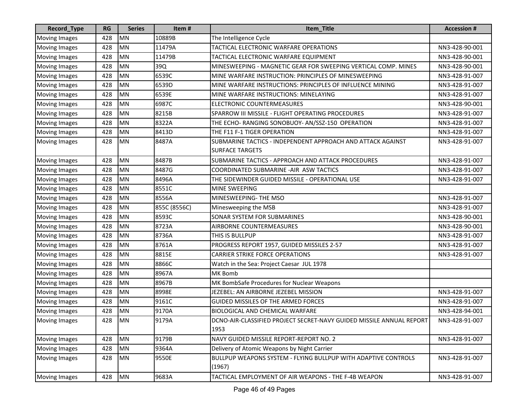| Record_Type          | <b>RG</b> | <b>Series</b> | Item#        | Item_Title                                                                   | <b>Accession#</b> |
|----------------------|-----------|---------------|--------------|------------------------------------------------------------------------------|-------------------|
| <b>Moving Images</b> | 428       | <b>MN</b>     | 10889B       | The Intelligence Cycle                                                       |                   |
| <b>Moving Images</b> | 428       | <b>MN</b>     | 11479A       | TACTICAL ELECTRONIC WARFARE OPERATIONS                                       | NN3-428-90-001    |
| <b>Moving Images</b> | 428       | MN            | 11479B       | TACTICAL ELECTRONIC WARFARE EQUIPMENT                                        | NN3-428-90-001    |
| <b>Moving Images</b> | 428       | <b>MN</b>     | 39Q          | MINESWEEPING - MAGNETIC GEAR FOR SWEEPING VERTICAL COMP. MINES               | NN3-428-90-001    |
| <b>Moving Images</b> | 428       | <b>MN</b>     | 6539C        | MINE WARFARE INSTRUCTION: PRINCIPLES OF MINESWEEPING                         | NN3-428-91-007    |
| <b>Moving Images</b> | 428       | <b>MN</b>     | 6539D        | MINE WARFARE INSTRUCTIONS: PRINCIPLES OF INFLUENCE MINING                    | NN3-428-91-007    |
| <b>Moving Images</b> | 428       | <b>MN</b>     | 6539E        | MINE WARFARE INSTRUCTIONS: MINELAYING                                        | NN3-428-91-007    |
| <b>Moving Images</b> | 428       | <b>MN</b>     | 6987C        | ELECTRONIC COUNTERMEASURES                                                   | NN3-428-90-001    |
| <b>Moving Images</b> | 428       | <b>MN</b>     | 8215B        | SPARROW III MISSILE - FLIGHT OPERATING PROCEDURES                            | NN3-428-91-007    |
| Moving Images        | 428       | <b>MN</b>     | 8322A        | THE ECHO- RANGING SONOBUOY- AN/SSZ-150 OPERATION                             | NN3-428-91-007    |
| <b>Moving Images</b> | 428       | <b>MN</b>     | 8413D        | THE F11 F-1 TIGER OPERATION                                                  | NN3-428-91-007    |
| <b>Moving Images</b> | 428       | <b>MN</b>     | 8487A        | SUBMARINE TACTICS - INDEPENDENT APPROACH AND ATTACK AGAINST                  | NN3-428-91-007    |
|                      |           |               |              | <b>SURFACE TARGETS</b>                                                       |                   |
| <b>Moving Images</b> | 428       | <b>MN</b>     | 8487B        | SUBMARINE TACTICS - APPROACH AND ATTACK PROCEDURES                           | NN3-428-91-007    |
| <b>Moving Images</b> | 428       | <b>MN</b>     | 8487G        | COORDINATED SUBMARINE - AIR ASW TACTICS                                      | NN3-428-91-007    |
| <b>Moving Images</b> | 428       | MN            | 8496A        | THE SIDEWINDER GUIDED MISSILE - OPERATIONAL USE                              | NN3-428-91-007    |
| <b>Moving Images</b> | 428       | <b>MN</b>     | 8551C        | <b>MINE SWEEPING</b>                                                         |                   |
| <b>Moving Images</b> | 428       | <b>MN</b>     | 8556A        | MINESWEEPING- THE MSO                                                        | NN3-428-91-007    |
| <b>Moving Images</b> | 428       | MN            | 855C (8556C) | Minesweeping the MSB                                                         | NN3-428-91-007    |
| <b>Moving Images</b> | 428       | <b>MN</b>     | 8593C        | <b>SONAR SYSTEM FOR SUBMARINES</b>                                           | NN3-428-90-001    |
| <b>Moving Images</b> | 428       | <b>MN</b>     | 8723A        | AIRBORNE COUNTERMEASURES                                                     | NN3-428-90-001    |
| <b>Moving Images</b> | 428       | <b>MN</b>     | 8736A        | THIS IS BULLPUP                                                              | NN3-428-91-007    |
| <b>Moving Images</b> | 428       | <b>MN</b>     | 8761A        | PROGRESS REPORT 1957, GUIDED MISSILES 2-57                                   | NN3-428-91-007    |
| <b>Moving Images</b> | 428       | <b>MN</b>     | 8815E        | <b>CARRIER STRIKE FORCE OPERATIONS</b>                                       | NN3-428-91-007    |
| <b>Moving Images</b> | 428       | <b>MN</b>     | 8866C        | Watch in the Sea: Project Caesar JUL 1978                                    |                   |
| <b>Moving Images</b> | 428       | <b>MN</b>     | 8967A        | <b>MK Bomb</b>                                                               |                   |
| <b>Moving Images</b> | 428       | MN            | 8967B        | MK BombSafe Procedures for Nuclear Weapons                                   |                   |
| <b>Moving Images</b> | 428       | <b>MN</b>     | 8998E        | JEZEBEL: AN AIRBORNE JEZEBEL MISSION                                         | NN3-428-91-007    |
| <b>Moving Images</b> | 428       | <b>MN</b>     | 9161C        | <b>GUIDED MISSILES OF THE ARMED FORCES</b>                                   | NN3-428-91-007    |
| <b>Moving Images</b> | 428       | <b>MN</b>     | 9170A        | <b>BIOLOGICAL AND CHEMICAL WARFARE</b>                                       | NN3-428-94-001    |
| <b>Moving Images</b> | 428       | MN            | 9179A        | DCNO-AIR-CLASSIFIED PROJECT SECRET-NAVY GUIDED MISSILE ANNUAL REPORT<br>1953 | NN3-428-91-007    |
| <b>Moving Images</b> | 428       | MN            | 9179B        | NAVY GUIDED MISSILE REPORT-REPORT NO. 2                                      | NN3-428-91-007    |
| <b>Moving Images</b> | 428       | <b>MN</b>     | 9364A        | Delivery of Atomic Weapons by Night Carrier                                  |                   |
| <b>Moving Images</b> | 428       | <b>MN</b>     | 9550E        | BULLPUP WEAPONS SYSTEM - FLYING BULLPUP WITH ADAPTIVE CONTROLS<br>(1967)     | NN3-428-91-007    |
| <b>Moving Images</b> | 428       | MN            | 9683A        | TACTICAL EMPLOYMENT OF AIR WEAPONS - THE F-4B WEAPON                         | NN3-428-91-007    |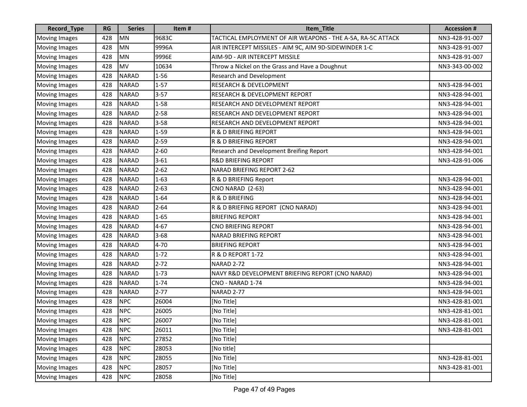| Record_Type          | <b>RG</b> | <b>Series</b> | Item#    | Item_Title                                                  | <b>Accession #</b> |
|----------------------|-----------|---------------|----------|-------------------------------------------------------------|--------------------|
| <b>Moving Images</b> | 428       | <b>MN</b>     | 9683C    | TACTICAL EMPLOYMENT OF AIR WEAPONS - THE A-5A, RA-5C ATTACK | NN3-428-91-007     |
| <b>Moving Images</b> | 428       | MN            | 9996A    | AIR INTERCEPT MISSILES - AIM 9C, AIM 9D-SIDEWINDER 1-C      | NN3-428-91-007     |
| <b>Moving Images</b> | 428       | <b>MN</b>     | 9996E    | AIM-9D - AIR INTERCEPT MISSILE                              | NN3-428-91-007     |
| <b>Moving Images</b> | 428       | <b>MV</b>     | 10634    | Throw a Nickel on the Grass and Have a Doughnut             | NN3-343-00-002     |
| <b>Moving Images</b> | 428       | <b>NARAD</b>  | $1 - 56$ | <b>Research and Development</b>                             |                    |
| <b>Moving Images</b> | 428       | <b>NARAD</b>  | $1 - 57$ | <b>RESEARCH &amp; DEVELOPMENT</b>                           | NN3-428-94-001     |
| <b>Moving Images</b> | 428       | <b>NARAD</b>  | $3 - 57$ | <b>RESEARCH &amp; DEVELOPMENT REPORT</b>                    | NN3-428-94-001     |
| <b>Moving Images</b> | 428       | <b>NARAD</b>  | $1 - 58$ | RESEARCH AND DEVELOPMENT REPORT                             | NN3-428-94-001     |
| <b>Moving Images</b> | 428       | <b>NARAD</b>  | $2 - 58$ | RESEARCH AND DEVELOPMENT REPORT                             | NN3-428-94-001     |
| <b>Moving Images</b> | 428       | <b>NARAD</b>  | $3 - 58$ | RESEARCH AND DEVELOPMENT REPORT                             | NN3-428-94-001     |
| <b>Moving Images</b> | 428       | <b>NARAD</b>  | $1 - 59$ | R & D BRIEFING REPORT                                       | NN3-428-94-001     |
| <b>Moving Images</b> | 428       | <b>NARAD</b>  | $2 - 59$ | R & D BRIEFING REPORT                                       | NN3-428-94-001     |
| <b>Moving Images</b> | 428       | <b>NARAD</b>  | $2 - 60$ | Research and Development Breifing Report                    | NN3-428-94-001     |
| <b>Moving Images</b> | 428       | <b>NARAD</b>  | $3 - 61$ | <b>R&amp;D BRIEFING REPORT</b>                              | NN3-428-91-006     |
| <b>Moving Images</b> | 428       | <b>NARAD</b>  | $2 - 62$ | NARAD BRIEFING REPORT 2-62                                  |                    |
| <b>Moving Images</b> | 428       | <b>NARAD</b>  | $1 - 63$ | R & D BRIEFING Report                                       | NN3-428-94-001     |
| Moving Images        | 428       | <b>NARAD</b>  | $2 - 63$ | <b>CNO NARAD (2-63)</b>                                     | NN3-428-94-001     |
| <b>Moving Images</b> | 428       | <b>NARAD</b>  | $1 - 64$ | R & D BRIEFING                                              | NN3-428-94-001     |
| <b>Moving Images</b> | 428       | <b>NARAD</b>  | $2 - 64$ | R & D BRIEFING REPORT (CNO NARAD)                           | NN3-428-94-001     |
| <b>Moving Images</b> | 428       | <b>NARAD</b>  | $1 - 65$ | <b>BRIEFING REPORT</b>                                      | NN3-428-94-001     |
| <b>Moving Images</b> | 428       | <b>NARAD</b>  | $4 - 67$ | <b>CNO BRIEFING REPORT</b>                                  | NN3-428-94-001     |
| <b>Moving Images</b> | 428       | <b>NARAD</b>  | $3 - 68$ | <b>NARAD BRIEFING REPORT</b>                                | NN3-428-94-001     |
| <b>Moving Images</b> | 428       | <b>NARAD</b>  | $4 - 70$ | <b>BRIEFING REPORT</b>                                      | NN3-428-94-001     |
| <b>Moving Images</b> | 428       | <b>NARAD</b>  | $1 - 72$ | <b>R &amp; D REPORT 1-72</b>                                | NN3-428-94-001     |
| <b>Moving Images</b> | 428       | <b>NARAD</b>  | $2 - 72$ | NARAD 2-72                                                  | NN3-428-94-001     |
| <b>Moving Images</b> | 428       | <b>NARAD</b>  | $1 - 73$ | NAVY R&D DEVELOPMENT BRIEFING REPORT (CNO NARAD)            | NN3-428-94-001     |
| <b>Moving Images</b> | 428       | <b>NARAD</b>  | $1 - 74$ | CNO - NARAD 1-74                                            | NN3-428-94-001     |
| <b>Moving Images</b> | 428       | <b>NARAD</b>  | $2 - 77$ | NARAD 2-77                                                  | NN3-428-94-001     |
| <b>Moving Images</b> | 428       | <b>NPC</b>    | 26004    | [No Title]                                                  | NN3-428-81-001     |
| Moving Images        | 428       | <b>NPC</b>    | 26005    | [No Title]                                                  | NN3-428-81-001     |
| Moving Images        | 428       | <b>NPC</b>    | 26007    | [No Title]                                                  | NN3-428-81-001     |
| <b>Moving Images</b> | 428       | <b>NPC</b>    | 26011    | [No Title]                                                  | NN3-428-81-001     |
| <b>Moving Images</b> | 428       | <b>NPC</b>    | 27852    | [No Title]                                                  |                    |
| Moving Images        | 428       | <b>NPC</b>    | 28053    | [No title]                                                  |                    |
| <b>Moving Images</b> | 428       | <b>NPC</b>    | 28055    | [No Title]                                                  | NN3-428-81-001     |
| <b>Moving Images</b> | 428       | <b>NPC</b>    | 28057    | [No Title]                                                  | NN3-428-81-001     |
| <b>Moving Images</b> | 428       | <b>NPC</b>    | 28058    | [No Title]                                                  |                    |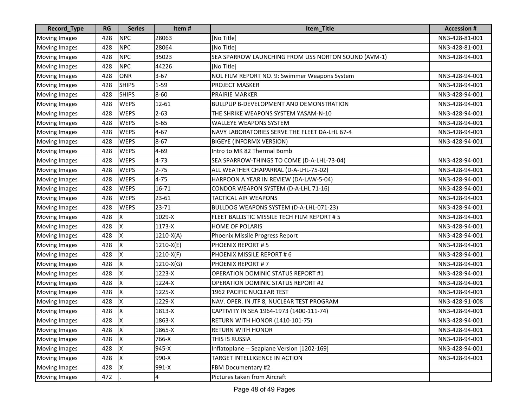| Record_Type          | <b>RG</b> | <b>Series</b> | Item#       | Item_Title                                          | <b>Accession #</b> |
|----------------------|-----------|---------------|-------------|-----------------------------------------------------|--------------------|
| <b>Moving Images</b> | 428       | <b>NPC</b>    | 28063       | [No Title]                                          | NN3-428-81-001     |
| <b>Moving Images</b> | 428       | <b>NPC</b>    | 28064       | [No Title]                                          | NN3-428-81-001     |
| <b>Moving Images</b> | 428       | <b>NPC</b>    | 35023       | SEA SPARROW LAUNCHING FROM USS NORTON SOUND (AVM-1) | NN3-428-94-001     |
| <b>Moving Images</b> | 428       | <b>NPC</b>    | 44226       | [No Title]                                          |                    |
| <b>Moving Images</b> | 428       | ONR           | $3 - 67$    | NOL FILM REPORT NO. 9: Swimmer Weapons System       | NN3-428-94-001     |
| <b>Moving Images</b> | 428       | <b>SHIPS</b>  | $1 - 59$    | <b>PROJECT MASKER</b>                               | NN3-428-94-001     |
| <b>Moving Images</b> | 428       | <b>SHIPS</b>  | $8 - 60$    | <b>PRAIRIE MARKER</b>                               | NN3-428-94-001     |
| <b>Moving Images</b> | 428       | <b>WEPS</b>   | $12 - 61$   | <b>BULLPUP B-DEVELOPMENT AND DEMONSTRATION</b>      | NN3-428-94-001     |
| <b>Moving Images</b> | 428       | <b>WEPS</b>   | $2 - 63$    | THE SHRIKE WEAPONS SYSTEM YASAM-N-10                | NN3-428-94-001     |
| <b>Moving Images</b> | 428       | <b>WEPS</b>   | $6 - 65$    | <b>WALLEYE WEAPONS SYSTEM</b>                       | NN3-428-94-001     |
| <b>Moving Images</b> | 428       | <b>WEPS</b>   | $4 - 67$    | NAVY LABORATORIES SERVE THE FLEET DA-LHL 67-4       | NN3-428-94-001     |
| <b>Moving Images</b> | 428       | <b>WEPS</b>   | $8 - 67$    | <b>BIGEYE (INFORMX VERSION)</b>                     | NN3-428-94-001     |
| <b>Moving Images</b> | 428       | <b>WEPS</b>   | $4 - 69$    | Intro to MK 82 Thermal Bomb                         |                    |
| <b>Moving Images</b> | 428       | <b>WEPS</b>   | $4 - 73$    | SEA SPARROW-THINGS TO COME (D-A-LHL-73-04)          | NN3-428-94-001     |
| <b>Moving Images</b> | 428       | <b>WEPS</b>   | $2 - 75$    | ALL WEATHER CHAPARRAL (D-A-LHL-75-02)               | NN3-428-94-001     |
| <b>Moving Images</b> | 428       | <b>WEPS</b>   | $4 - 75$    | HARPOON A YEAR IN REVIEW (DA-LAW-5-04)              | NN3-428-94-001     |
| <b>Moving Images</b> | 428       | <b>WEPS</b>   | 16-71       | CONDOR WEAPON SYSTEM (D-A-LHL 71-16)                | NN3-428-94-001     |
| <b>Moving Images</b> | 428       | <b>WEPS</b>   | 23-61       | TACTICAL AIR WEAPONS                                | NN3-428-94-001     |
| <b>Moving Images</b> | 428       | <b>WEPS</b>   | 23-71       | BULLDOG WEAPONS SYSTEM (D-A-LHL-071-23)             | NN3-428-94-001     |
| <b>Moving Images</b> | 428       | Χ             | 1029-X      | FLEET BALLISTIC MISSILE TECH FILM REPORT # 5        | NN3-428-94-001     |
| <b>Moving Images</b> | 428       | Χ             | 1173-X      | <b>HOME OF POLARIS</b>                              | NN3-428-94-001     |
| <b>Moving Images</b> | 428       | x             | $1210-X(A)$ | Phoenix Missile Progress Report                     | NN3-428-94-001     |
| <b>Moving Images</b> | 428       | Χ             | $1210-X(E)$ | PHOENIX REPORT #5                                   | NN3-428-94-001     |
| <b>Moving Images</b> | 428       | Χ             | $1210-X(F)$ | PHOENIX MISSILE REPORT #6                           | NN3-428-94-001     |
| <b>Moving Images</b> | 428       | X             | $1210-X(G)$ | <b>PHOENIX REPORT #7</b>                            | NN3-428-94-001     |
| <b>Moving Images</b> | 428       | Χ             | 1223-X      | <b>OPERATION DOMINIC STATUS REPORT #1</b>           | NN3-428-94-001     |
| <b>Moving Images</b> | 428       | Χ             | 1224-X      | <b>OPERATION DOMINIC STATUS REPORT #2</b>           | NN3-428-94-001     |
| <b>Moving Images</b> | 428       | Χ             | 1225-X      | 1962 PACIFIC NUCLEAR TEST                           | NN3-428-94-001     |
| <b>Moving Images</b> | 428       | Χ             | 1229-X      | NAV. OPER. IN JTF 8, NUCLEAR TEST PROGRAM           | NN3-428-91-008     |
| <b>Moving Images</b> | 428       | Χ             | 1813-X      | CAPTIVITY IN SEA 1964-1973 (1400-111-74)            | NN3-428-94-001     |
| Moving Images        | 428       | Ιx            | 1863-X      | <b>RETURN WITH HONOR (1410-101-75)</b>              | NN3-428-94-001     |
| <b>Moving Images</b> | 428       | $\mathsf{x}$  | 1865-X      | <b>RETURN WITH HONOR</b>                            | NN3-428-94-001     |
| <b>Moving Images</b> | 428       | ΙX            | 766-X       | THIS IS RUSSIA                                      | NN3-428-94-001     |
| <b>Moving Images</b> | 428       | X             | 945-X       | Inflatoplane -- Seaplane Version [1202-169]         | NN3-428-94-001     |
| <b>Moving Images</b> | 428       | X             | 990-X       | TARGET INTELLIGENCE IN ACTION                       | NN3-428-94-001     |
| <b>Moving Images</b> | 428       | X             | 991-X       | FBM Documentary #2                                  |                    |
| <b>Moving Images</b> | 472       |               | 4           | Pictures taken from Aircraft                        |                    |